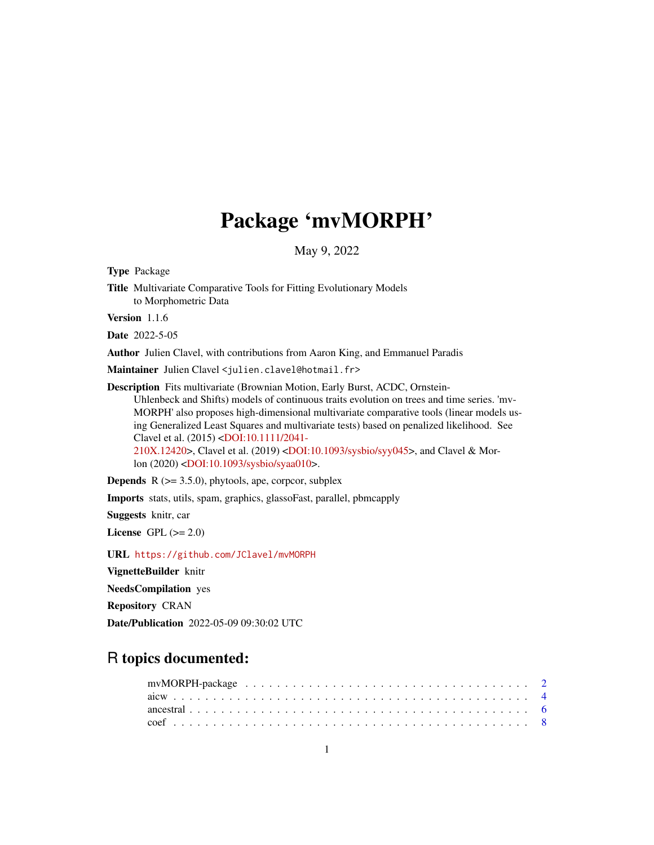# Package 'mvMORPH'

May 9, 2022

<span id="page-0-0"></span>Type Package Title Multivariate Comparative Tools for Fitting Evolutionary Models to Morphometric Data Version 1.1.6 Date 2022-5-05 Author Julien Clavel, with contributions from Aaron King, and Emmanuel Paradis Maintainer Julien Clavel <julien.clavel@hotmail.fr> Description Fits multivariate (Brownian Motion, Early Burst, ACDC, Ornstein-Uhlenbeck and Shifts) models of continuous traits evolution on trees and time series. 'mv-

MORPH' also proposes high-dimensional multivariate comparative tools (linear models using Generalized Least Squares and multivariate tests) based on penalized likelihood. See Clavel et al. (2015) [<DOI:10.1111/2041-](https://doi.org/10.1111/2041-210X.12420) [210X.12420>](https://doi.org/10.1111/2041-210X.12420), Clavel et al. (2019) [<DOI:10.1093/sysbio/syy045>](https://doi.org/10.1093/sysbio/syy045), and Clavel & Mor-

lon (2020) [<DOI:10.1093/sysbio/syaa010>](https://doi.org/10.1093/sysbio/syaa010).

**Depends**  $R$  ( $>= 3.5.0$ ), phytools, ape, corpcor, subplex

Imports stats, utils, spam, graphics, glassoFast, parallel, pbmcapply

Suggests knitr, car

License GPL  $(>= 2.0)$ 

URL <https://github.com/JClavel/mvMORPH>

VignetteBuilder knitr

NeedsCompilation yes

Repository CRAN

Date/Publication 2022-05-09 09:30:02 UTC

# R topics documented: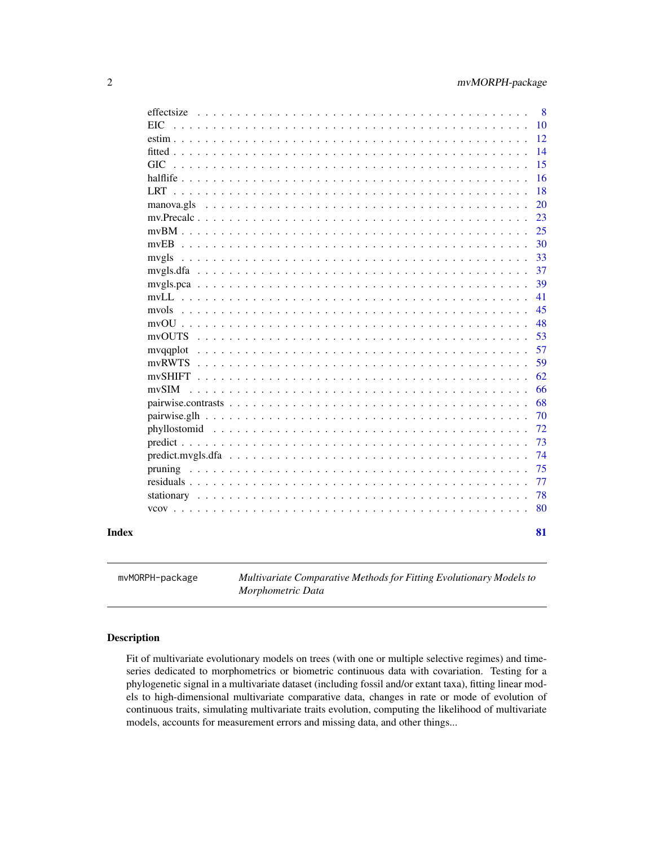<span id="page-1-0"></span>

| EIC<br><b>GIC</b><br>manova.gls<br>mvEB<br>mvgls<br>mvols<br>mvSHIFT.<br>mvSIM<br>Index | effectsize | 8  |
|-----------------------------------------------------------------------------------------|------------|----|
|                                                                                         |            | 10 |
|                                                                                         |            | 12 |
|                                                                                         |            | 14 |
|                                                                                         |            | 15 |
|                                                                                         |            | 16 |
|                                                                                         |            | 18 |
|                                                                                         |            | 20 |
|                                                                                         |            | 23 |
|                                                                                         |            | 25 |
|                                                                                         |            | 30 |
|                                                                                         |            | 33 |
|                                                                                         |            | 37 |
|                                                                                         |            | 39 |
|                                                                                         |            | 41 |
|                                                                                         |            | 45 |
|                                                                                         |            | 48 |
|                                                                                         |            | 53 |
|                                                                                         |            | 57 |
|                                                                                         |            | 59 |
|                                                                                         |            | 62 |
|                                                                                         |            | 66 |
|                                                                                         |            | 68 |
|                                                                                         |            | 70 |
|                                                                                         |            | 72 |
|                                                                                         |            | 73 |
|                                                                                         |            | 74 |
|                                                                                         |            | 75 |
|                                                                                         |            | 77 |
|                                                                                         |            | 78 |
|                                                                                         |            | 80 |
|                                                                                         |            | 81 |

mvMORPH-package *Multivariate Comparative Methods for Fitting Evolutionary Models to Morphometric Data*

# <span id="page-1-1"></span>Description

Fit of multivariate evolutionary models on trees (with one or multiple selective regimes) and timeseries dedicated to morphometrics or biometric continuous data with covariation. Testing for a phylogenetic signal in a multivariate dataset (including fossil and/or extant taxa), fitting linear models to high-dimensional multivariate comparative data, changes in rate or mode of evolution of continuous traits, simulating multivariate traits evolution, computing the likelihood of multivariate models, accounts for measurement errors and missing data, and other things...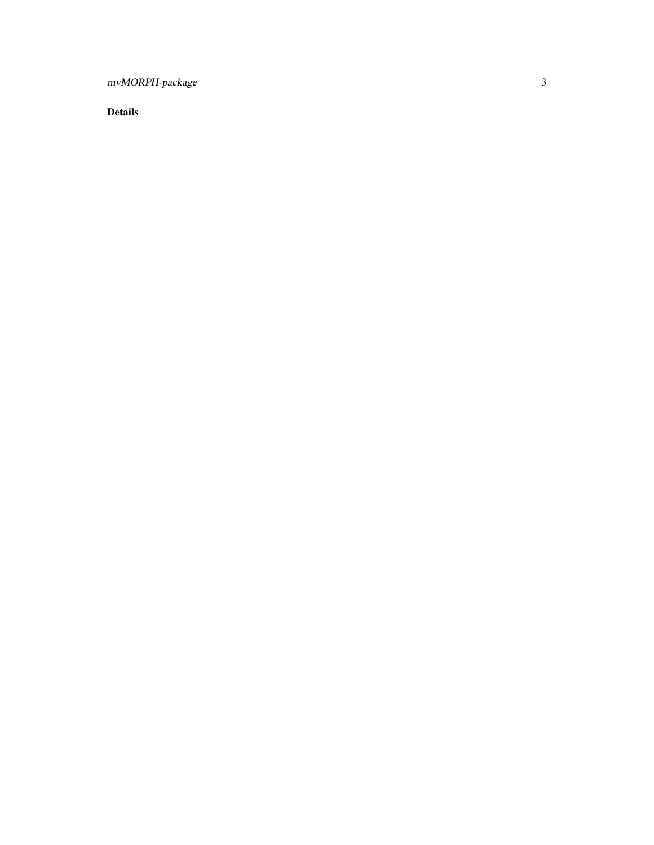mvMORPH-package

Details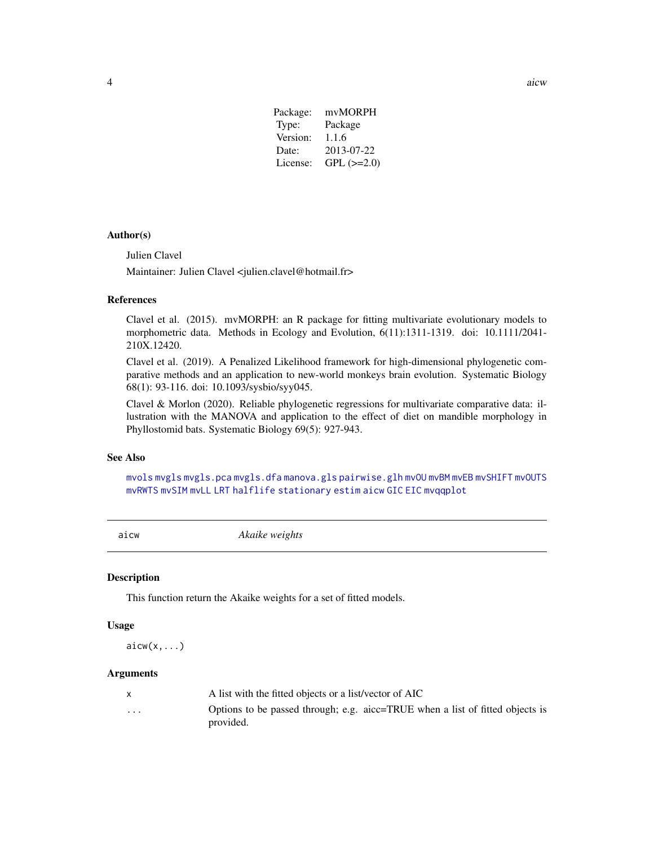| $GPL$ ( $>=2.0$ ) |
|-------------------|
|                   |

# <span id="page-3-0"></span>Author(s)

Julien Clavel

Maintainer: Julien Clavel <julien.clavel@hotmail.fr>

# References

Clavel et al. (2015). mvMORPH: an R package for fitting multivariate evolutionary models to morphometric data. Methods in Ecology and Evolution, 6(11):1311-1319. doi: 10.1111/2041- 210X.12420.

Clavel et al. (2019). A Penalized Likelihood framework for high-dimensional phylogenetic comparative methods and an application to new-world monkeys brain evolution. Systematic Biology 68(1): 93-116. doi: 10.1093/sysbio/syy045.

Clavel & Morlon (2020). Reliable phylogenetic regressions for multivariate comparative data: illustration with the MANOVA and application to the effect of diet on mandible morphology in Phyllostomid bats. Systematic Biology 69(5): 927-943.

# See Also

[mvols](#page-44-1) [mvgls](#page-32-1) [mvgls.pca](#page-38-1) [mvgls.dfa](#page-36-1) [manova.gls](#page-19-1) [pairwise.glh](#page-69-1) [mvOU](#page-47-1) [mvBM](#page-24-1) [mvEB](#page-29-1) [mvSHIFT](#page-61-1) [mvOUTS](#page-52-1) [mvRWTS](#page-58-1) [mvSIM](#page-65-1) [mvLL](#page-40-1) [LRT](#page-17-1) [halflife](#page-15-1) [stationary](#page-77-1) [estim](#page-11-1) [aicw](#page-3-1) [GIC](#page-14-1) [EIC](#page-9-1) [mvqqplot](#page-56-1)

<span id="page-3-1"></span>aicw *Akaike weights*

#### Description

This function return the Akaike weights for a set of fitted models.

#### Usage

 $\text{aicw}(x, \ldots)$ 

#### Arguments

|                         | A list with the fitted objects or a list/vector of AIC                                     |
|-------------------------|--------------------------------------------------------------------------------------------|
| $\cdot$ $\cdot$ $\cdot$ | Options to be passed through; e.g. aicc=TRUE when a list of fitted objects is<br>provided. |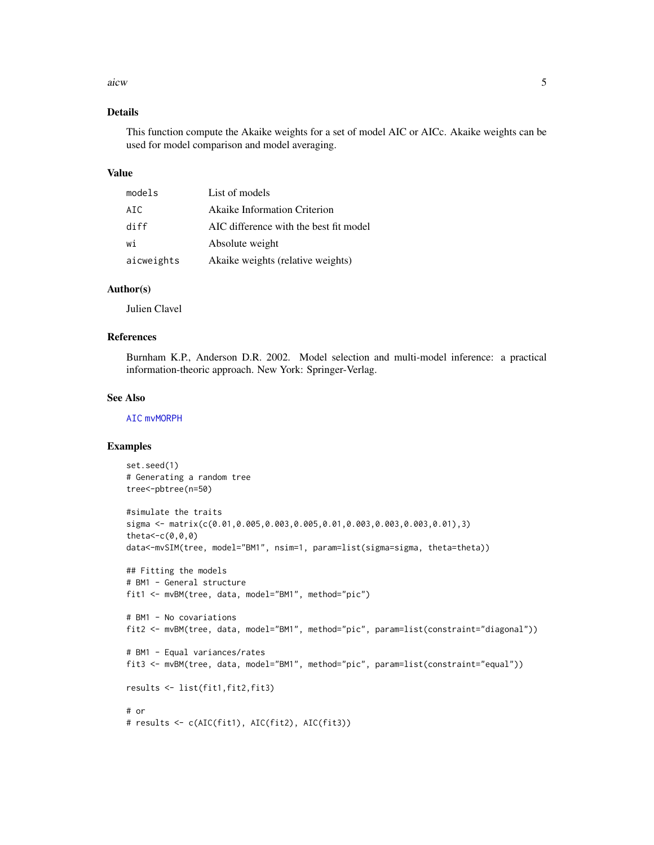#### aicw 5

# Details

This function compute the Akaike weights for a set of model AIC or AICc. Akaike weights can be used for model comparison and model averaging.

#### Value

| models     | List of models                         |
|------------|----------------------------------------|
| AIC.       | <b>Akaike Information Criterion</b>    |
| diff       | AIC difference with the best fit model |
| wi         | Absolute weight                        |
| aicweights | Akaike weights (relative weights)      |

# Author(s)

Julien Clavel

#### References

Burnham K.P., Anderson D.R. 2002. Model selection and multi-model inference: a practical information-theoric approach. New York: Springer-Verlag.

# See Also

[AIC](#page-0-0) [mvMORPH](#page-1-1)

```
set.seed(1)
# Generating a random tree
tree<-pbtree(n=50)
#simulate the traits
sigma <- matrix(c(0.01,0.005,0.003,0.005,0.01,0.003,0.003,0.003,0.01),3)
theta<-c(0,0,0)
data<-mvSIM(tree, model="BM1", nsim=1, param=list(sigma=sigma, theta=theta))
## Fitting the models
# BM1 - General structure
fit1 <- mvBM(tree, data, model="BM1", method="pic")
# BM1 - No covariations
fit2 <- mvBM(tree, data, model="BM1", method="pic", param=list(constraint="diagonal"))
# BM1 - Equal variances/rates
fit3 <- mvBM(tree, data, model="BM1", method="pic", param=list(constraint="equal"))
results <- list(fit1,fit2,fit3)
# or
# results <- c(AIC(fit1), AIC(fit2), AIC(fit3))
```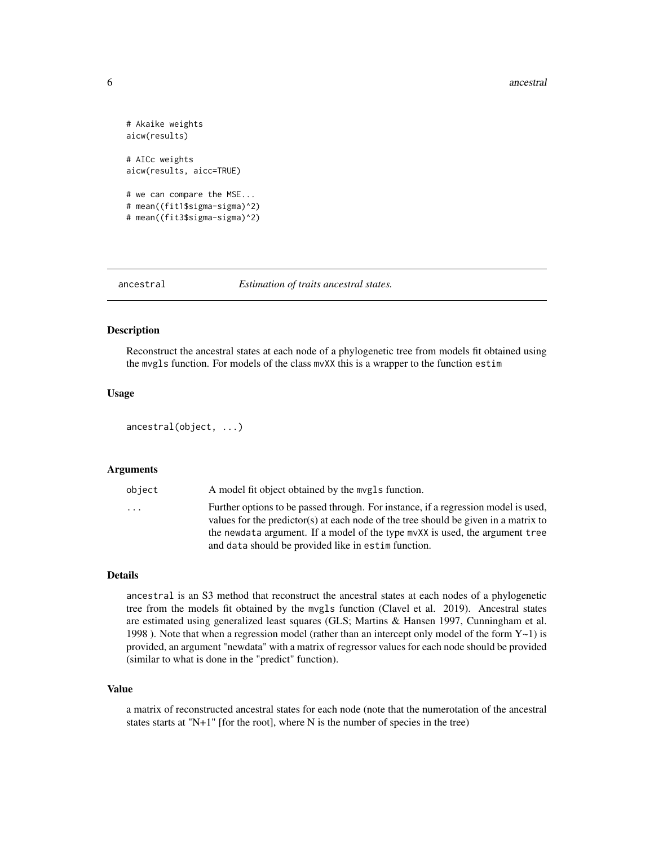```
# Akaike weights
aicw(results)
# AICc weights
aicw(results, aicc=TRUE)
# we can compare the MSE...
# mean((fit1$sigma-sigma)^2)
# mean((fit3$sigma-sigma)^2)
```
#### ancestral *Estimation of traits ancestral states.*

#### Description

Reconstruct the ancestral states at each node of a phylogenetic tree from models fit obtained using the mvgls function. For models of the class mvXX this is a wrapper to the function estim

# Usage

```
ancestral(object, ...)
```
#### Arguments

| object                  | A model fit object obtained by the mygls function.                                  |
|-------------------------|-------------------------------------------------------------------------------------|
| $\cdot$ $\cdot$ $\cdot$ | Further options to be passed through. For instance, if a regression model is used,  |
|                         | values for the predictor(s) at each node of the tree should be given in a matrix to |
|                         | the newdata argument. If a model of the type mvXX is used, the argument tree        |
|                         | and data should be provided like in estim function.                                 |
|                         |                                                                                     |

# Details

ancestral is an S3 method that reconstruct the ancestral states at each nodes of a phylogenetic tree from the models fit obtained by the mvgls function (Clavel et al. 2019). Ancestral states are estimated using generalized least squares (GLS; Martins & Hansen 1997, Cunningham et al. 1998 ). Note that when a regression model (rather than an intercept only model of the form  $Y \sim 1$ ) is provided, an argument "newdata" with a matrix of regressor values for each node should be provided (similar to what is done in the "predict" function).

#### Value

a matrix of reconstructed ancestral states for each node (note that the numerotation of the ancestral states starts at "N+1" [for the root], where N is the number of species in the tree)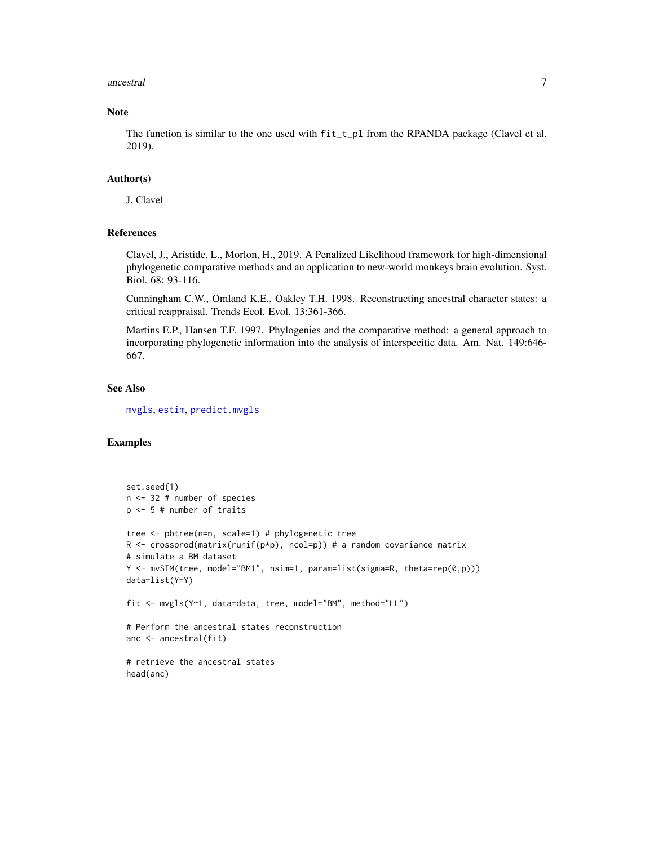#### ancestral 7

# Note

The function is similar to the one used with  $fit\_t\_pl$  from the RPANDA package (Clavel et al. 2019).

#### Author(s)

J. Clavel

# References

Clavel, J., Aristide, L., Morlon, H., 2019. A Penalized Likelihood framework for high-dimensional phylogenetic comparative methods and an application to new-world monkeys brain evolution. Syst. Biol. 68: 93-116.

Cunningham C.W., Omland K.E., Oakley T.H. 1998. Reconstructing ancestral character states: a critical reappraisal. Trends Ecol. Evol. 13:361-366.

Martins E.P., Hansen T.F. 1997. Phylogenies and the comparative method: a general approach to incorporating phylogenetic information into the analysis of interspecific data. Am. Nat. 149:646- 667.

# See Also

[mvgls](#page-32-1), [estim](#page-11-1), [predict.mvgls](#page-72-1)

```
set.seed(1)
n <- 32 # number of species
p <- 5 # number of traits
tree <- pbtree(n=n, scale=1) # phylogenetic tree
R <- crossprod(matrix(runif(p*p), ncol=p)) # a random covariance matrix
# simulate a BM dataset
Y <- mvSIM(tree, model="BM1", nsim=1, param=list(sigma=R, theta=rep(0,p)))
data=list(Y=Y)
fit <- mvgls(Y~1, data=data, tree, model="BM", method="LL")
# Perform the ancestral states reconstruction
anc <- ancestral(fit)
# retrieve the ancestral states
head(anc)
```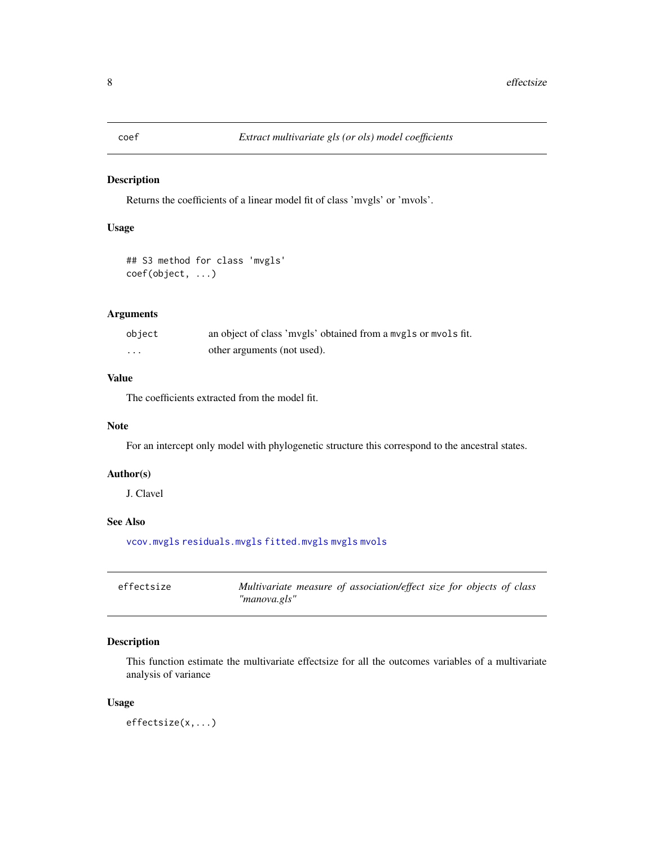# <span id="page-7-1"></span><span id="page-7-0"></span>Description

Returns the coefficients of a linear model fit of class 'mvgls' or 'mvols'.

# Usage

```
## S3 method for class 'mvgls'
coef(object, ...)
```
# Arguments

| object   | an object of class 'mvgls' obtained from a mvgls or mvols fit. |
|----------|----------------------------------------------------------------|
| $\cdots$ | other arguments (not used).                                    |

# Value

The coefficients extracted from the model fit.

# Note

For an intercept only model with phylogenetic structure this correspond to the ancestral states.

#### Author(s)

J. Clavel

# See Also

[vcov.mvgls](#page-79-1) [residuals.mvgls](#page-76-1) [fitted.mvgls](#page-13-1) [mvgls](#page-32-1) [mvols](#page-44-1)

| effectsize | Multivariate measure of association/effect size for objects of class |
|------------|----------------------------------------------------------------------|
|            | "manova.gls"                                                         |

# Description

This function estimate the multivariate effectsize for all the outcomes variables of a multivariate analysis of variance

# Usage

effectsize(x,...)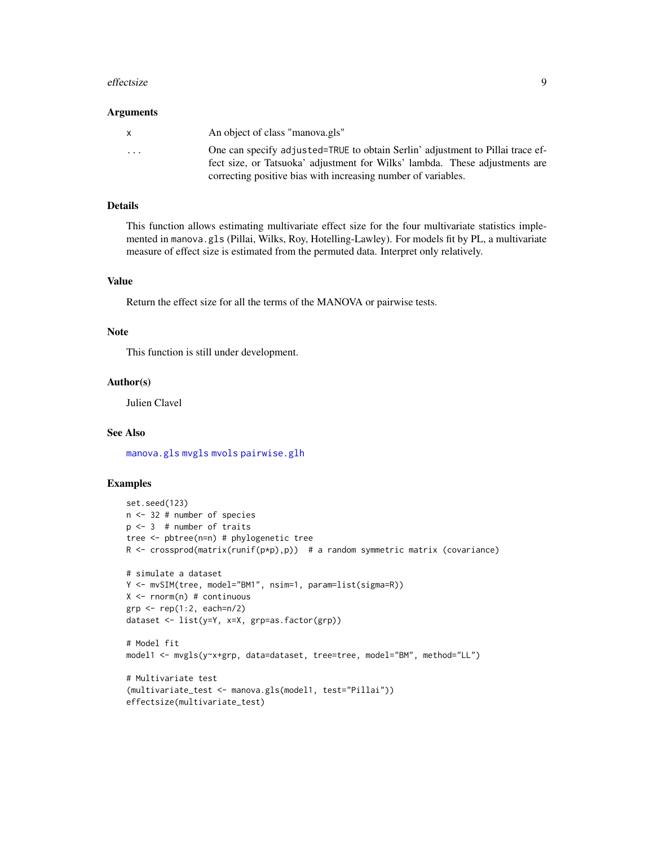#### effectsize 9

#### Arguments

| $\mathsf{x}$ | An object of class "manova.gls"                                                                                                                               |
|--------------|---------------------------------------------------------------------------------------------------------------------------------------------------------------|
| .            | One can specify adjusted=TRUE to obtain Serlin' adjustment to Pillai trace ef-<br>fect size, or Tatsuoka' adjustment for Wilks' lambda. These adjustments are |
|              | correcting positive bias with increasing number of variables.                                                                                                 |

#### Details

This function allows estimating multivariate effect size for the four multivariate statistics implemented in manova.gls (Pillai, Wilks, Roy, Hotelling-Lawley). For models fit by PL, a multivariate measure of effect size is estimated from the permuted data. Interpret only relatively.

# Value

Return the effect size for all the terms of the MANOVA or pairwise tests.

#### Note

This function is still under development.

#### Author(s)

Julien Clavel

# See Also

[manova.gls](#page-19-1) [mvgls](#page-32-1) [mvols](#page-44-1) [pairwise.glh](#page-69-1)

```
set.seed(123)
n <- 32 # number of species
p \le -3 # number of traits
tree <- pbtree(n=n) # phylogenetic tree
R \le crossprod(matrix(runif(p*p),p)) # a random symmetric matrix (covariance)
# simulate a dataset
Y <- mvSIM(tree, model="BM1", nsim=1, param=list(sigma=R))
X \leftarrow \text{norm}(n) # continuous
grp \leq -rep(1:2, each=n/2)dataset <- list(y=Y, x=X, grp=as.factor(grp))
# Model fit
model1 <- mvgls(y~x+grp, data=dataset, tree=tree, model="BM", method="LL")
# Multivariate test
(multivariate_test <- manova.gls(model1, test="Pillai"))
effectsize(multivariate_test)
```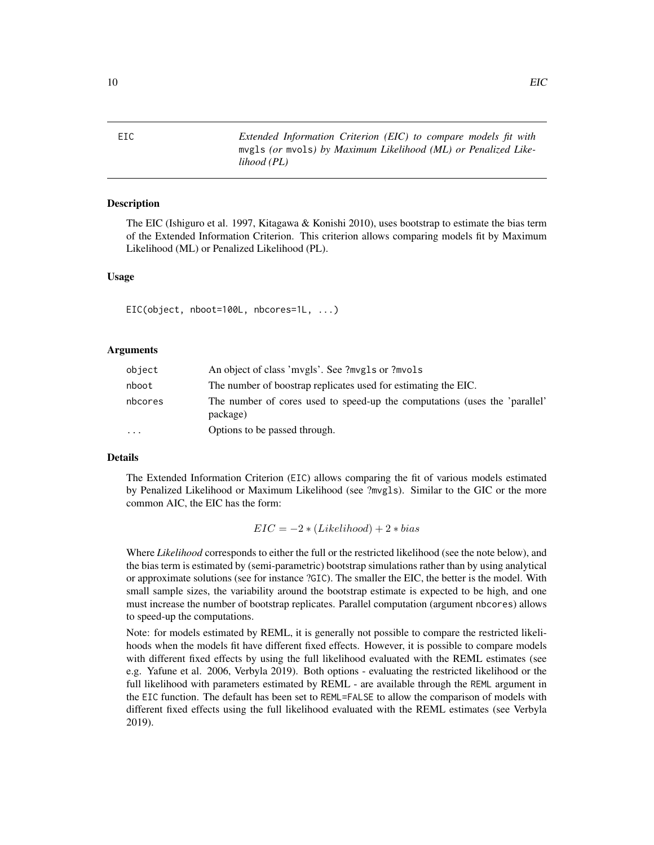<span id="page-9-1"></span><span id="page-9-0"></span>

EIC *Extended Information Criterion (EIC) to compare models fit with* mvgls *(or* mvols*) by Maximum Likelihood (ML) or Penalized Likelihood (PL)*

# Description

The EIC (Ishiguro et al. 1997, Kitagawa & Konishi 2010), uses bootstrap to estimate the bias term of the Extended Information Criterion. This criterion allows comparing models fit by Maximum Likelihood (ML) or Penalized Likelihood (PL).

# Usage

EIC(object, nboot=100L, nbcores=1L, ...)

# Arguments

| object   | An object of class 'mvgls'. See ?mvgls or ?mvols                                       |
|----------|----------------------------------------------------------------------------------------|
| nboot    | The number of boostrap replicates used for estimating the EIC.                         |
| nbcores  | The number of cores used to speed-up the computations (uses the 'parallel'<br>package) |
| $\cdots$ | Options to be passed through.                                                          |

# Details

The Extended Information Criterion (EIC) allows comparing the fit of various models estimated by Penalized Likelihood or Maximum Likelihood (see ?mvgls). Similar to the GIC or the more common AIC, the EIC has the form:

 $EIC = -2 * (Likelihood) + 2 * bias$ 

Where *Likelihood* corresponds to either the full or the restricted likelihood (see the note below), and the bias term is estimated by (semi-parametric) bootstrap simulations rather than by using analytical or approximate solutions (see for instance ?GIC). The smaller the EIC, the better is the model. With small sample sizes, the variability around the bootstrap estimate is expected to be high, and one must increase the number of bootstrap replicates. Parallel computation (argument nbcores) allows to speed-up the computations.

Note: for models estimated by REML, it is generally not possible to compare the restricted likelihoods when the models fit have different fixed effects. However, it is possible to compare models with different fixed effects by using the full likelihood evaluated with the REML estimates (see e.g. Yafune et al. 2006, Verbyla 2019). Both options - evaluating the restricted likelihood or the full likelihood with parameters estimated by REML - are available through the REML argument in the EIC function. The default has been set to REML=FALSE to allow the comparison of models with different fixed effects using the full likelihood evaluated with the REML estimates (see Verbyla 2019).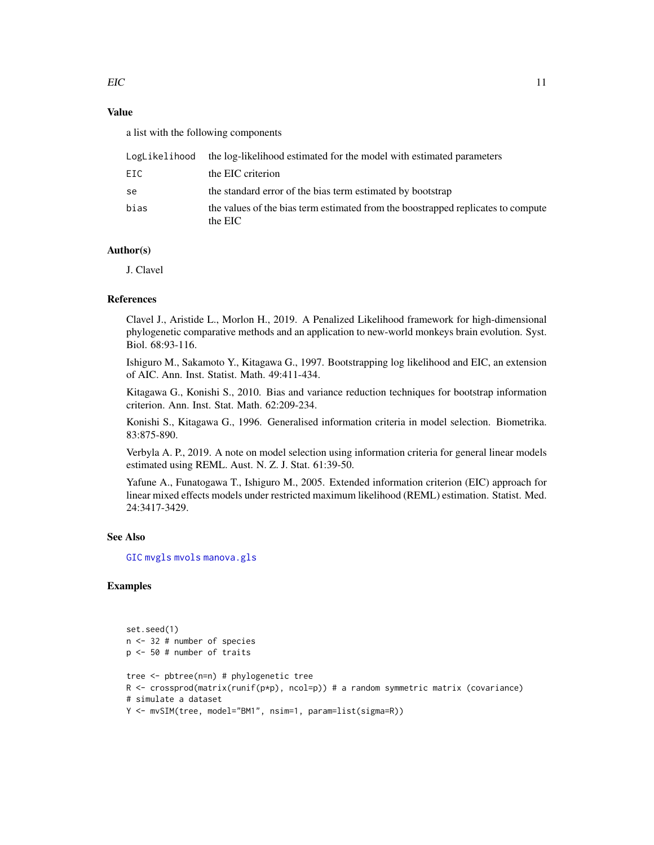# Value

a list with the following components

| LogLikelihood | the log-likelihood estimated for the model with estimated parameters                        |
|---------------|---------------------------------------------------------------------------------------------|
| EIC           | the EIC criterion                                                                           |
| se            | the standard error of the bias term estimated by bootstrap                                  |
| bias          | the values of the bias term estimated from the boostrapped replicates to compute<br>the EIC |

# Author(s)

J. Clavel

# References

Clavel J., Aristide L., Morlon H., 2019. A Penalized Likelihood framework for high-dimensional phylogenetic comparative methods and an application to new-world monkeys brain evolution. Syst. Biol. 68:93-116.

Ishiguro M., Sakamoto Y., Kitagawa G., 1997. Bootstrapping log likelihood and EIC, an extension of AIC. Ann. Inst. Statist. Math. 49:411-434.

Kitagawa G., Konishi S., 2010. Bias and variance reduction techniques for bootstrap information criterion. Ann. Inst. Stat. Math. 62:209-234.

Konishi S., Kitagawa G., 1996. Generalised information criteria in model selection. Biometrika. 83:875-890.

Verbyla A. P., 2019. A note on model selection using information criteria for general linear models estimated using REML. Aust. N. Z. J. Stat. 61:39-50.

Yafune A., Funatogawa T., Ishiguro M., 2005. Extended information criterion (EIC) approach for linear mixed effects models under restricted maximum likelihood (REML) estimation. Statist. Med. 24:3417-3429.

# See Also

[GIC](#page-14-1) [mvgls](#page-32-1) [mvols](#page-44-1) [manova.gls](#page-19-1)

```
set.seed(1)
n <- 32 # number of species
p <- 50 # number of traits
tree <- pbtree(n=n) # phylogenetic tree
R <- crossprod(matrix(runif(p*p), ncol=p)) # a random symmetric matrix (covariance)
# simulate a dataset
Y <- mvSIM(tree, model="BM1", nsim=1, param=list(sigma=R))
```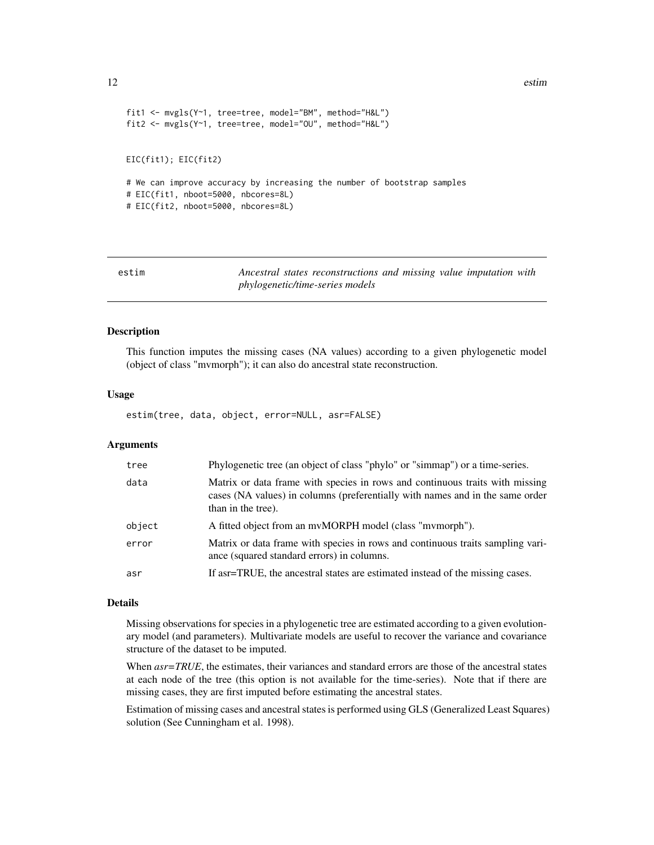```
fit1 <- mvgls(Y~1, tree=tree, model="BM", method="H&L")
fit2 <- mvgls(Y~1, tree=tree, model="OU", method="H&L")
EIC(fit1); EIC(fit2)
# We can improve accuracy by increasing the number of bootstrap samples
# EIC(fit1, nboot=5000, nbcores=8L)
# EIC(fit2, nboot=5000, nbcores=8L)
```
<span id="page-11-1"></span>

| estim | Ancestral states reconstructions and missing value imputation with |  |
|-------|--------------------------------------------------------------------|--|
|       | <i>phylogenetic/time-series models</i>                             |  |

#### Description

This function imputes the missing cases (NA values) according to a given phylogenetic model (object of class "mvmorph"); it can also do ancestral state reconstruction.

#### Usage

estim(tree, data, object, error=NULL, asr=FALSE)

#### Arguments

| tree   | Phylogenetic tree (an object of class "phylo" or "simmap") or a time-series.                                                                                                        |
|--------|-------------------------------------------------------------------------------------------------------------------------------------------------------------------------------------|
| data   | Matrix or data frame with species in rows and continuous traits with missing<br>cases (NA values) in columns (preferentially with names and in the same order<br>than in the tree). |
| object | A fitted object from an mvMORPH model (class "mymorph").                                                                                                                            |
| error  | Matrix or data frame with species in rows and continuous traits sampling vari-<br>ance (squared standard errors) in columns.                                                        |
| asr    | If as r = TRUE, the ancestral states are estimated instead of the missing cases.                                                                                                    |

#### Details

Missing observations for species in a phylogenetic tree are estimated according to a given evolutionary model (and parameters). Multivariate models are useful to recover the variance and covariance structure of the dataset to be imputed.

When *asr=TRUE*, the estimates, their variances and standard errors are those of the ancestral states at each node of the tree (this option is not available for the time-series). Note that if there are missing cases, they are first imputed before estimating the ancestral states.

Estimation of missing cases and ancestral states is performed using GLS (Generalized Least Squares) solution (See Cunningham et al. 1998).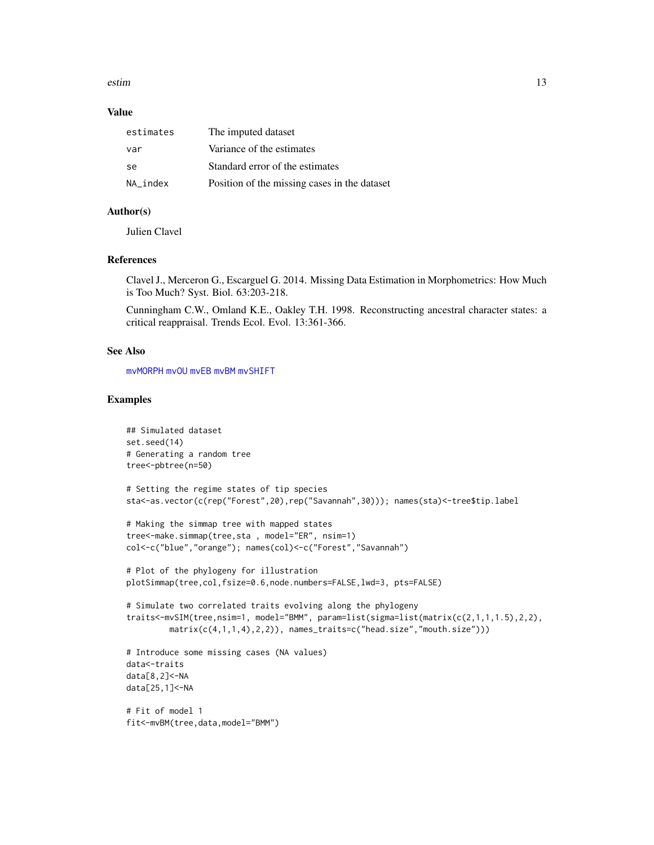estim and the state of the state of the state of the state of the state of the state of the state of the state of the state of the state of the state of the state of the state of the state of the state of the state of the

#### Value

| estimates | The imputed dataset                          |
|-----------|----------------------------------------------|
| var       | Variance of the estimates                    |
| se.       | Standard error of the estimates              |
| NA index  | Position of the missing cases in the dataset |

# Author(s)

Julien Clavel

# References

Clavel J., Merceron G., Escarguel G. 2014. Missing Data Estimation in Morphometrics: How Much is Too Much? Syst. Biol. 63:203-218.

Cunningham C.W., Omland K.E., Oakley T.H. 1998. Reconstructing ancestral character states: a critical reappraisal. Trends Ecol. Evol. 13:361-366.

# See Also

[mvMORPH](#page-1-1) [mvOU](#page-47-1) [mvEB](#page-29-1) [mvBM](#page-24-1) [mvSHIFT](#page-61-1)

```
## Simulated dataset
set.seed(14)
# Generating a random tree
tree<-pbtree(n=50)
```

```
# Setting the regime states of tip species
sta<-as.vector(c(rep("Forest",20),rep("Savannah",30))); names(sta)<-tree$tip.label
```

```
# Making the simmap tree with mapped states
tree<-make.simmap(tree,sta , model="ER", nsim=1)
col<-c("blue","orange"); names(col)<-c("Forest","Savannah")
```

```
# Plot of the phylogeny for illustration
plotSimmap(tree,col,fsize=0.6,node.numbers=FALSE,lwd=3, pts=FALSE)
```

```
# Simulate two correlated traits evolving along the phylogeny
traits<-mvSIM(tree,nsim=1, model="BMM", param=list(sigma=list(matrix(c(2,1,1,1.5),2,2),
        matrix(c(4,1,1,4),2,2)), names_traits=c("head.size","mouth.size")))
```

```
# Introduce some missing cases (NA values)
data<-traits
data[8,2]<-NA
data[25,1]<-NA
```

```
# Fit of model 1
fit<-mvBM(tree,data,model="BMM")
```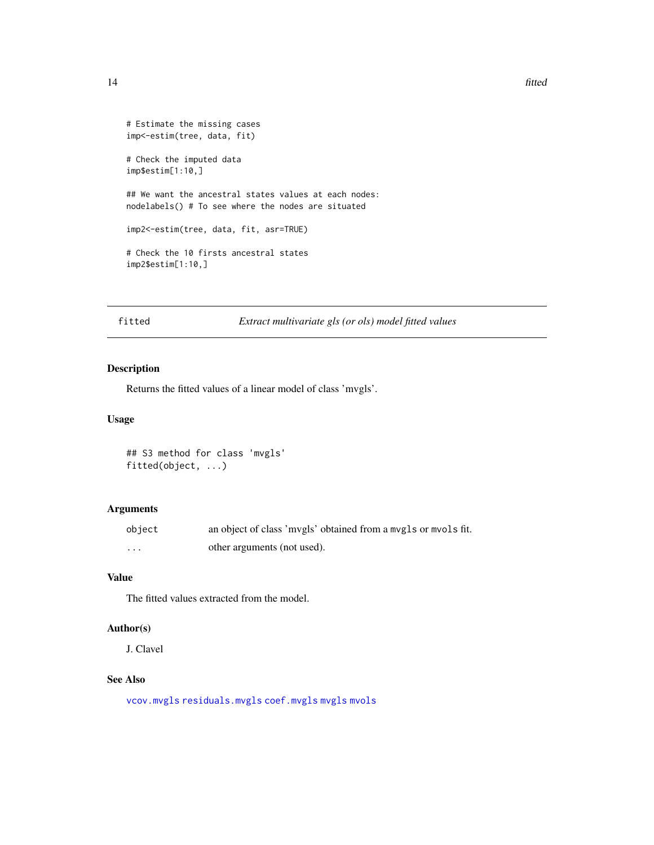#### <span id="page-13-0"></span>14 fitted that the contract of the contract of the contract of the contract of the contract of the contract of the contract of the contract of the contract of the contract of the contract of the contract of the contract of

```
# Estimate the missing cases
imp<-estim(tree, data, fit)
# Check the imputed data
imp$estim[1:10,]
## We want the ancestral states values at each nodes:
nodelabels() # To see where the nodes are situated
imp2<-estim(tree, data, fit, asr=TRUE)
# Check the 10 firsts ancestral states
imp2$estim[1:10,]
```
# fitted *Extract multivariate gls (or ols) model fitted values*

# <span id="page-13-1"></span>Description

Returns the fitted values of a linear model of class 'mvgls'.

#### Usage

```
## S3 method for class 'mvgls'
fitted(object, ...)
```
# Arguments

| object  | an object of class 'mvgls' obtained from a mvgls or mvols fit. |
|---------|----------------------------------------------------------------|
| $\cdot$ | other arguments (not used).                                    |

# Value

The fitted values extracted from the model.

# Author(s)

J. Clavel

# See Also

[vcov.mvgls](#page-79-1) [residuals.mvgls](#page-76-1) [coef.mvgls](#page-7-1) [mvgls](#page-32-1) [mvols](#page-44-1)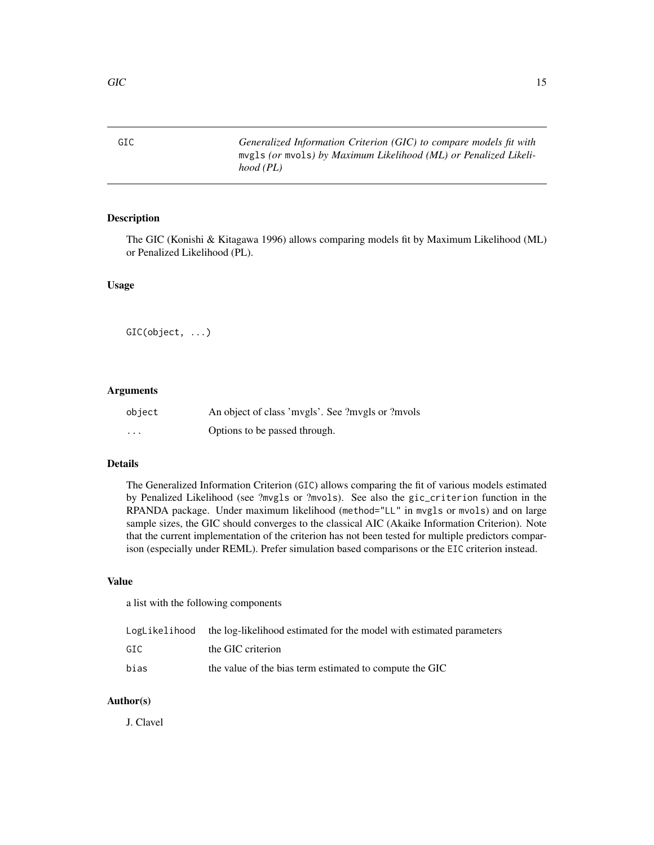<span id="page-14-1"></span><span id="page-14-0"></span>GIC *Generalized Information Criterion (GIC) to compare models fit with* mvgls *(or* mvols*) by Maximum Likelihood (ML) or Penalized Likelihood (PL)*

# Description

The GIC (Konishi & Kitagawa 1996) allows comparing models fit by Maximum Likelihood (ML) or Penalized Likelihood (PL).

# Usage

GIC(object, ...)

# Arguments

| object   | An object of class 'mvgls'. See ?mvgls or ?mvols |
|----------|--------------------------------------------------|
| $\cdots$ | Options to be passed through.                    |

# Details

The Generalized Information Criterion (GIC) allows comparing the fit of various models estimated by Penalized Likelihood (see ?mvgls or ?mvols). See also the gic\_criterion function in the RPANDA package. Under maximum likelihood (method="LL" in mvgls or mvols) and on large sample sizes, the GIC should converges to the classical AIC (Akaike Information Criterion). Note that the current implementation of the criterion has not been tested for multiple predictors comparison (especially under REML). Prefer simulation based comparisons or the EIC criterion instead.

# Value

a list with the following components

|      | LogLikelihood the log-likelihood estimated for the model with estimated parameters |
|------|------------------------------------------------------------------------------------|
| GIC. | the GIC criterion                                                                  |
| bias | the value of the bias term estimated to compute the GIC                            |

# Author(s)

J. Clavel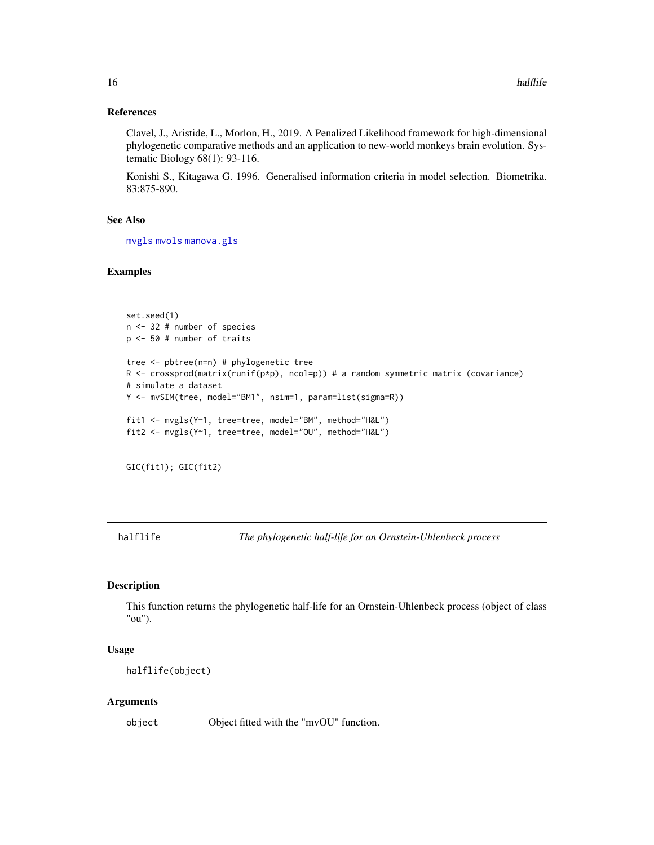# References

Clavel, J., Aristide, L., Morlon, H., 2019. A Penalized Likelihood framework for high-dimensional phylogenetic comparative methods and an application to new-world monkeys brain evolution. Systematic Biology 68(1): 93-116.

Konishi S., Kitagawa G. 1996. Generalised information criteria in model selection. Biometrika. 83:875-890.

#### See Also

[mvgls](#page-32-1) [mvols](#page-44-1) [manova.gls](#page-19-1)

# Examples

```
set.seed(1)
n <- 32 # number of species
p <- 50 # number of traits
tree <- pbtree(n=n) # phylogenetic tree
R \le crossprod(matrix(runif(p*p), ncol=p)) # a random symmetric matrix (covariance)
# simulate a dataset
Y <- mvSIM(tree, model="BM1", nsim=1, param=list(sigma=R))
fit1 <- mvgls(Y~1, tree=tree, model="BM", method="H&L")
fit2 <- mvgls(Y~1, tree=tree, model="OU", method="H&L")
```

```
GIC(fit1); GIC(fit2)
```
<span id="page-15-1"></span>halflife *The phylogenetic half-life for an Ornstein-Uhlenbeck process*

#### Description

This function returns the phylogenetic half-life for an Ornstein-Uhlenbeck process (object of class "ou").

# Usage

halflife(object)

#### Arguments

object Object fitted with the "mvOU" function.

<span id="page-15-0"></span>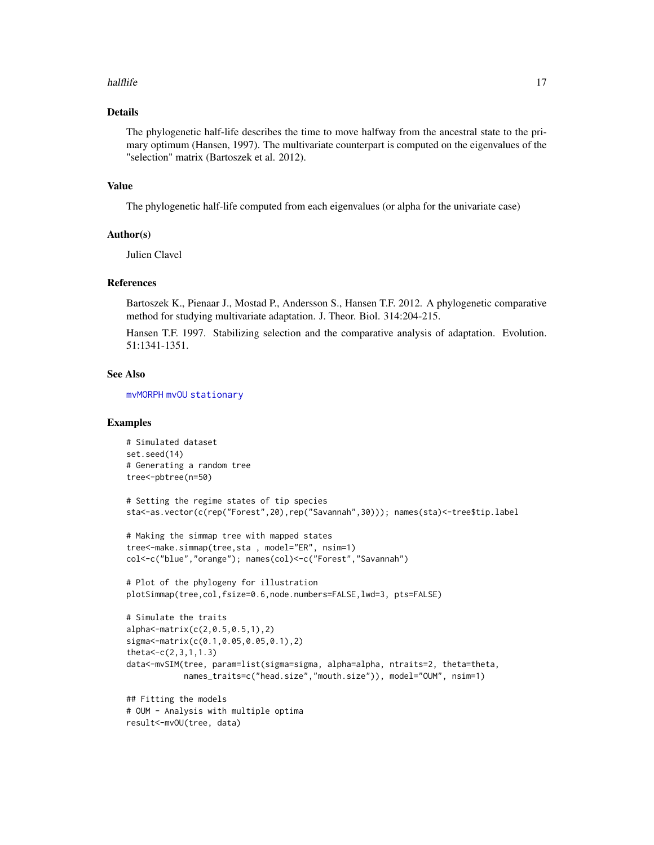#### halflife that the contract of the contract of the contract of the contract of the contract of the contract of the contract of the contract of the contract of the contract of the contract of the contract of the contract of

# Details

The phylogenetic half-life describes the time to move halfway from the ancestral state to the primary optimum (Hansen, 1997). The multivariate counterpart is computed on the eigenvalues of the "selection" matrix (Bartoszek et al. 2012).

#### Value

The phylogenetic half-life computed from each eigenvalues (or alpha for the univariate case)

# Author(s)

Julien Clavel

# References

Bartoszek K., Pienaar J., Mostad P., Andersson S., Hansen T.F. 2012. A phylogenetic comparative method for studying multivariate adaptation. J. Theor. Biol. 314:204-215.

Hansen T.F. 1997. Stabilizing selection and the comparative analysis of adaptation. Evolution. 51:1341-1351.

# See Also

[mvMORPH](#page-1-1) [mvOU](#page-47-1) [stationary](#page-77-1)

```
# Simulated dataset
set.seed(14)
# Generating a random tree
tree<-pbtree(n=50)
# Setting the regime states of tip species
sta<-as.vector(c(rep("Forest",20),rep("Savannah",30))); names(sta)<-tree$tip.label
# Making the simmap tree with mapped states
tree<-make.simmap(tree,sta , model="ER", nsim=1)
col<-c("blue","orange"); names(col)<-c("Forest","Savannah")
# Plot of the phylogeny for illustration
plotSimmap(tree,col,fsize=0.6,node.numbers=FALSE,lwd=3, pts=FALSE)
# Simulate the traits
alpha<-matrix(c(2,0.5,0.5,1),2)
sigma<-matrix(c(0.1,0.05,0.05,0.1),2)
theta<-c(2,3,1,1.3)
data<-mvSIM(tree, param=list(sigma=sigma, alpha=alpha, ntraits=2, theta=theta,
            names_traits=c("head.size","mouth.size")), model="OUM", nsim=1)
## Fitting the models
# OUM - Analysis with multiple optima
result<-mvOU(tree, data)
```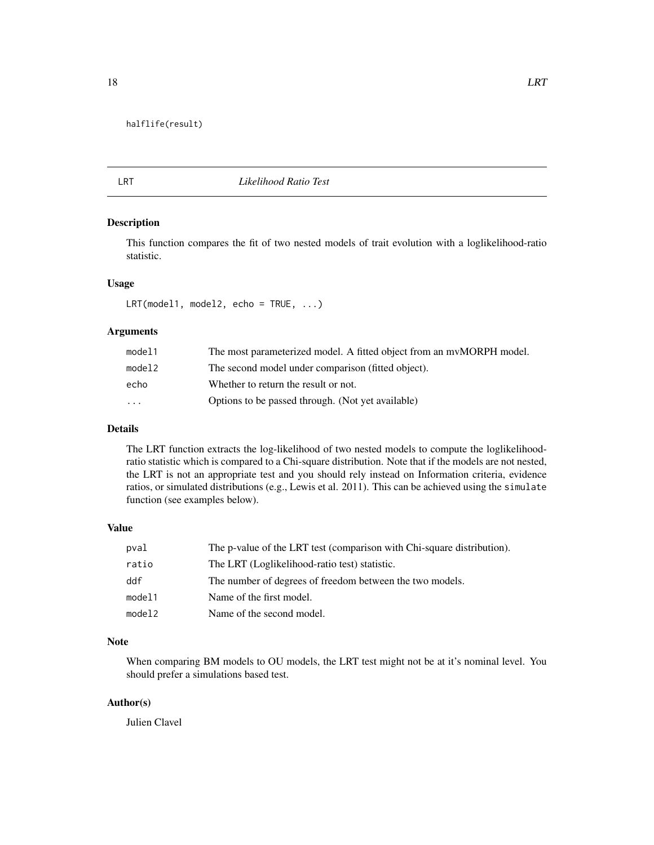#### <span id="page-17-0"></span>halflife(result)

<span id="page-17-1"></span>

# LRT *Likelihood Ratio Test*

# Description

This function compares the fit of two nested models of trait evolution with a loglikelihood-ratio statistic.

#### Usage

LRT(model1, model2, echo = TRUE, ...)

# Arguments

| model1   | The most parameterized model. A fitted object from an myMORPH model. |
|----------|----------------------------------------------------------------------|
| model2   | The second model under comparison (fitted object).                   |
| echo     | Whether to return the result or not.                                 |
| $\cdots$ | Options to be passed through. (Not yet available)                    |

# Details

The LRT function extracts the log-likelihood of two nested models to compute the loglikelihoodratio statistic which is compared to a Chi-square distribution. Note that if the models are not nested, the LRT is not an appropriate test and you should rely instead on Information criteria, evidence ratios, or simulated distributions (e.g., Lewis et al. 2011). This can be achieved using the simulate function (see examples below).

# Value

| pval   | The p-value of the LRT test (comparison with Chi-square distribution). |
|--------|------------------------------------------------------------------------|
| ratio  | The LRT (Loglikelihood-ratio test) statistic.                          |
| ddf    | The number of degrees of freedom between the two models.               |
| model1 | Name of the first model.                                               |
| model2 | Name of the second model.                                              |

# Note

When comparing BM models to OU models, the LRT test might not be at it's nominal level. You should prefer a simulations based test.

# Author(s)

Julien Clavel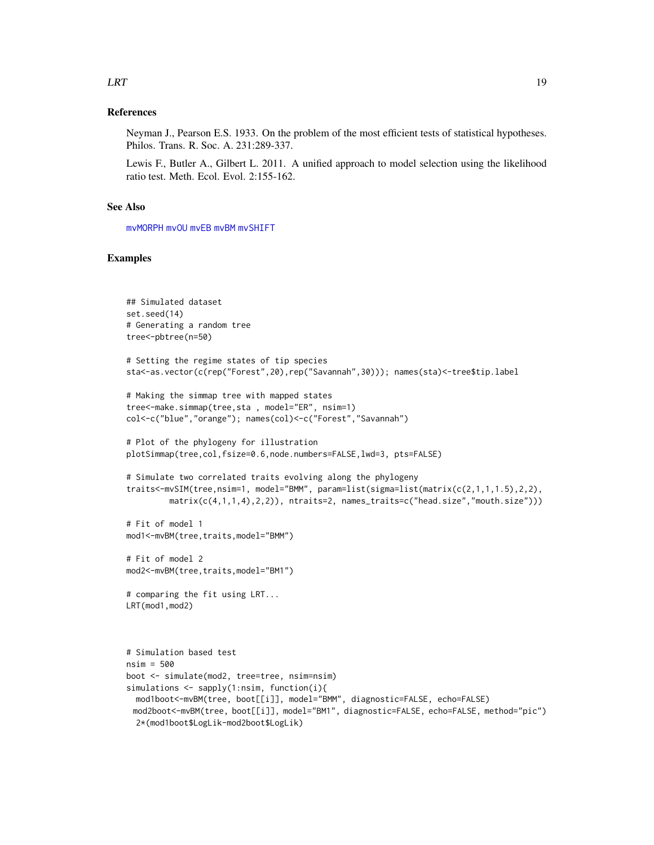# $LRT$  19

# References

Neyman J., Pearson E.S. 1933. On the problem of the most efficient tests of statistical hypotheses. Philos. Trans. R. Soc. A. 231:289-337.

Lewis F., Butler A., Gilbert L. 2011. A unified approach to model selection using the likelihood ratio test. Meth. Ecol. Evol. 2:155-162.

# See Also

[mvMORPH](#page-1-1) [mvOU](#page-47-1) [mvEB](#page-29-1) [mvBM](#page-24-1) [mvSHIFT](#page-61-1)

```
## Simulated dataset
set.seed(14)
# Generating a random tree
tree<-pbtree(n=50)
# Setting the regime states of tip species
sta<-as.vector(c(rep("Forest",20),rep("Savannah",30))); names(sta)<-tree$tip.label
# Making the simmap tree with mapped states
tree<-make.simmap(tree,sta , model="ER", nsim=1)
col<-c("blue","orange"); names(col)<-c("Forest","Savannah")
# Plot of the phylogeny for illustration
plotSimmap(tree,col,fsize=0.6,node.numbers=FALSE,lwd=3, pts=FALSE)
# Simulate two correlated traits evolving along the phylogeny
traits<-mvSIM(tree,nsim=1, model="BMM", param=list(sigma=list(matrix(c(2,1,1,1.5),2,2),
         matrix(c(4,1,1,4),2,2)), ntraits=2, names_traits=c("head.size","mouth.size")))
# Fit of model 1
mod1<-mvBM(tree,traits,model="BMM")
# Fit of model 2
mod2<-mvBM(tree,traits,model="BM1")
# comparing the fit using LRT...
LRT(mod1,mod2)
# Simulation based test
nsim = 500
boot <- simulate(mod2, tree=tree, nsim=nsim)
simulations <- sapply(1:nsim, function(i){
 mod1boot<-mvBM(tree, boot[[i]], model="BMM", diagnostic=FALSE, echo=FALSE)
 mod2boot<-mvBM(tree, boot[[i]], model="BM1", diagnostic=FALSE, echo=FALSE, method="pic")
 2*(mod1boot$LogLik-mod2boot$LogLik)
```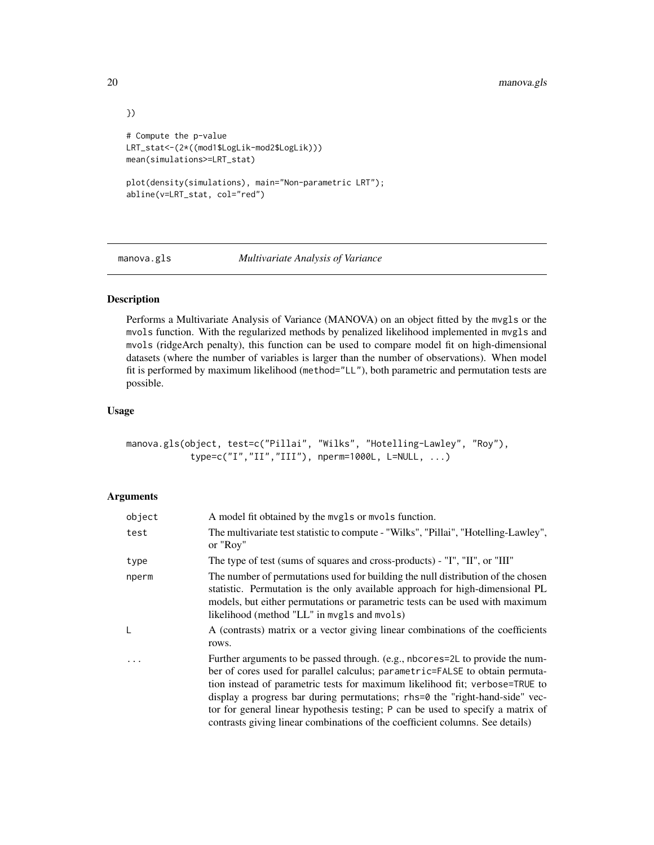```
})
# Compute the p-value
LRT_stat<-(2*((mod1$LogLik-mod2$LogLik)))
mean(simulations>=LRT_stat)
plot(density(simulations), main="Non-parametric LRT");
abline(v=LRT_stat, col="red")
```
<span id="page-19-1"></span>

manova.gls *Multivariate Analysis of Variance*

# Description

Performs a Multivariate Analysis of Variance (MANOVA) on an object fitted by the mvgls or the mvols function. With the regularized methods by penalized likelihood implemented in mvgls and mvols (ridgeArch penalty), this function can be used to compare model fit on high-dimensional datasets (where the number of variables is larger than the number of observations). When model fit is performed by maximum likelihood (method="LL"), both parametric and permutation tests are possible.

# Usage

```
manova.gls(object, test=c("Pillai", "Wilks", "Hotelling-Lawley", "Roy"),
            type=c("I","II","III"), nperm=1000L, L=NULL, ...)
```
# Arguments

| object | A model fit obtained by the mygls or myols function.                                                                                                                                                                                                                                                                                                                                                                                                                                              |
|--------|---------------------------------------------------------------------------------------------------------------------------------------------------------------------------------------------------------------------------------------------------------------------------------------------------------------------------------------------------------------------------------------------------------------------------------------------------------------------------------------------------|
| test   | The multivariate test statistic to compute - "Wilks", "Pillai", "Hotelling-Lawley",<br>or "Roy"                                                                                                                                                                                                                                                                                                                                                                                                   |
| type   | The type of test (sums of squares and cross-products) - "I", "II", or "III"                                                                                                                                                                                                                                                                                                                                                                                                                       |
| nperm  | The number of permutations used for building the null distribution of the chosen<br>statistic. Permutation is the only available approach for high-dimensional PL<br>models, but either permutations or parametric tests can be used with maximum<br>likelihood (method "LL" in mvgls and mvols)                                                                                                                                                                                                  |
| L      | A (contrasts) matrix or a vector giving linear combinations of the coefficients<br>rows.                                                                                                                                                                                                                                                                                                                                                                                                          |
|        | Further arguments to be passed through. (e.g., nbcores=2L to provide the num-<br>ber of cores used for parallel calculus; parametric=FALSE to obtain permuta-<br>tion instead of parametric tests for maximum likelihood fit; verbose=TRUE to<br>display a progress bar during permutations; rhs=0 the "right-hand-side" vec-<br>tor for general linear hypothesis testing; P can be used to specify a matrix of<br>contrasts giving linear combinations of the coefficient columns. See details) |

<span id="page-19-0"></span>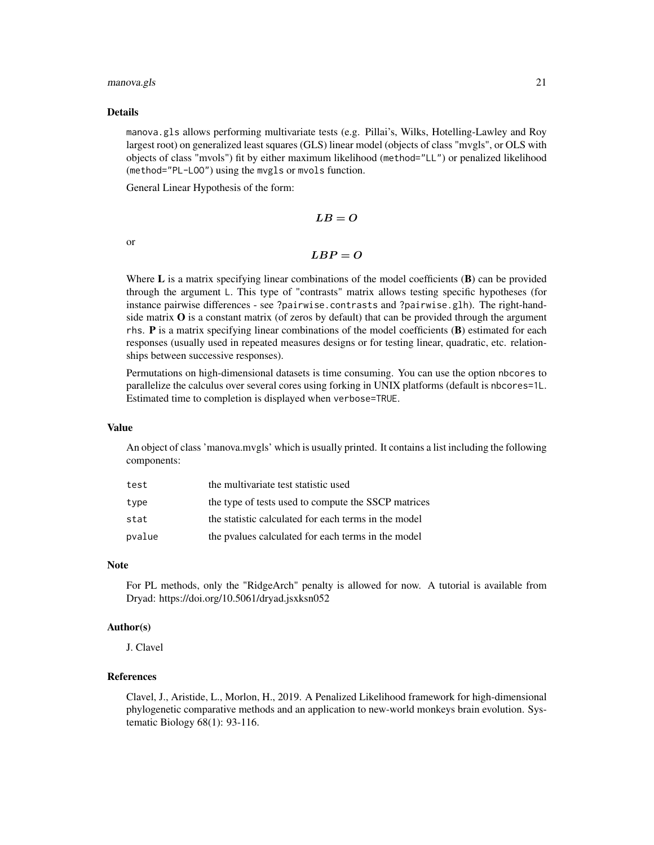#### manova.gls 21

#### Details

manova.gls allows performing multivariate tests (e.g. Pillai's, Wilks, Hotelling-Lawley and Roy largest root) on generalized least squares (GLS) linear model (objects of class "mvgls", or OLS with objects of class "mvols") fit by either maximum likelihood (method="LL") or penalized likelihood (method="PL-LOO") using the mvgls or mvols function.

General Linear Hypothesis of the form:

$$
LB=O
$$

or

$$
LBP=O
$$

Where  $\bf{L}$  is a matrix specifying linear combinations of the model coefficients ( $\bf{B}$ ) can be provided through the argument L. This type of "contrasts" matrix allows testing specific hypotheses (for instance pairwise differences - see ?pairwise.contrasts and ?pairwise.glh). The right-handside matrix  $O$  is a constant matrix (of zeros by default) that can be provided through the argument rhs. P is a matrix specifying linear combinations of the model coefficients (B) estimated for each responses (usually used in repeated measures designs or for testing linear, quadratic, etc. relationships between successive responses).

Permutations on high-dimensional datasets is time consuming. You can use the option nbcores to parallelize the calculus over several cores using forking in UNIX platforms (default is nbcores=1L. Estimated time to completion is displayed when verbose=TRUE.

# Value

An object of class 'manova.mvgls' which is usually printed. It contains a list including the following components:

| test   | the multivariate test statistic used                 |
|--------|------------------------------------------------------|
| type   | the type of tests used to compute the SSCP matrices  |
| stat   | the statistic calculated for each terms in the model |
| pvalue | the pyalues calculated for each terms in the model   |

#### Note

For PL methods, only the "RidgeArch" penalty is allowed for now. A tutorial is available from Dryad: https://doi.org/10.5061/dryad.jsxksn052

# Author(s)

J. Clavel

# References

Clavel, J., Aristide, L., Morlon, H., 2019. A Penalized Likelihood framework for high-dimensional phylogenetic comparative methods and an application to new-world monkeys brain evolution. Systematic Biology 68(1): 93-116.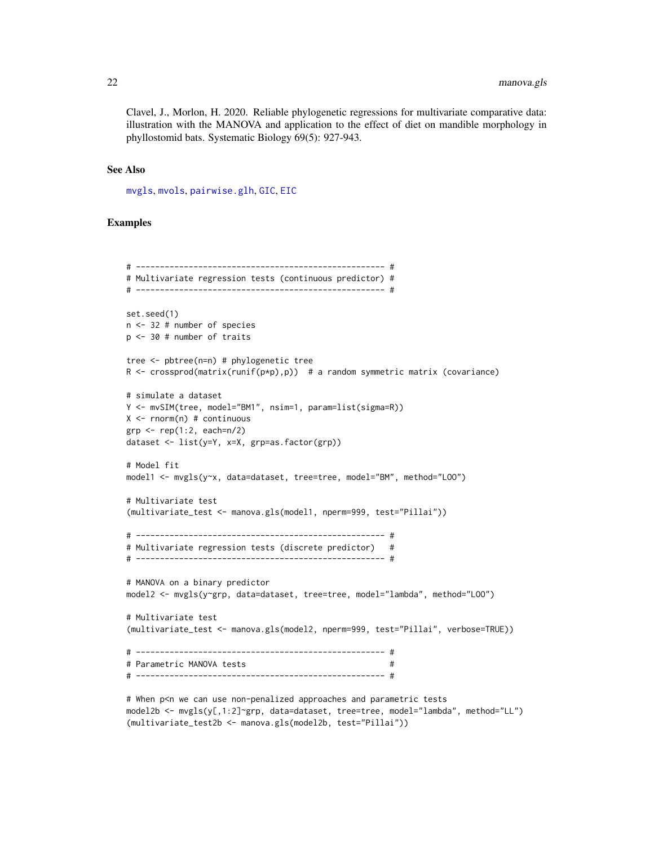Clavel, J., Morlon, H. 2020. Reliable phylogenetic regressions for multivariate comparative data: illustration with the MANOVA and application to the effect of diet on mandible morphology in phyllostomid bats. Systematic Biology 69(5): 927-943.

# See Also

[mvgls](#page-32-1), [mvols](#page-44-1), [pairwise.glh](#page-69-1), [GIC](#page-14-1), [EIC](#page-9-1)

```
# ---------------------------------------------------- #
# Multivariate regression tests (continuous predictor) #
# ---------------------------------------------------- #
set.seed(1)
n <- 32 # number of species
p <- 30 # number of traits
tree <- pbtree(n=n) # phylogenetic tree
R \le crossprod(matrix(runif(p*p),p)) # a random symmetric matrix (covariance)
# simulate a dataset
Y <- mvSIM(tree, model="BM1", nsim=1, param=list(sigma=R))
X \leq -rnorm(n) # continuous
grp \leq -rep(1:2, each=n/2)dataset <- list(y=Y, x=X, grp=as.factor(grp))
# Model fit
model1 <- mvgls(y~x, data=dataset, tree=tree, model="BM", method="LOO")
# Multivariate test
(multivariate_test <- manova.gls(model1, nperm=999, test="Pillai"))
# ---------------------------------------------------- #
# Multivariate regression tests (discrete predictor) #
# ---------------------------------------------------- #
# MANOVA on a binary predictor
model2 <- mvgls(y~grp, data=dataset, tree=tree, model="lambda", method="L00")
# Multivariate test
(multivariate_test <- manova.gls(model2, nperm=999, test="Pillai", verbose=TRUE))
# ---------------------------------------------------- #
# Parametric MANOVA tests #
# ---------------------------------------------------- #
```

```
# When p<n we can use non-penalized approaches and parametric tests
model2b <- mvgls(y[,1:2]~grp, data=dataset, tree=tree, model="lambda", method="LL")
(multivariate_test2b <- manova.gls(model2b, test="Pillai"))
```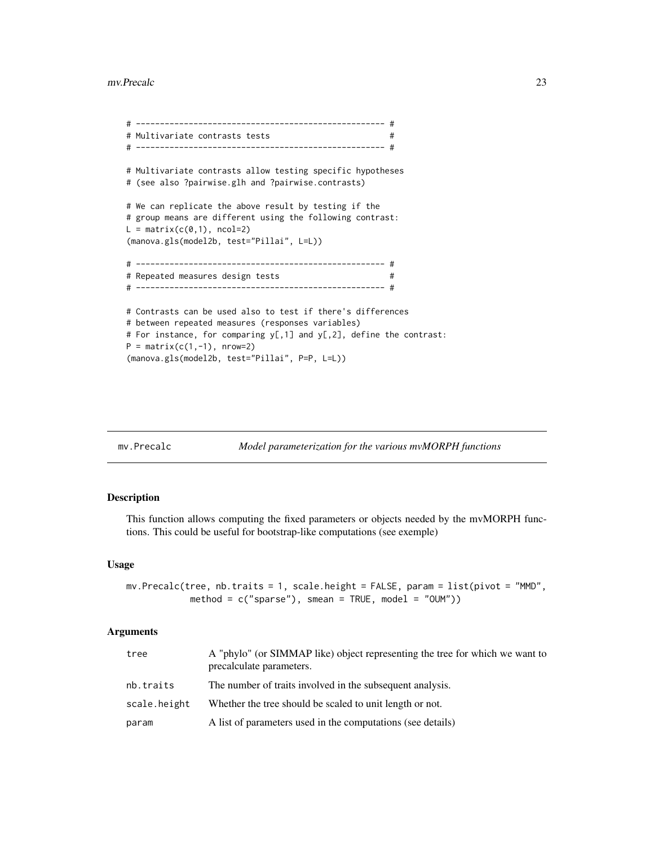#### <span id="page-22-0"></span>mv.Precalc 23

```
# ---------------------------------------------------- #
# Multivariate contrasts tests #
# ---------------------------------------------------- #
# Multivariate contrasts allow testing specific hypotheses
# (see also ?pairwise.glh and ?pairwise.contrasts)
# We can replicate the above result by testing if the
# group means are different using the following contrast:
L = matrix(c(0,1), ncol=2)(manova.gls(model2b, test="Pillai", L=L))
# ---------------------------------------------------- #
# Repeated measures design tests #
# ---------------------------------------------------- #
# Contrasts can be used also to test if there's differences
# between repeated measures (responses variables)
# For instance, for comparing y[,1] and y[,2], define the contrast:
P = matrix(c(1, -1), nrow=2)(manova.gls(model2b, test="Pillai", P=P, L=L))
```

| Model parameterization for the various mvMORPH functions<br>mv.Precalc |
|------------------------------------------------------------------------|
|------------------------------------------------------------------------|

#### Description

This function allows computing the fixed parameters or objects needed by the mvMORPH functions. This could be useful for bootstrap-like computations (see exemple)

#### Usage

```
mv.Precalc(tree, nb.traits = 1, scale.height = FALSE, param = list(pivot = "MMD",
            method = c("sparse"), smean = TRUE, model = "OUM"))
```
#### Arguments

| tree         | A "phylo" (or SIMMAP like) object representing the tree for which we want to<br>precalculate parameters. |
|--------------|----------------------------------------------------------------------------------------------------------|
| nb.traits    | The number of traits involved in the subsequent analysis.                                                |
| scale.height | Whether the tree should be scaled to unit length or not.                                                 |
| param        | A list of parameters used in the computations (see details)                                              |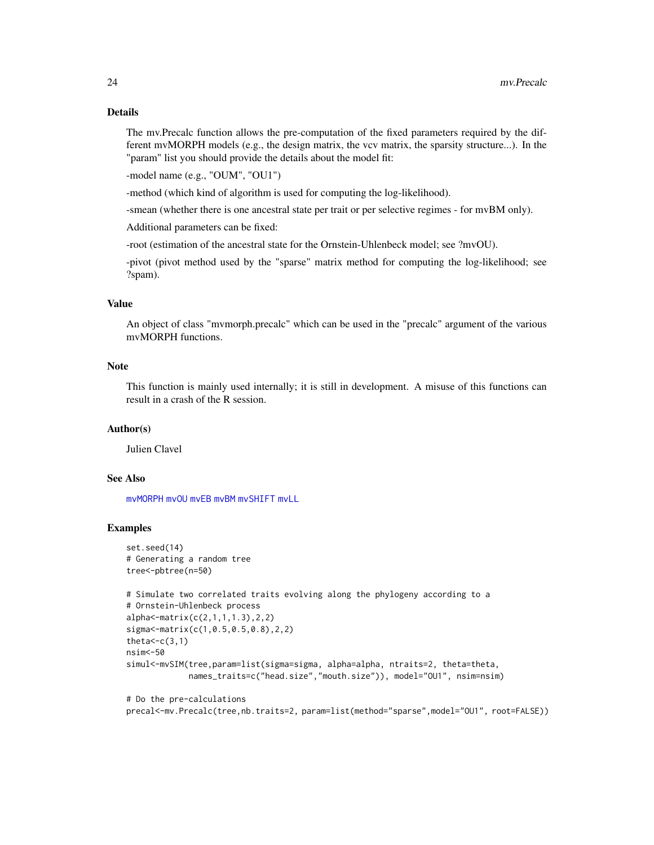The mv.Precalc function allows the pre-computation of the fixed parameters required by the different mvMORPH models (e.g., the design matrix, the vcv matrix, the sparsity structure...). In the "param" list you should provide the details about the model fit:

-model name (e.g., "OUM", "OU1")

-method (which kind of algorithm is used for computing the log-likelihood).

-smean (whether there is one ancestral state per trait or per selective regimes - for mvBM only).

Additional parameters can be fixed:

-root (estimation of the ancestral state for the Ornstein-Uhlenbeck model; see ?mvOU).

-pivot (pivot method used by the "sparse" matrix method for computing the log-likelihood; see ?spam).

# Value

An object of class "mvmorph.precalc" which can be used in the "precalc" argument of the various mvMORPH functions.

#### **Note**

This function is mainly used internally; it is still in development. A misuse of this functions can result in a crash of the R session.

# Author(s)

Julien Clavel

# See Also

[mvMORPH](#page-1-1) [mvOU](#page-47-1) [mvEB](#page-29-1) [mvBM](#page-24-1) [mvSHIFT](#page-61-1) [mvLL](#page-40-1)

# Examples

```
set.seed(14)
# Generating a random tree
tree<-pbtree(n=50)
# Simulate two correlated traits evolving along the phylogeny according to a
# Ornstein-Uhlenbeck process
alpha<-matrix(c(2,1,1,1.3),2,2)
sigma<-matrix(c(1,0.5,0.5,0.8),2,2)
theta<-c(3,1)nsim<-50
simul<-mvSIM(tree,param=list(sigma=sigma, alpha=alpha, ntraits=2, theta=theta,
             names_traits=c("head.size","mouth.size")), model="OU1", nsim=nsim)
```
# Do the pre-calculations precal<-mv.Precalc(tree,nb.traits=2, param=list(method="sparse",model="OU1", root=FALSE))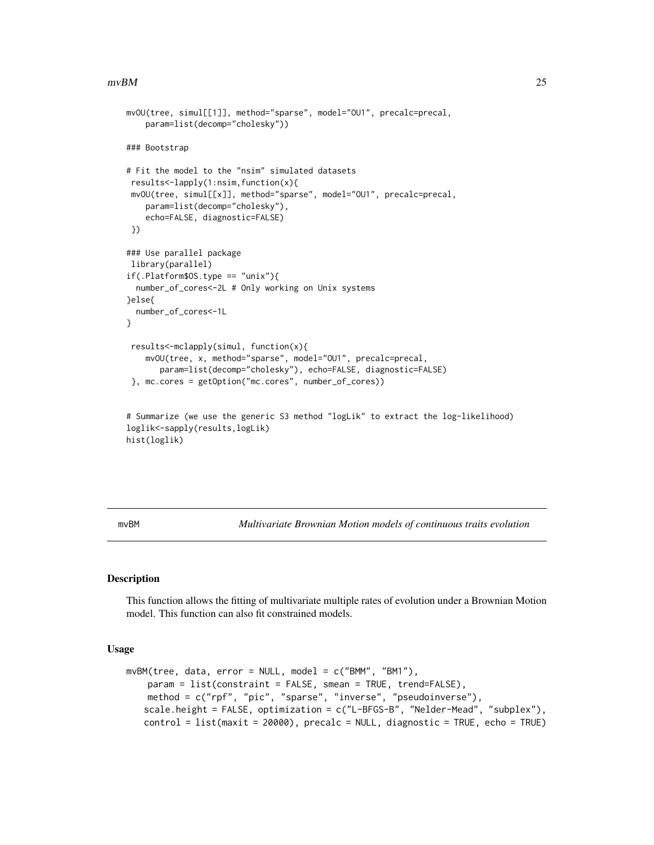#### <span id="page-24-0"></span> $mvBM$  25

```
mvOU(tree, simul[[1]], method="sparse", model="OU1", precalc=precal,
    param=list(decomp="cholesky"))
### Bootstrap
# Fit the model to the "nsim" simulated datasets
results<-lapply(1:nsim,function(x){
mvOU(tree, simul[[x]], method="sparse", model="OU1", precalc=precal,
   param=list(decomp="cholesky"),
    echo=FALSE, diagnostic=FALSE)
})
### Use parallel package
library(parallel)
if(.Platform$OS.type == "unix"){
 number_of_cores<-2L # Only working on Unix systems
}else{
 number_of_cores<-1L
}
results<-mclapply(simul, function(x){
    mvOU(tree, x, method="sparse", model="OU1", precalc=precal,
      param=list(decomp="cholesky"), echo=FALSE, diagnostic=FALSE)
 }, mc.cores = getOption("mc.cores", number_of_cores))
# Summarize (we use the generic S3 method "logLik" to extract the log-likelihood)
loglik<-sapply(results,logLik)
```

```
hist(loglik)
```
<span id="page-24-1"></span>mvBM *Multivariate Brownian Motion models of continuous traits evolution*

# Description

This function allows the fitting of multivariate multiple rates of evolution under a Brownian Motion model. This function can also fit constrained models.

#### Usage

```
mvBM(tree, data, error = NULL, model = c("BMM", "BM1"),param = list(constraint = FALSE, smean = TRUE, trend=FALSE),
   method = c("rpf", "pic", "sparse", "inverse", "pseudoinverse"),
   scale.height = FALSE, optimization = c("L-BFGS-B", "Nelder-Mead", "subplex"),
   control = list(maxit = 20000), precalc = NULL, diagnostic = TRUE, echo = TRUE)
```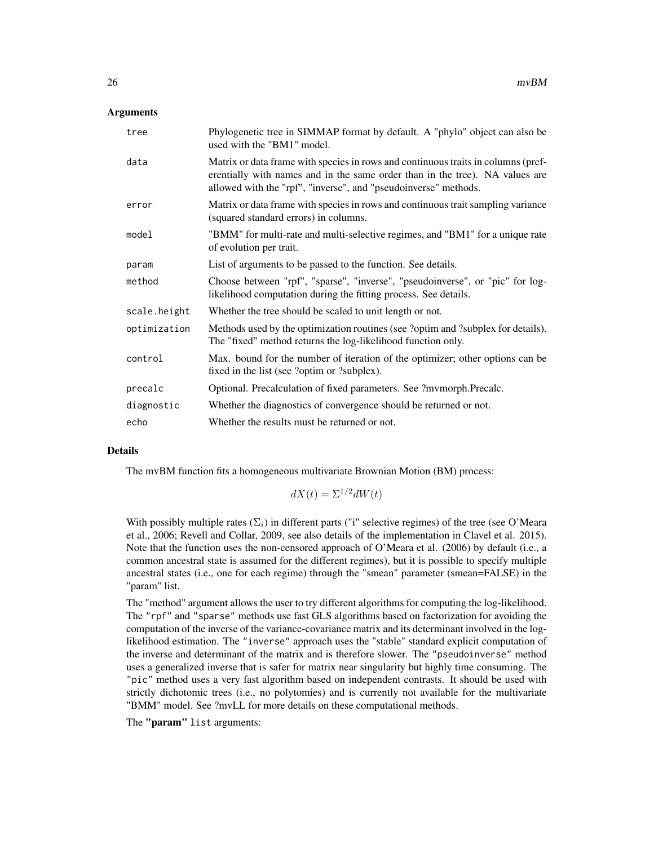# Arguments

| tree         | Phylogenetic tree in SIMMAP format by default. A "phylo" object can also be<br>used with the "BM1" model.                                                                                                                            |
|--------------|--------------------------------------------------------------------------------------------------------------------------------------------------------------------------------------------------------------------------------------|
| data         | Matrix or data frame with species in rows and continuous traits in columns (pref-<br>erentially with names and in the same order than in the tree). NA values are<br>allowed with the "rpf", "inverse", and "pseudoinverse" methods. |
| error        | Matrix or data frame with species in rows and continuous trait sampling variance<br>(squared standard errors) in columns.                                                                                                            |
| model        | "BMM" for multi-rate and multi-selective regimes, and "BM1" for a unique rate<br>of evolution per trait.                                                                                                                             |
| param        | List of arguments to be passed to the function. See details.                                                                                                                                                                         |
| method       | Choose between "rpf", "sparse", "inverse", "pseudoinverse", or "pic" for log-<br>likelihood computation during the fitting process. See details.                                                                                     |
| scale.height | Whether the tree should be scaled to unit length or not.                                                                                                                                                                             |
| optimization | Methods used by the optimization routines (see ?optim and ?subplex for details).<br>The "fixed" method returns the log-likelihood function only.                                                                                     |
| control      | Max. bound for the number of iteration of the optimizer; other options can be<br>fixed in the list (see ?optim or ?subplex).                                                                                                         |
| precalc      | Optional. Precalculation of fixed parameters. See ?mvmorph.Precalc.                                                                                                                                                                  |
| diagnostic   | Whether the diagnostics of convergence should be returned or not.                                                                                                                                                                    |
| echo         | Whether the results must be returned or not.                                                                                                                                                                                         |

# Details

The mvBM function fits a homogeneous multivariate Brownian Motion (BM) process:

$$
dX(t) = \Sigma^{1/2} dW(t)
$$

With possibly multiple rates  $(\Sigma_i)$  in different parts ("i" selective regimes) of the tree (see O'Meara et al., 2006; Revell and Collar, 2009, see also details of the implementation in Clavel et al. 2015). Note that the function uses the non-censored approach of O'Meara et al. (2006) by default (i.e., a common ancestral state is assumed for the different regimes), but it is possible to specify multiple ancestral states (i.e., one for each regime) through the "smean" parameter (smean=FALSE) in the "param" list.

The "method" argument allows the user to try different algorithms for computing the log-likelihood. The "rpf" and "sparse" methods use fast GLS algorithms based on factorization for avoiding the computation of the inverse of the variance-covariance matrix and its determinant involved in the loglikelihood estimation. The "inverse" approach uses the "stable" standard explicit computation of the inverse and determinant of the matrix and is therefore slower. The "pseudoinverse" method uses a generalized inverse that is safer for matrix near singularity but highly time consuming. The "pic" method uses a very fast algorithm based on independent contrasts. It should be used with strictly dichotomic trees (i.e., no polytomies) and is currently not available for the multivariate "BMM" model. See ?mvLL for more details on these computational methods.

The "param" list arguments: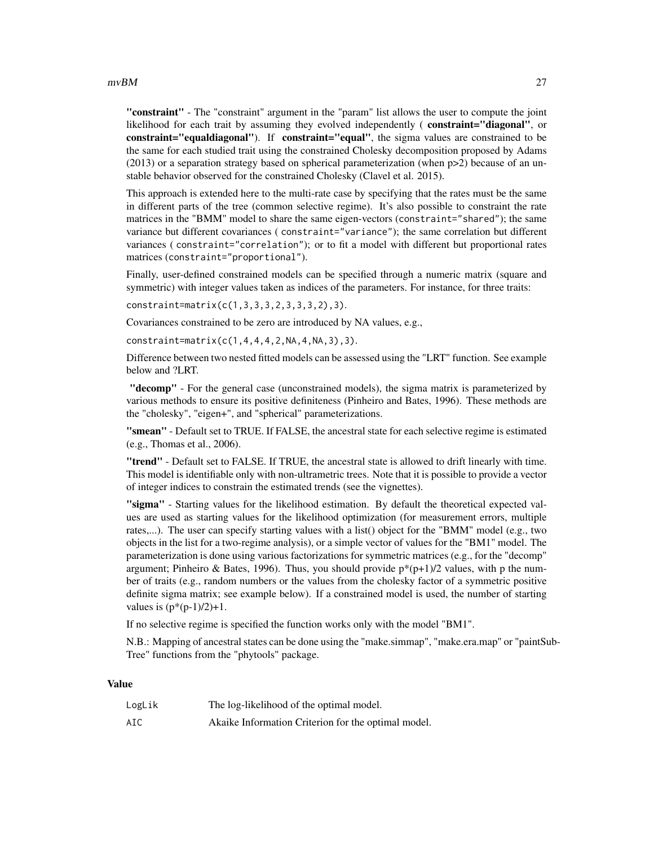#### $mvBM$  27

"constraint" - The "constraint" argument in the "param" list allows the user to compute the joint likelihood for each trait by assuming they evolved independently (constraint="diagonal", or constraint="equaldiagonal"). If constraint="equal", the sigma values are constrained to be the same for each studied trait using the constrained Cholesky decomposition proposed by Adams (2013) or a separation strategy based on spherical parameterization (when p>2) because of an unstable behavior observed for the constrained Cholesky (Clavel et al. 2015).

This approach is extended here to the multi-rate case by specifying that the rates must be the same in different parts of the tree (common selective regime). It's also possible to constraint the rate matrices in the "BMM" model to share the same eigen-vectors (constraint="shared"); the same variance but different covariances ( constraint="variance"); the same correlation but different variances ( constraint="correlation"); or to fit a model with different but proportional rates matrices (constraint="proportional").

Finally, user-defined constrained models can be specified through a numeric matrix (square and symmetric) with integer values taken as indices of the parameters. For instance, for three traits:

constraint=matrix(c(1,3,3,3,2,3,3,3,2),3).

Covariances constrained to be zero are introduced by NA values, e.g.,

constraint=matrix(c(1,4,4,4,2,NA,4,NA,3),3).

Difference between two nested fitted models can be assessed using the "LRT" function. See example below and ?LRT.

"decomp" - For the general case (unconstrained models), the sigma matrix is parameterized by various methods to ensure its positive definiteness (Pinheiro and Bates, 1996). These methods are the "cholesky", "eigen+", and "spherical" parameterizations.

"smean" - Default set to TRUE. If FALSE, the ancestral state for each selective regime is estimated (e.g., Thomas et al., 2006).

"trend" - Default set to FALSE. If TRUE, the ancestral state is allowed to drift linearly with time. This model is identifiable only with non-ultrametric trees. Note that it is possible to provide a vector of integer indices to constrain the estimated trends (see the vignettes).

"sigma" - Starting values for the likelihood estimation. By default the theoretical expected values are used as starting values for the likelihood optimization (for measurement errors, multiple rates,...). The user can specify starting values with a list() object for the "BMM" model (e.g., two objects in the list for a two-regime analysis), or a simple vector of values for the "BM1" model. The parameterization is done using various factorizations for symmetric matrices (e.g., for the "decomp" argument; Pinheiro & Bates, 1996). Thus, you should provide  $p^*(p+1)/2$  values, with p the number of traits (e.g., random numbers or the values from the cholesky factor of a symmetric positive definite sigma matrix; see example below). If a constrained model is used, the number of starting values is  $(p*(p-1)/2)+1$ .

If no selective regime is specified the function works only with the model "BM1".

N.B.: Mapping of ancestral states can be done using the "make.simmap", "make.era.map" or "paintSub-Tree" functions from the "phytools" package.

#### Value

| LogLik | The log-likelihood of the optimal model.            |
|--------|-----------------------------------------------------|
| AIC    | Akaike Information Criterion for the optimal model. |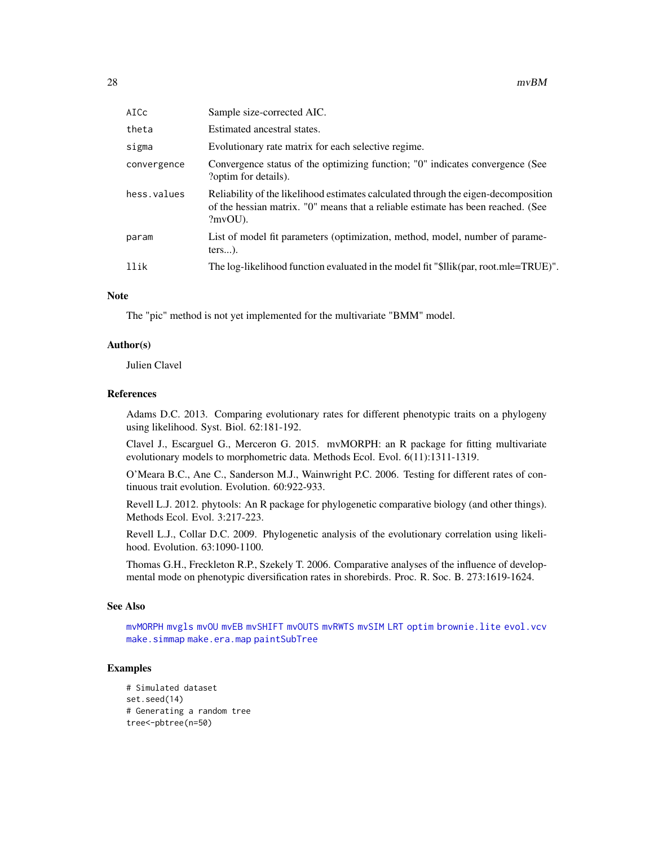| AICc        | Sample size-corrected AIC.                                                                                                                                                           |
|-------------|--------------------------------------------------------------------------------------------------------------------------------------------------------------------------------------|
| theta       | Estimated ancestral states.                                                                                                                                                          |
| sigma       | Evolutionary rate matrix for each selective regime.                                                                                                                                  |
| convergence | Convergence status of the optimizing function; "0" indicates convergence (See<br>?optim for details).                                                                                |
| hess.values | Reliability of the likelihood estimates calculated through the eigen-decomposition<br>of the hessian matrix. "O" means that a reliable estimate has been reached. (See<br>$?mvOU$ ). |
| param       | List of model fit parameters (optimization, method, model, number of parame-<br>$ters$ ).                                                                                            |
| llik        | The log-likelihood function evaluated in the model fit "\$llik(par, root.mle=TRUE)".                                                                                                 |

#### **Note**

The "pic" method is not yet implemented for the multivariate "BMM" model.

#### Author(s)

Julien Clavel

# References

Adams D.C. 2013. Comparing evolutionary rates for different phenotypic traits on a phylogeny using likelihood. Syst. Biol. 62:181-192.

Clavel J., Escarguel G., Merceron G. 2015. mvMORPH: an R package for fitting multivariate evolutionary models to morphometric data. Methods Ecol. Evol. 6(11):1311-1319.

O'Meara B.C., Ane C., Sanderson M.J., Wainwright P.C. 2006. Testing for different rates of continuous trait evolution. Evolution. 60:922-933.

Revell L.J. 2012. phytools: An R package for phylogenetic comparative biology (and other things). Methods Ecol. Evol. 3:217-223.

Revell L.J., Collar D.C. 2009. Phylogenetic analysis of the evolutionary correlation using likelihood. Evolution. 63:1090-1100.

Thomas G.H., Freckleton R.P., Szekely T. 2006. Comparative analyses of the influence of developmental mode on phenotypic diversification rates in shorebirds. Proc. R. Soc. B. 273:1619-1624.

# See Also

[mvMORPH](#page-1-1) [mvgls](#page-32-1) [mvOU](#page-47-1) [mvEB](#page-29-1) [mvSHIFT](#page-61-1) [mvOUTS](#page-52-1) [mvRWTS](#page-58-1) [mvSIM](#page-65-1) [LRT](#page-17-1) [optim](#page-0-0) [brownie.lite](#page-0-0) [evol.vcv](#page-0-0) [make.simmap](#page-0-0) [make.era.map](#page-0-0) [paintSubTree](#page-0-0)

```
# Simulated dataset
set.seed(14)
# Generating a random tree
tree<-pbtree(n=50)
```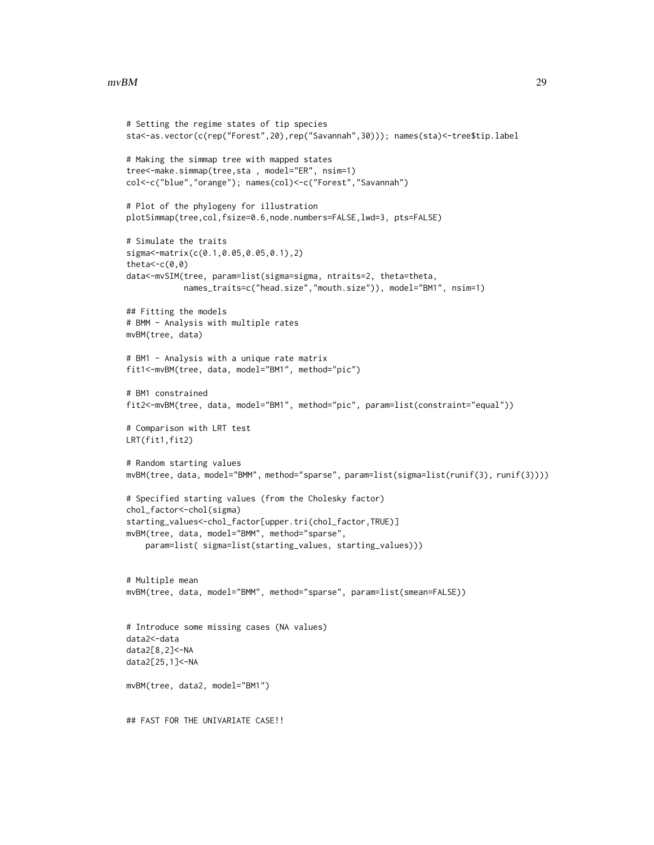#### $mvBM$  29

```
# Setting the regime states of tip species
sta<-as.vector(c(rep("Forest",20),rep("Savannah",30))); names(sta)<-tree$tip.label
# Making the simmap tree with mapped states
tree<-make.simmap(tree,sta , model="ER", nsim=1)
col<-c("blue","orange"); names(col)<-c("Forest","Savannah")
# Plot of the phylogeny for illustration
plotSimmap(tree,col,fsize=0.6,node.numbers=FALSE,lwd=3, pts=FALSE)
# Simulate the traits
sigma<-matrix(c(0.1,0.05,0.05,0.1),2)
theta<-c(0,0)data<-mvSIM(tree, param=list(sigma=sigma, ntraits=2, theta=theta,
            names_traits=c("head.size","mouth.size")), model="BM1", nsim=1)
## Fitting the models
# BMM - Analysis with multiple rates
mvBM(tree, data)
# BM1 - Analysis with a unique rate matrix
fit1<-mvBM(tree, data, model="BM1", method="pic")
# BM1 constrained
fit2<-mvBM(tree, data, model="BM1", method="pic", param=list(constraint="equal"))
# Comparison with LRT test
LRT(fit1,fit2)
# Random starting values
mvBM(tree, data, model="BMM", method="sparse", param=list(sigma=list(runif(3), runif(3))))
# Specified starting values (from the Cholesky factor)
chol_factor<-chol(sigma)
starting_values<-chol_factor[upper.tri(chol_factor,TRUE)]
mvBM(tree, data, model="BMM", method="sparse",
    param=list( sigma=list(starting_values, starting_values)))
# Multiple mean
mvBM(tree, data, model="BMM", method="sparse", param=list(smean=FALSE))
# Introduce some missing cases (NA values)
data2<-data
data2[8,2]<-NA
data2[25,1]<-NA
mvBM(tree, data2, model="BM1")
## FAST FOR THE UNIVARIATE CASE!!
```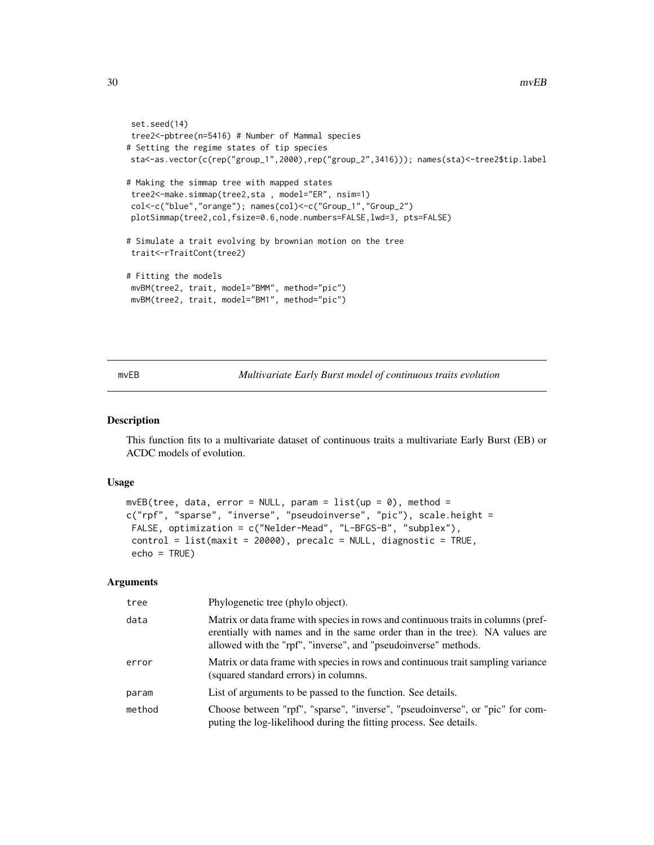```
set.seed(14)
tree2<-pbtree(n=5416) # Number of Mammal species
# Setting the regime states of tip species
sta<-as.vector(c(rep("group_1",2000),rep("group_2",3416))); names(sta)<-tree2$tip.label
# Making the simmap tree with mapped states
tree2<-make.simmap(tree2,sta , model="ER", nsim=1)
col<-c("blue","orange"); names(col)<-c("Group_1","Group_2")
plotSimmap(tree2,col,fsize=0.6,node.numbers=FALSE,lwd=3, pts=FALSE)
# Simulate a trait evolving by brownian motion on the tree
trait<-rTraitCont(tree2)
# Fitting the models
mvBM(tree2, trait, model="BMM", method="pic")
mvBM(tree2, trait, model="BM1", method="pic")
```
<span id="page-29-1"></span>mvEB *Multivariate Early Burst model of continuous traits evolution*

#### Description

This function fits to a multivariate dataset of continuous traits a multivariate Early Burst (EB) or ACDC models of evolution.

# Usage

```
mvEB(tree, data, error = NULL, param = list(up = 0), method =c("rpf", "sparse", "inverse", "pseudoinverse", "pic"), scale.height =
FALSE, optimization = c("Nelder-Mead", "L-BFGS-B", "subplex"),
 control = list(maxit = 20000), precalc = NULL, diagnostic = TRUE,
 echo = TRUE)
```
# Arguments

| tree   | Phylogenetic tree (phylo object).                                                                                                                                                                                                    |
|--------|--------------------------------------------------------------------------------------------------------------------------------------------------------------------------------------------------------------------------------------|
| data   | Matrix or data frame with species in rows and continuous traits in columns (pref-<br>erentially with names and in the same order than in the tree). NA values are<br>allowed with the "rpf", "inverse", and "pseudoinverse" methods. |
| error  | Matrix or data frame with species in rows and continuous trait sampling variance<br>(squared standard errors) in columns.                                                                                                            |
| param  | List of arguments to be passed to the function. See details.                                                                                                                                                                         |
| method | Choose between "rpf", "sparse", "inverse", "pseudoinverse", or "pic" for com-<br>puting the log-likelihood during the fitting process. See details.                                                                                  |

<span id="page-29-0"></span>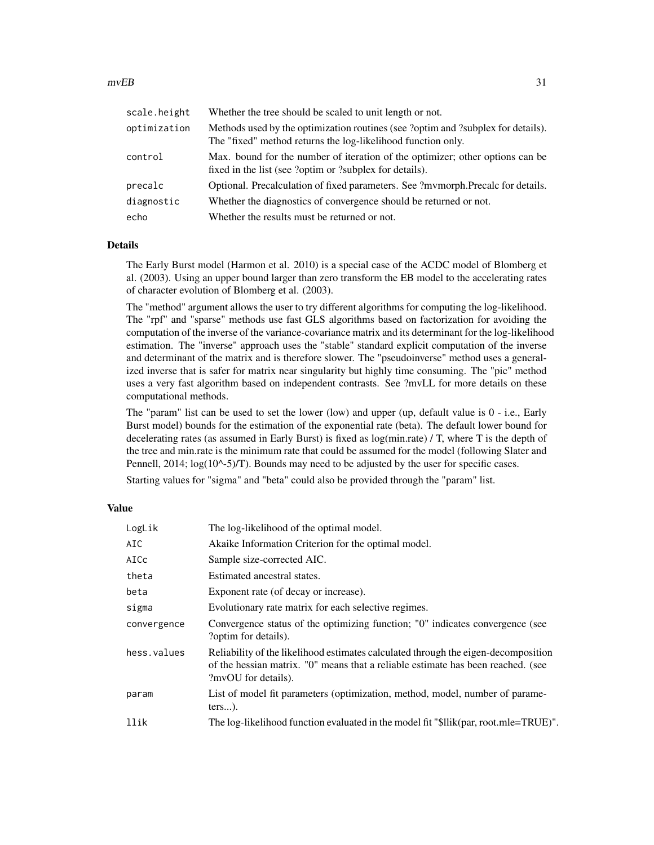| scale.height | Whether the tree should be scaled to unit length or not.                                                                                         |
|--------------|--------------------------------------------------------------------------------------------------------------------------------------------------|
| optimization | Methods used by the optimization routines (see ?optim and ?subplex for details).<br>The "fixed" method returns the log-likelihood function only. |
| control      | Max, bound for the number of iteration of the optimizer; other options can be<br>fixed in the list (see ?optim or ?subplex for details).         |
| precalc      | Optional. Precalculation of fixed parameters. See ?mymorph.Precalc for details.                                                                  |
| diagnostic   | Whether the diagnostics of convergence should be returned or not.                                                                                |
| echo         | Whether the results must be returned or not.                                                                                                     |

# Details

The Early Burst model (Harmon et al. 2010) is a special case of the ACDC model of Blomberg et al. (2003). Using an upper bound larger than zero transform the EB model to the accelerating rates of character evolution of Blomberg et al. (2003).

The "method" argument allows the user to try different algorithms for computing the log-likelihood. The "rpf" and "sparse" methods use fast GLS algorithms based on factorization for avoiding the computation of the inverse of the variance-covariance matrix and its determinant for the log-likelihood estimation. The "inverse" approach uses the "stable" standard explicit computation of the inverse and determinant of the matrix and is therefore slower. The "pseudoinverse" method uses a generalized inverse that is safer for matrix near singularity but highly time consuming. The "pic" method uses a very fast algorithm based on independent contrasts. See ?mvLL for more details on these computational methods.

The "param" list can be used to set the lower (low) and upper (up, default value is 0 - i.e., Early Burst model) bounds for the estimation of the exponential rate (beta). The default lower bound for decelerating rates (as assumed in Early Burst) is fixed as log(min.rate) / T, where T is the depth of the tree and min.rate is the minimum rate that could be assumed for the model (following Slater and Pennell,  $2014$ ;  $\log(10^{\circ}-5)$ /T). Bounds may need to be adjusted by the user for specific cases.

Starting values for "sigma" and "beta" could also be provided through the "param" list.

# Value

| LogLik      | The log-likelihood of the optimal model.                                                                                                                                                      |
|-------------|-----------------------------------------------------------------------------------------------------------------------------------------------------------------------------------------------|
| AIC         | Akaike Information Criterion for the optimal model.                                                                                                                                           |
| AICc        | Sample size-corrected AIC.                                                                                                                                                                    |
| theta       | Estimated ancestral states.                                                                                                                                                                   |
| beta        | Exponent rate (of decay or increase).                                                                                                                                                         |
| sigma       | Evolutionary rate matrix for each selective regimes.                                                                                                                                          |
| convergence | Convergence status of the optimizing function; "0" indicates convergence (see<br>?optim for details).                                                                                         |
| hess.values | Reliability of the likelihood estimates calculated through the eigen-decomposition<br>of the hessian matrix. "O" means that a reliable estimate has been reached. (see<br>?mvOU for details). |
| param       | List of model fit parameters (optimization, method, model, number of parame-<br>$ters$ ).                                                                                                     |
| llik        | The log-likelihood function evaluated in the model fit "\$llik(par, root.mle=TRUE)".                                                                                                          |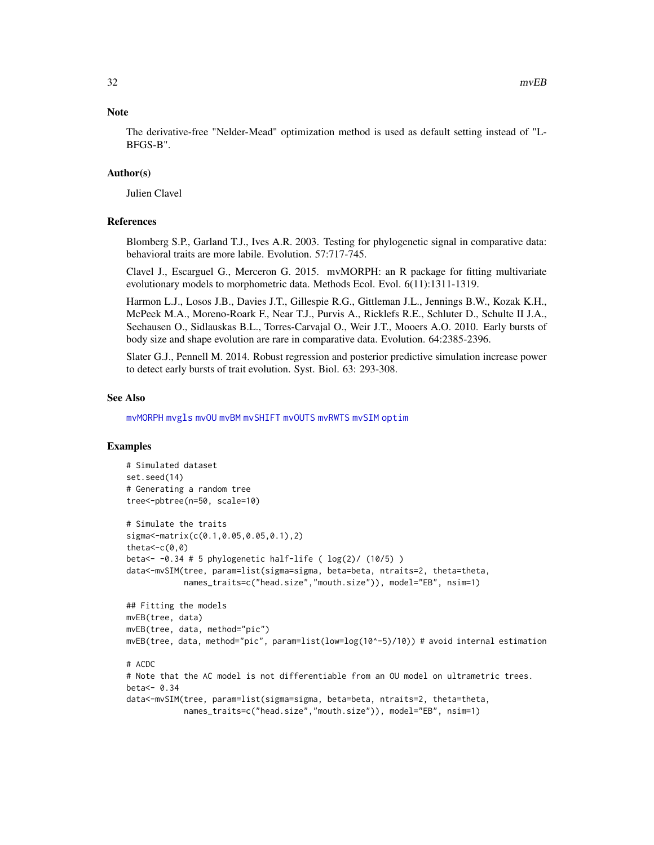# **Note**

The derivative-free "Nelder-Mead" optimization method is used as default setting instead of "L-BFGS-B".

# Author(s)

Julien Clavel

# References

Blomberg S.P., Garland T.J., Ives A.R. 2003. Testing for phylogenetic signal in comparative data: behavioral traits are more labile. Evolution. 57:717-745.

Clavel J., Escarguel G., Merceron G. 2015. mvMORPH: an R package for fitting multivariate evolutionary models to morphometric data. Methods Ecol. Evol. 6(11):1311-1319.

Harmon L.J., Losos J.B., Davies J.T., Gillespie R.G., Gittleman J.L., Jennings B.W., Kozak K.H., McPeek M.A., Moreno-Roark F., Near T.J., Purvis A., Ricklefs R.E., Schluter D., Schulte II J.A., Seehausen O., Sidlauskas B.L., Torres-Carvajal O., Weir J.T., Mooers A.O. 2010. Early bursts of body size and shape evolution are rare in comparative data. Evolution. 64:2385-2396.

Slater G.J., Pennell M. 2014. Robust regression and posterior predictive simulation increase power to detect early bursts of trait evolution. Syst. Biol. 63: 293-308.

# See Also

[mvMORPH](#page-1-1) [mvgls](#page-32-1) [mvOU](#page-47-1) [mvBM](#page-24-1) [mvSHIFT](#page-61-1) [mvOUTS](#page-52-1) [mvRWTS](#page-58-1) [mvSIM](#page-65-1) [optim](#page-0-0)

```
# Simulated dataset
set.seed(14)
# Generating a random tree
tree<-pbtree(n=50, scale=10)
# Simulate the traits
sigma<-matrix(c(0.1,0.05,0.05,0.1),2)
theta<-c(0,0)beta<- -0.34 # 5 phylogenetic half-life ( log(2)/ (10/5) )
data<-mvSIM(tree, param=list(sigma=sigma, beta=beta, ntraits=2, theta=theta,
            names_traits=c("head.size","mouth.size")), model="EB", nsim=1)
## Fitting the models
mvEB(tree, data)
mvEB(tree, data, method="pic")
mvEB(tree, data, method="pic", param=list(low=log(10^-5)/10)) # avoid internal estimation
# ACDC
# Note that the AC model is not differentiable from an OU model on ultrametric trees.
hat<-0.34data<-mvSIM(tree, param=list(sigma=sigma, beta=beta, ntraits=2, theta=theta,
            names_traits=c("head.size","mouth.size")), model="EB", nsim=1)
```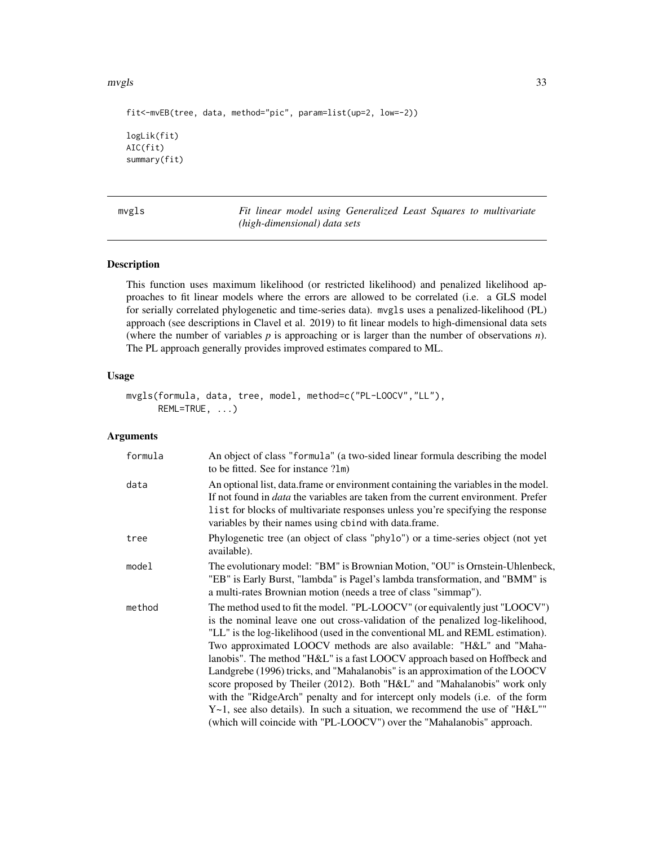<span id="page-32-0"></span>mvgls 33

```
fit<-mvEB(tree, data, method="pic", param=list(up=2, low=-2))
logLik(fit)
AIC(fit)
summary(fit)
```
<span id="page-32-1"></span>mvgls *Fit linear model using Generalized Least Squares to multivariate (high-dimensional) data sets*

# Description

This function uses maximum likelihood (or restricted likelihood) and penalized likelihood approaches to fit linear models where the errors are allowed to be correlated (i.e. a GLS model for serially correlated phylogenetic and time-series data). mvgls uses a penalized-likelihood (PL) approach (see descriptions in Clavel et al. 2019) to fit linear models to high-dimensional data sets (where the number of variables *p* is approaching or is larger than the number of observations *n*). The PL approach generally provides improved estimates compared to ML.

# Usage

```
mvgls(formula, data, tree, model, method=c("PL-LOOCV","LL"),
     REML=TRUE, ...)
```
# Arguments

| formula | An object of class "formula" (a two-sided linear formula describing the model<br>to be fitted. See for instance ?lm)                                                                                                                                                                                                                                                                                                                                                                                                                                                                                                                                                                                                                                                                                           |
|---------|----------------------------------------------------------------------------------------------------------------------------------------------------------------------------------------------------------------------------------------------------------------------------------------------------------------------------------------------------------------------------------------------------------------------------------------------------------------------------------------------------------------------------------------------------------------------------------------------------------------------------------------------------------------------------------------------------------------------------------------------------------------------------------------------------------------|
| data    | An optional list, data.frame or environment containing the variables in the model.<br>If not found in <i>data</i> the variables are taken from the current environment. Prefer<br>list for blocks of multivariate responses unless you're specifying the response<br>variables by their names using cbind with data.frame.                                                                                                                                                                                                                                                                                                                                                                                                                                                                                     |
| tree    | Phylogenetic tree (an object of class "phylo") or a time-series object (not yet<br>available).                                                                                                                                                                                                                                                                                                                                                                                                                                                                                                                                                                                                                                                                                                                 |
| model   | The evolutionary model: "BM" is Brownian Motion, "OU" is Ornstein-Uhlenbeck,<br>"EB" is Early Burst, "lambda" is Pagel's lambda transformation, and "BMM" is<br>a multi-rates Brownian motion (needs a tree of class "simmap").                                                                                                                                                                                                                                                                                                                                                                                                                                                                                                                                                                                |
| method  | The method used to fit the model. "PL-LOOCV" (or equivalently just "LOOCV")<br>is the nominal leave one out cross-validation of the penalized log-likelihood,<br>"LL" is the log-likelihood (used in the conventional ML and REML estimation).<br>Two approximated LOOCV methods are also available: "H&L" and "Maha-<br>lanobis". The method "H&L" is a fast LOOCV approach based on Hoffbeck and<br>Landgrebe (1996) tricks, and "Mahalanobis" is an approximation of the LOOCV<br>score proposed by Theiler (2012). Both "H&L" and "Mahalanobis" work only<br>with the "RidgeArch" penalty and for intercept only models (i.e. of the form<br>$Y \sim 1$ , see also details). In such a situation, we recommend the use of "H&L""<br>(which will coincide with "PL-LOOCV") over the "Mahalanobis" approach. |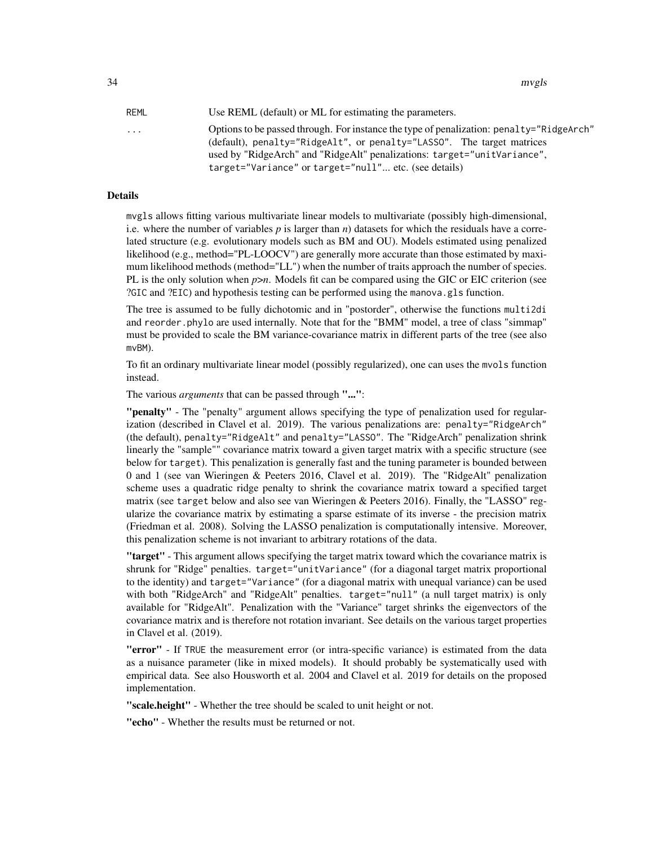34 mvgls

| REML     | Use REML (default) or ML for estimating the parameters.                                                                                                                                                                                                                                                 |
|----------|---------------------------------------------------------------------------------------------------------------------------------------------------------------------------------------------------------------------------------------------------------------------------------------------------------|
| $\cdots$ | Options to be passed through. For instance the type of penalization: penalty="RidgeArch"<br>(default), penalty="RidgeAlt", or penalty="LASSO". The target matrices<br>used by "RidgeArch" and "RidgeAlt" penalizations: target="unitVariance",<br>target="Variance" or target="null" etc. (see details) |

#### Details

mvgls allows fitting various multivariate linear models to multivariate (possibly high-dimensional, i.e. where the number of variables  $p$  is larger than  $n$ ) datasets for which the residuals have a correlated structure (e.g. evolutionary models such as BM and OU). Models estimated using penalized likelihood (e.g., method="PL-LOOCV") are generally more accurate than those estimated by maximum likelihood methods (method="LL") when the number of traits approach the number of species. PL is the only solution when *p*>*n*. Models fit can be compared using the GIC or EIC criterion (see ?GIC and ?EIC) and hypothesis testing can be performed using the manova.gls function.

The tree is assumed to be fully dichotomic and in "postorder", otherwise the functions multi2di and reorder.phylo are used internally. Note that for the "BMM" model, a tree of class "simmap" must be provided to scale the BM variance-covariance matrix in different parts of the tree (see also mvBM).

To fit an ordinary multivariate linear model (possibly regularized), one can uses the mvols function instead.

The various *arguments* that can be passed through "...":

"penalty" - The "penalty" argument allows specifying the type of penalization used for regularization (described in Clavel et al. 2019). The various penalizations are: penalty="RidgeArch" (the default), penalty="RidgeAlt" and penalty="LASSO". The "RidgeArch" penalization shrink linearly the "sample"" covariance matrix toward a given target matrix with a specific structure (see below for target). This penalization is generally fast and the tuning parameter is bounded between 0 and 1 (see van Wieringen & Peeters 2016, Clavel et al. 2019). The "RidgeAlt" penalization scheme uses a quadratic ridge penalty to shrink the covariance matrix toward a specified target matrix (see target below and also see van Wieringen & Peeters 2016). Finally, the "LASSO" regularize the covariance matrix by estimating a sparse estimate of its inverse - the precision matrix (Friedman et al. 2008). Solving the LASSO penalization is computationally intensive. Moreover, this penalization scheme is not invariant to arbitrary rotations of the data.

"target" - This argument allows specifying the target matrix toward which the covariance matrix is shrunk for "Ridge" penalties. target="unitVariance" (for a diagonal target matrix proportional to the identity) and target="Variance" (for a diagonal matrix with unequal variance) can be used with both "RidgeArch" and "RidgeAlt" penalties. target="null" (a null target matrix) is only available for "RidgeAlt". Penalization with the "Variance" target shrinks the eigenvectors of the covariance matrix and is therefore not rotation invariant. See details on the various target properties in Clavel et al. (2019).

"error" - If TRUE the measurement error (or intra-specific variance) is estimated from the data as a nuisance parameter (like in mixed models). It should probably be systematically used with empirical data. See also Housworth et al. 2004 and Clavel et al. 2019 for details on the proposed implementation.

"scale.height" - Whether the tree should be scaled to unit height or not.

"echo" - Whether the results must be returned or not.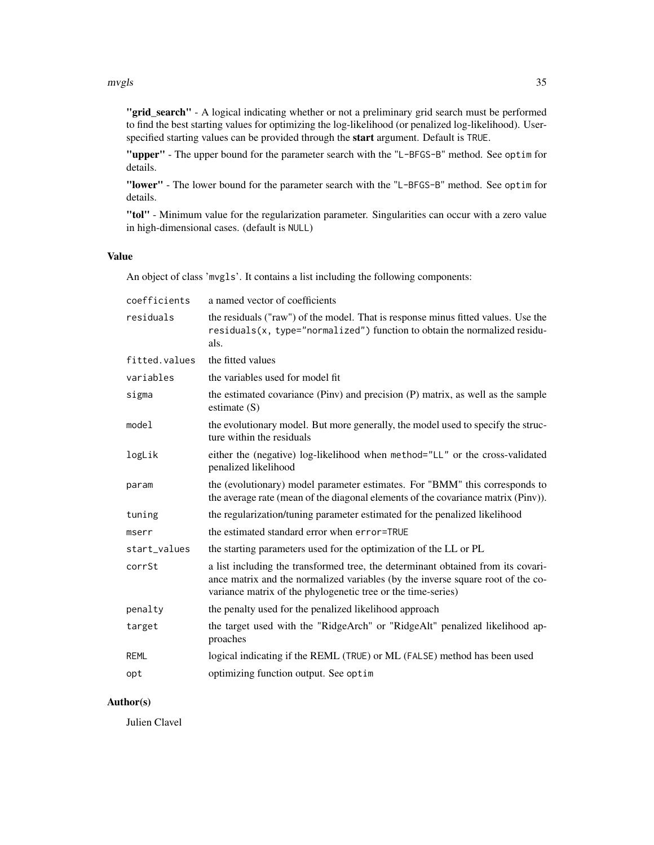"grid\_search" - A logical indicating whether or not a preliminary grid search must be performed to find the best starting values for optimizing the log-likelihood (or penalized log-likelihood). Userspecified starting values can be provided through the start argument. Default is TRUE.

"upper" - The upper bound for the parameter search with the "L-BFGS-B" method. See optim for details.

"lower" - The lower bound for the parameter search with the "L-BFGS-B" method. See optim for details.

"tol" - Minimum value for the regularization parameter. Singularities can occur with a zero value in high-dimensional cases. (default is NULL)

# Value

An object of class 'mvgls'. It contains a list including the following components:

| coefficients  | a named vector of coefficients                                                                                                                                                                                                      |
|---------------|-------------------------------------------------------------------------------------------------------------------------------------------------------------------------------------------------------------------------------------|
| residuals     | the residuals ("raw") of the model. That is response minus fitted values. Use the<br>residuals(x, type="normalized") function to obtain the normalized residu-<br>als.                                                              |
| fitted.values | the fitted values                                                                                                                                                                                                                   |
| variables     | the variables used for model fit                                                                                                                                                                                                    |
| sigma         | the estimated covariance (Piny) and precision (P) matrix, as well as the sample<br>estimate $(S)$                                                                                                                                   |
| model         | the evolutionary model. But more generally, the model used to specify the struc-<br>ture within the residuals                                                                                                                       |
| logLik        | either the (negative) log-likelihood when method="LL" or the cross-validated<br>penalized likelihood                                                                                                                                |
| param         | the (evolutionary) model parameter estimates. For "BMM" this corresponds to<br>the average rate (mean of the diagonal elements of the covariance matrix (Pinv)).                                                                    |
| tuning        | the regularization/tuning parameter estimated for the penalized likelihood                                                                                                                                                          |
| mserr         | the estimated standard error when error=TRUE                                                                                                                                                                                        |
| start_values  | the starting parameters used for the optimization of the LL or PL                                                                                                                                                                   |
| corrSt        | a list including the transformed tree, the determinant obtained from its covari-<br>ance matrix and the normalized variables (by the inverse square root of the co-<br>variance matrix of the phylogenetic tree or the time-series) |
| penalty       | the penalty used for the penalized likelihood approach                                                                                                                                                                              |
| target        | the target used with the "RidgeArch" or "RidgeAlt" penalized likelihood ap-<br>proaches                                                                                                                                             |
| <b>REML</b>   | logical indicating if the REML (TRUE) or ML (FALSE) method has been used                                                                                                                                                            |
| opt           | optimizing function output. See optim                                                                                                                                                                                               |

# Author(s)

Julien Clavel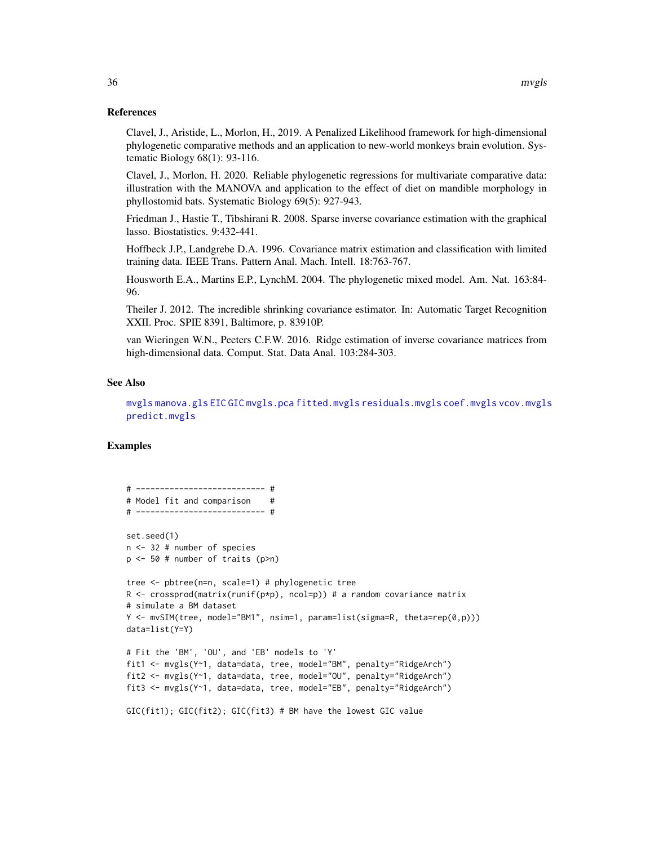# References

Clavel, J., Aristide, L., Morlon, H., 2019. A Penalized Likelihood framework for high-dimensional phylogenetic comparative methods and an application to new-world monkeys brain evolution. Systematic Biology 68(1): 93-116.

Clavel, J., Morlon, H. 2020. Reliable phylogenetic regressions for multivariate comparative data: illustration with the MANOVA and application to the effect of diet on mandible morphology in phyllostomid bats. Systematic Biology 69(5): 927-943.

Friedman J., Hastie T., Tibshirani R. 2008. Sparse inverse covariance estimation with the graphical lasso. Biostatistics. 9:432-441.

Hoffbeck J.P., Landgrebe D.A. 1996. Covariance matrix estimation and classification with limited training data. IEEE Trans. Pattern Anal. Mach. Intell. 18:763-767.

Housworth E.A., Martins E.P., LynchM. 2004. The phylogenetic mixed model. Am. Nat. 163:84- 96.

Theiler J. 2012. The incredible shrinking covariance estimator. In: Automatic Target Recognition XXII. Proc. SPIE 8391, Baltimore, p. 83910P.

van Wieringen W.N., Peeters C.F.W. 2016. Ridge estimation of inverse covariance matrices from high-dimensional data. Comput. Stat. Data Anal. 103:284-303.

#### See Also

[mvgls](#page-32-1) [manova.gls](#page-19-1) [EIC](#page-9-1) [GIC](#page-14-1) [mvgls.pca](#page-38-1) [fitted.mvgls](#page-13-1) [residuals.mvgls](#page-76-1) [coef.mvgls](#page-7-1) [vcov.mvgls](#page-79-1) [predict.mvgls](#page-72-1)

```
# --------------------------- #
# Model fit and comparison
# --------------------------- #
set.seed(1)
n <- 32 # number of species
p <- 50 # number of traits (p>n)
tree <- pbtree(n=n, scale=1) # phylogenetic tree
R \leq crossprod(matrix(runif(p*p), ncol=p)) # a random covariance matrix
# simulate a BM dataset
Y <- mvSIM(tree, model="BM1", nsim=1, param=list(sigma=R, theta=rep(0,p)))
data=list(Y=Y)
# Fit the 'BM', 'OU', and 'EB' models to 'Y'
fit1 <- mvgls(Y~1, data=data, tree, model="BM", penalty="RidgeArch")
fit2 <- mvgls(Y~1, data=data, tree, model="OU", penalty="RidgeArch")
fit3 <- mvgls(Y~1, data=data, tree, model="EB", penalty="RidgeArch")
GIC(fit1); GIC(fit2); GIC(fit3) # BM have the lowest GIC value
```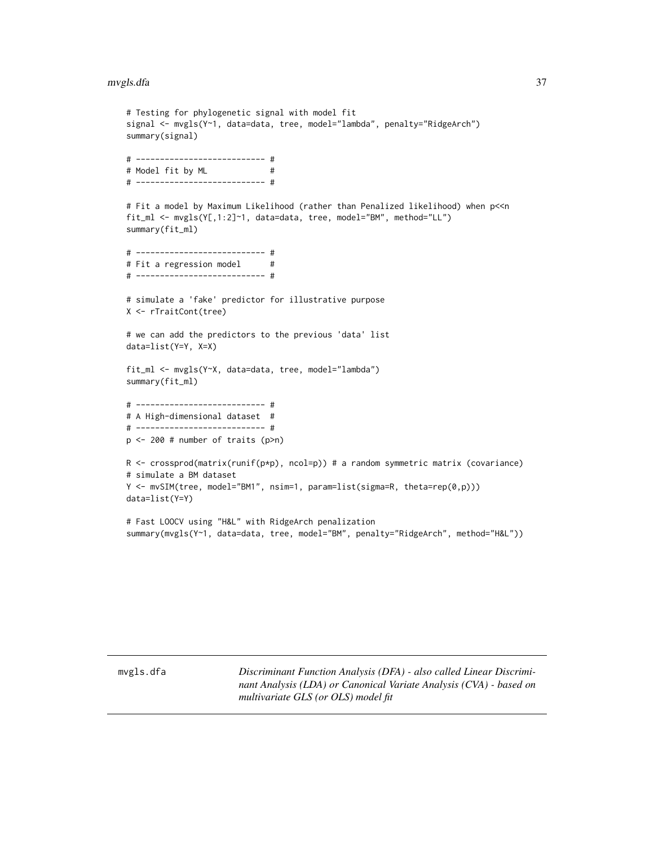## mvgls.dfa 37

```
# Testing for phylogenetic signal with model fit
signal <- mvgls(Y~1, data=data, tree, model="lambda", penalty="RidgeArch")
summary(signal)
# --------------------------- #
# Model fit by ML #
# --------------------------- #
# Fit a model by Maximum Likelihood (rather than Penalized likelihood) when p<<n
fit_ml <- mvgls(Y[,1:2]~1, data=data, tree, model="BM", method="LL")
summary(fit_ml)
# --------------------------- #
# Fit a regression model #
# --------------------------- #
# simulate a 'fake' predictor for illustrative purpose
X <- rTraitCont(tree)
# we can add the predictors to the previous 'data' list
data=list(Y=Y, X=X)
fit_ml <- mvgls(Y~X, data=data, tree, model="lambda")
summary(fit_ml)
# --------------------------- #
# A High-dimensional dataset #
# --------------------------- #
p <- 200 # number of traits (p>n)
R <- crossprod(matrix(runif(p*p), ncol=p)) # a random symmetric matrix (covariance)
# simulate a BM dataset
Y <- mvSIM(tree, model="BM1", nsim=1, param=list(sigma=R, theta=rep(0,p)))
data=list(Y=Y)
# Fast LOOCV using "H&L" with RidgeArch penalization
summary(mvgls(Y~1, data=data, tree, model="BM", penalty="RidgeArch", method="H&L"))
```
mvgls.dfa *Discriminant Function Analysis (DFA) - also called Linear Discriminant Analysis (LDA) or Canonical Variate Analysis (CVA) - based on multivariate GLS (or OLS) model fit*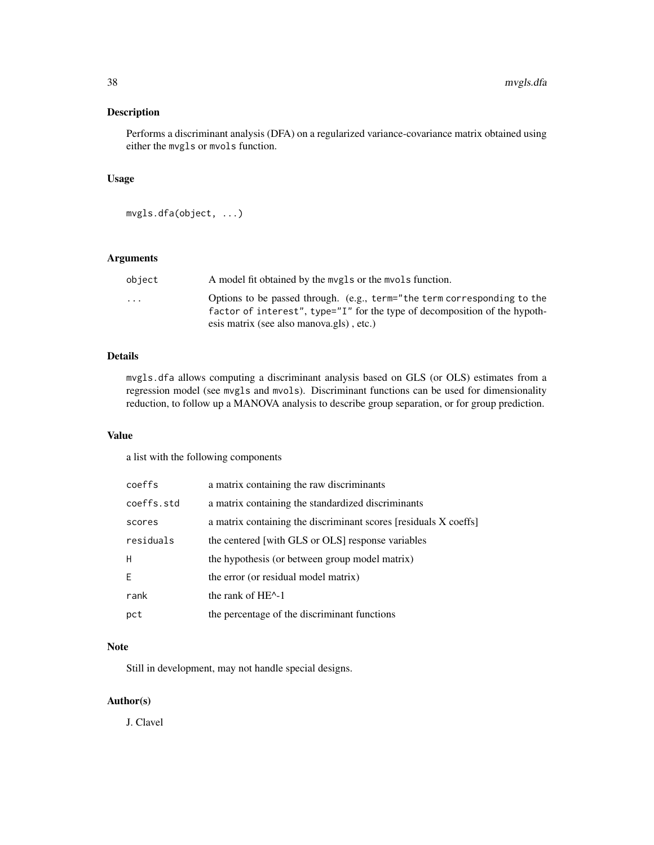# Description

Performs a discriminant analysis (DFA) on a regularized variance-covariance matrix obtained using either the mvgls or mvols function.

# Usage

```
mvgls.dfa(object, ...)
```
# Arguments

| object                  | A model fit obtained by the mygls or the myols function.                                                                                               |
|-------------------------|--------------------------------------------------------------------------------------------------------------------------------------------------------|
| $\cdot$ $\cdot$ $\cdot$ | Options to be passed through. (e.g., term="the term corresponding to the<br>factor of interest", type="I" for the type of decomposition of the hypoth- |
|                         | esis matrix (see also manova.gls), etc.)                                                                                                               |

# Details

mvgls.dfa allows computing a discriminant analysis based on GLS (or OLS) estimates from a regression model (see mvgls and mvols). Discriminant functions can be used for dimensionality reduction, to follow up a MANOVA analysis to describe group separation, or for group prediction.

# Value

a list with the following components

| coeffs     | a matrix containing the raw discriminants                        |
|------------|------------------------------------------------------------------|
| coeffs.std | a matrix containing the standardized discriminants               |
| scores     | a matrix containing the discriminant scores [residuals X coeffs] |
| residuals  | the centered [with GLS or OLS] response variables                |
| H          | the hypothesis (or between group model matrix)                   |
| E          | the error (or residual model matrix)                             |
| rank       | the rank of $HE^{\wedge}-1$                                      |
| pct        | the percentage of the discriminant functions                     |

# Note

Still in development, may not handle special designs.

# Author(s)

J. Clavel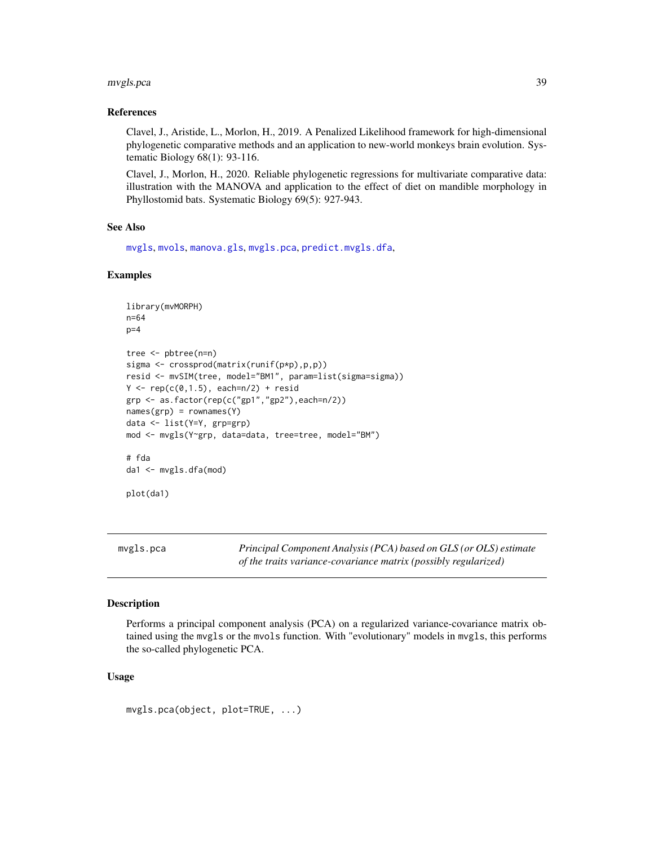#### mvgls.pca 39

### References

Clavel, J., Aristide, L., Morlon, H., 2019. A Penalized Likelihood framework for high-dimensional phylogenetic comparative methods and an application to new-world monkeys brain evolution. Systematic Biology 68(1): 93-116.

Clavel, J., Morlon, H., 2020. Reliable phylogenetic regressions for multivariate comparative data: illustration with the MANOVA and application to the effect of diet on mandible morphology in Phyllostomid bats. Systematic Biology 69(5): 927-943.

### See Also

[mvgls](#page-32-0), [mvols](#page-44-0), [manova.gls](#page-19-0), [mvgls.pca](#page-38-0), [predict.mvgls.dfa](#page-73-0),

### Examples

```
library(mvMORPH)
n=64
p=4tree <- pbtree(n=n)
sigma <- crossprod(matrix(runif(p*p),p,p))
resid <- mvSIM(tree, model="BM1", param=list(sigma=sigma))
Y \leq -\text{rep}(c(0,1.5), each=n/2) + \text{resid}grp <- as.factor(rep(c("gp1","gp2"),each=n/2))
names(grp) = rownames(Y)data <- list(Y=Y, grp=grp)
mod <- mvgls(Y~grp, data=data, tree=tree, model="BM")
# fda
da1 <- mvgls.dfa(mod)
plot(da1)
```
<span id="page-38-0"></span>mvgls.pca *Principal Component Analysis (PCA) based on GLS (or OLS) estimate of the traits variance-covariance matrix (possibly regularized)*

# Description

Performs a principal component analysis (PCA) on a regularized variance-covariance matrix obtained using the mvgls or the mvols function. With "evolutionary" models in mvgls, this performs the so-called phylogenetic PCA.

#### Usage

```
mvgls.pca(object, plot=TRUE, ...)
```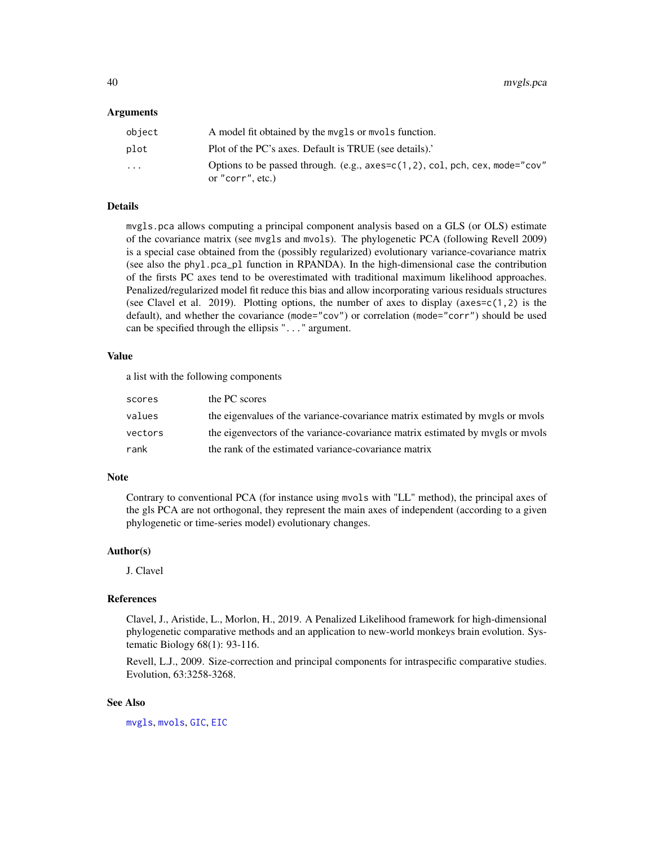#### Arguments

| object                  | A model fit obtained by the mygls or myols function.                                               |
|-------------------------|----------------------------------------------------------------------------------------------------|
| plot                    | Plot of the PC's axes. Default is TRUE (see details).                                              |
| $\cdot$ $\cdot$ $\cdot$ | Options to be passed through. (e.g., $a$ xes=c(1,2), col, pch, cex, mode="cov"<br>or "corr", etc.) |

# Details

mvgls.pca allows computing a principal component analysis based on a GLS (or OLS) estimate of the covariance matrix (see mvgls and mvols). The phylogenetic PCA (following Revell 2009) is a special case obtained from the (possibly regularized) evolutionary variance-covariance matrix (see also the phyl.pca\_pl function in RPANDA). In the high-dimensional case the contribution of the firsts PC axes tend to be overestimated with traditional maximum likelihood approaches. Penalized/regularized model fit reduce this bias and allow incorporating various residuals structures (see Clavel et al. 2019). Plotting options, the number of axes to display (axes= $c(1,2)$  is the default), and whether the covariance (mode="cov") or correlation (mode="corr") should be used can be specified through the ellipsis "..." argument.

# Value

a list with the following components

| scores  | the PC scores                                                                  |
|---------|--------------------------------------------------------------------------------|
| values  | the eigenvalues of the variance-covariance matrix estimated by mygls or myols  |
| vectors | the eigenvectors of the variance-covariance matrix estimated by mygls or myols |
| rank    | the rank of the estimated variance-covariance matrix                           |

## **Note**

Contrary to conventional PCA (for instance using mvols with "LL" method), the principal axes of the gls PCA are not orthogonal, they represent the main axes of independent (according to a given phylogenetic or time-series model) evolutionary changes.

### Author(s)

J. Clavel

#### References

Clavel, J., Aristide, L., Morlon, H., 2019. A Penalized Likelihood framework for high-dimensional phylogenetic comparative methods and an application to new-world monkeys brain evolution. Systematic Biology 68(1): 93-116.

Revell, L.J., 2009. Size-correction and principal components for intraspecific comparative studies. Evolution, 63:3258-3268.

# See Also

[mvgls](#page-32-0), [mvols](#page-44-0), [GIC](#page-14-0), [EIC](#page-9-0)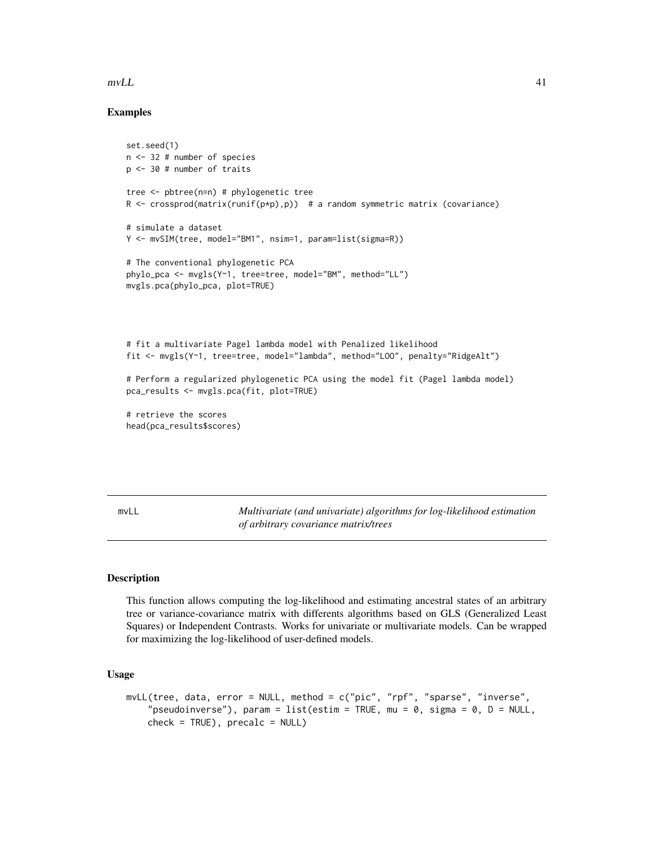#### $mVLL$  41

# Examples

```
set.seed(1)
n <- 32 # number of species
p <- 30 # number of traits
tree <- pbtree(n=n) # phylogenetic tree
R <- crossprod(matrix(runif(p*p),p)) # a random symmetric matrix (covariance)
# simulate a dataset
Y <- mvSIM(tree, model="BM1", nsim=1, param=list(sigma=R))
# The conventional phylogenetic PCA
phylo_pca <- mvgls(Y~1, tree=tree, model="BM", method="LL")
mvgls.pca(phylo_pca, plot=TRUE)
# fit a multivariate Pagel lambda model with Penalized likelihood
fit <- mvgls(Y~1, tree=tree, model="lambda", method="LOO", penalty="RidgeAlt")
# Perform a regularized phylogenetic PCA using the model fit (Pagel lambda model)
pca_results <- mvgls.pca(fit, plot=TRUE)
# retrieve the scores
```

```
head(pca_results$scores)
```
<span id="page-40-0"></span>mvLL *Multivariate (and univariate) algorithms for log-likelihood estimation of arbitrary covariance matrix/trees*

# Description

This function allows computing the log-likelihood and estimating ancestral states of an arbitrary tree or variance-covariance matrix with differents algorithms based on GLS (Generalized Least Squares) or Independent Contrasts. Works for univariate or multivariate models. Can be wrapped for maximizing the log-likelihood of user-defined models.

# Usage

```
mvLL(tree, data, error = NULL, method = c("pic", "rpf", "sparse", "inverse",
    "pseudoinverse"), param = list(estim = TRUE, mu = 0, sigma = 0, D = NULL,
   check = TRUE), precalc = NULL
```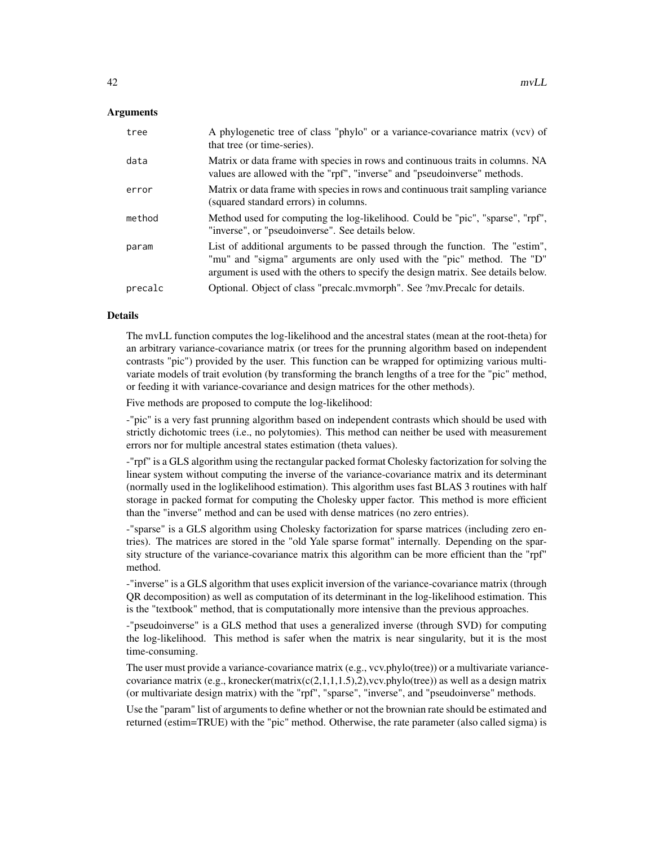#### Arguments

| tree    | A phylogenetic tree of class "phylo" or a variance-covariance matrix (vcv) of<br>that tree (or time-series).                                                                                                                                 |
|---------|----------------------------------------------------------------------------------------------------------------------------------------------------------------------------------------------------------------------------------------------|
| data    | Matrix or data frame with species in rows and continuous traits in columns. NA<br>values are allowed with the "rpf", "inverse" and "pseudoinverse" methods.                                                                                  |
| error   | Matrix or data frame with species in rows and continuous trait sampling variance<br>(squared standard errors) in columns.                                                                                                                    |
| method  | Method used for computing the log-likelihood. Could be "pic", "sparse", "rpf",<br>"inverse", or "pseudoinverse". See details below.                                                                                                          |
| param   | List of additional arguments to be passed through the function. The "estim",<br>"mu" and "sigma" arguments are only used with the "pic" method. The "D"<br>argument is used with the others to specify the design matrix. See details below. |
| precalc | Optional. Object of class "precalc.mymorph". See ?mv.Precalc for details.                                                                                                                                                                    |

# Details

The mvLL function computes the log-likelihood and the ancestral states (mean at the root-theta) for an arbitrary variance-covariance matrix (or trees for the prunning algorithm based on independent contrasts "pic") provided by the user. This function can be wrapped for optimizing various multivariate models of trait evolution (by transforming the branch lengths of a tree for the "pic" method, or feeding it with variance-covariance and design matrices for the other methods).

Five methods are proposed to compute the log-likelihood:

-"pic" is a very fast prunning algorithm based on independent contrasts which should be used with strictly dichotomic trees (i.e., no polytomies). This method can neither be used with measurement errors nor for multiple ancestral states estimation (theta values).

-"rpf" is a GLS algorithm using the rectangular packed format Cholesky factorization for solving the linear system without computing the inverse of the variance-covariance matrix and its determinant (normally used in the loglikelihood estimation). This algorithm uses fast BLAS 3 routines with half storage in packed format for computing the Cholesky upper factor. This method is more efficient than the "inverse" method and can be used with dense matrices (no zero entries).

-"sparse" is a GLS algorithm using Cholesky factorization for sparse matrices (including zero entries). The matrices are stored in the "old Yale sparse format" internally. Depending on the sparsity structure of the variance-covariance matrix this algorithm can be more efficient than the "rpf" method.

-"inverse" is a GLS algorithm that uses explicit inversion of the variance-covariance matrix (through QR decomposition) as well as computation of its determinant in the log-likelihood estimation. This is the "textbook" method, that is computationally more intensive than the previous approaches.

-"pseudoinverse" is a GLS method that uses a generalized inverse (through SVD) for computing the log-likelihood. This method is safer when the matrix is near singularity, but it is the most time-consuming.

The user must provide a variance-covariance matrix (e.g., vcv.phylo(tree)) or a multivariate variancecovariance matrix (e.g., kronecker(matrix(c(2,1,1,1.5),2), vcv.phylo(tree)) as well as a design matrix (or multivariate design matrix) with the "rpf", "sparse", "inverse", and "pseudoinverse" methods.

Use the "param" list of arguments to define whether or not the brownian rate should be estimated and returned (estim=TRUE) with the "pic" method. Otherwise, the rate parameter (also called sigma) is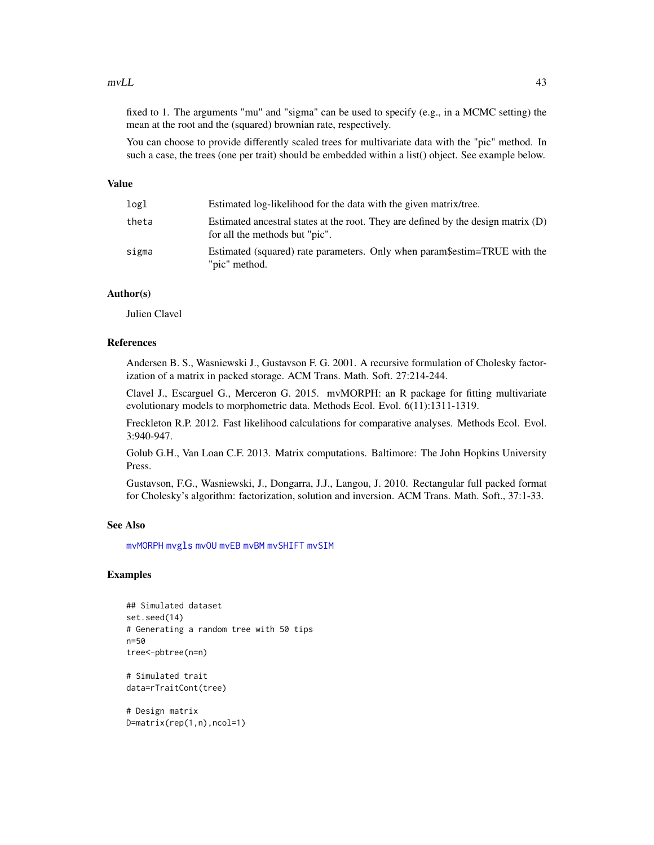#### $mVL$  43

fixed to 1. The arguments "mu" and "sigma" can be used to specify (e.g., in a MCMC setting) the mean at the root and the (squared) brownian rate, respectively.

You can choose to provide differently scaled trees for multivariate data with the "pic" method. In such a case, the trees (one per trait) should be embedded within a list() object. See example below.

# Value

| logl  | Estimated log-likelihood for the data with the given matrix/tree.                                                     |
|-------|-----------------------------------------------------------------------------------------------------------------------|
| theta | Estimated ancestral states at the root. They are defined by the design matrix $(D)$<br>for all the methods but "pic". |
| sigma | Estimated (squared) rate parameters. Only when param\$estim=TRUE with the<br>"pic" method.                            |

# Author(s)

Julien Clavel

# References

Andersen B. S., Wasniewski J., Gustavson F. G. 2001. A recursive formulation of Cholesky factorization of a matrix in packed storage. ACM Trans. Math. Soft. 27:214-244.

Clavel J., Escarguel G., Merceron G. 2015. mvMORPH: an R package for fitting multivariate evolutionary models to morphometric data. Methods Ecol. Evol. 6(11):1311-1319.

Freckleton R.P. 2012. Fast likelihood calculations for comparative analyses. Methods Ecol. Evol. 3:940-947.

Golub G.H., Van Loan C.F. 2013. Matrix computations. Baltimore: The John Hopkins University Press.

Gustavson, F.G., Wasniewski, J., Dongarra, J.J., Langou, J. 2010. Rectangular full packed format for Cholesky's algorithm: factorization, solution and inversion. ACM Trans. Math. Soft., 37:1-33.

# See Also

[mvMORPH](#page-1-0) [mvgls](#page-32-0) [mvOU](#page-47-0) [mvEB](#page-29-0) [mvBM](#page-24-0) [mvSHIFT](#page-61-0) [mvSIM](#page-65-0)

```
## Simulated dataset
set.seed(14)
# Generating a random tree with 50 tips
n=50
tree<-pbtree(n=n)
# Simulated trait
data=rTraitCont(tree)
# Design matrix
```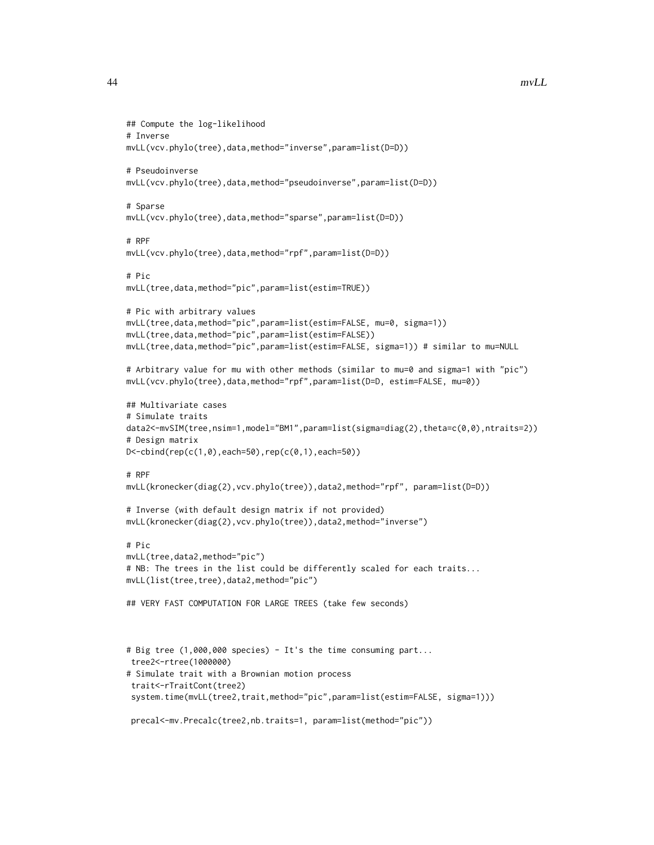```
## Compute the log-likelihood
# Inverse
mvLL(vcv.phylo(tree),data,method="inverse",param=list(D=D))
# Pseudoinverse
mvLL(vcv.phylo(tree),data,method="pseudoinverse",param=list(D=D))
# Sparse
mvLL(vcv.phylo(tree),data,method="sparse",param=list(D=D))
# RPF
mvLL(vcv.phylo(tree),data,method="rpf",param=list(D=D))
# Pic
mvLL(tree,data,method="pic",param=list(estim=TRUE))
# Pic with arbitrary values
mvLL(tree,data,method="pic",param=list(estim=FALSE, mu=0, sigma=1))
mvLL(tree,data,method="pic",param=list(estim=FALSE))
mvLL(tree,data,method="pic",param=list(estim=FALSE, sigma=1)) # similar to mu=NULL
# Arbitrary value for mu with other methods (similar to mu=0 and sigma=1 with "pic")
mvLL(vcv.phylo(tree),data,method="rpf",param=list(D=D, estim=FALSE, mu=0))
## Multivariate cases
# Simulate traits
data2<-mvSIM(tree,nsim=1,model="BM1",param=list(sigma=diag(2),theta=c(0,0),ntraits=2))
# Design matrix
D<-cbind(rep(c(1,0),each=50),rep(c(0,1),each=50))
# RPF
mvLL(kronecker(diag(2),vcv.phylo(tree)),data2,method="rpf", param=list(D=D))
# Inverse (with default design matrix if not provided)
mvLL(kronecker(diag(2),vcv.phylo(tree)),data2,method="inverse")
# Pic
mvLL(tree,data2,method="pic")
# NB: The trees in the list could be differently scaled for each traits...
mvLL(list(tree,tree),data2,method="pic")
## VERY FAST COMPUTATION FOR LARGE TREES (take few seconds)
# Big tree (1,000,000 species) - It's the time consuming part...
tree2<-rtree(1000000)
# Simulate trait with a Brownian motion process
trait<-rTraitCont(tree2)
 system.time(mvLL(tree2,trait,method="pic",param=list(estim=FALSE, sigma=1)))
 precal<-mv.Precalc(tree2,nb.traits=1, param=list(method="pic"))
```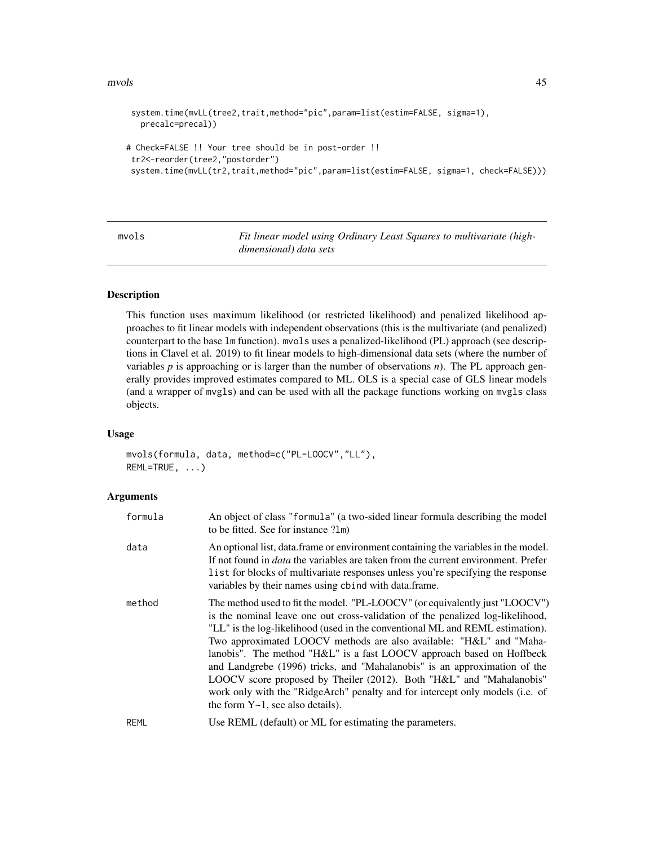#### mvols 45

```
system.time(mvLL(tree2,trait,method="pic",param=list(estim=FALSE, sigma=1),
  precalc=precal))
# Check=FALSE !! Your tree should be in post-order !!
tr2<-reorder(tree2,"postorder")
system.time(mvLL(tr2,trait,method="pic",param=list(estim=FALSE, sigma=1, check=FALSE)))
```
<span id="page-44-0"></span>mvols *Fit linear model using Ordinary Least Squares to multivariate (highdimensional) data sets*

## Description

This function uses maximum likelihood (or restricted likelihood) and penalized likelihood approaches to fit linear models with independent observations (this is the multivariate (and penalized) counterpart to the base lm function). mvols uses a penalized-likelihood (PL) approach (see descriptions in Clavel et al. 2019) to fit linear models to high-dimensional data sets (where the number of variables  $p$  is approaching or is larger than the number of observations  $n$ ). The PL approach generally provides improved estimates compared to ML. OLS is a special case of GLS linear models (and a wrapper of mvgls) and can be used with all the package functions working on mvgls class objects.

### Usage

mvols(formula, data, method=c("PL-LOOCV","LL"), REML=TRUE, ...)

# Arguments

| formula | An object of class "formula" (a two-sided linear formula describing the model<br>to be fitted. See for instance ?1m)                                                                                                                                                                                                                                                                                                                                                                                                                                                                                                                                                             |
|---------|----------------------------------------------------------------------------------------------------------------------------------------------------------------------------------------------------------------------------------------------------------------------------------------------------------------------------------------------------------------------------------------------------------------------------------------------------------------------------------------------------------------------------------------------------------------------------------------------------------------------------------------------------------------------------------|
| data    | An optional list, data frame or environment containing the variables in the model.<br>If not found in <i>data</i> the variables are taken from the current environment. Prefer<br>list for blocks of multivariate responses unless you're specifying the response<br>variables by their names using cbind with data.frame.                                                                                                                                                                                                                                                                                                                                                       |
| method  | The method used to fit the model. "PL-LOOCV" (or equivalently just "LOOCV")<br>is the nominal leave one out cross-validation of the penalized log-likelihood,<br>"LL" is the log-likelihood (used in the conventional ML and REML estimation).<br>Two approximated LOOCV methods are also available: "H&L" and "Maha-<br>lanobis". The method "H&L" is a fast LOOCV approach based on Hoffbeck<br>and Landgrebe (1996) tricks, and "Mahalanobis" is an approximation of the<br>LOOCV score proposed by Theiler (2012). Both "H&L" and "Mahalanobis"<br>work only with the "RidgeArch" penalty and for intercept only models (i.e. of<br>the form $Y \sim 1$ , see also details). |
| REML    | Use REML (default) or ML for estimating the parameters.                                                                                                                                                                                                                                                                                                                                                                                                                                                                                                                                                                                                                          |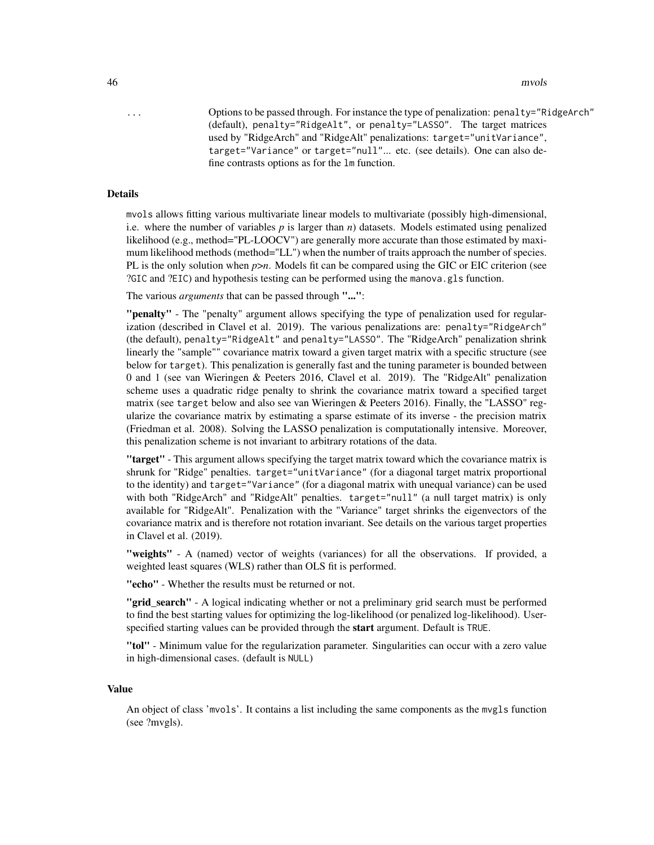46 mvols

... Options to be passed through. For instance the type of penalization: penalty="RidgeArch" (default), penalty="RidgeAlt", or penalty="LASSO". The target matrices used by "RidgeArch" and "RidgeAlt" penalizations: target="unitVariance", target="Variance" or target="null"... etc. (see details). One can also define contrasts options as for the lm function.

#### Details

mvols allows fitting various multivariate linear models to multivariate (possibly high-dimensional, i.e. where the number of variables  $p$  is larger than  $n$ ) datasets. Models estimated using penalized likelihood (e.g., method="PL-LOOCV") are generally more accurate than those estimated by maximum likelihood methods (method="LL") when the number of traits approach the number of species. PL is the only solution when  $p>n$ . Models fit can be compared using the GIC or EIC criterion (see ?GIC and ?EIC) and hypothesis testing can be performed using the manova.gls function.

The various *arguments* that can be passed through "...":

"penalty" - The "penalty" argument allows specifying the type of penalization used for regularization (described in Clavel et al. 2019). The various penalizations are: penalty="RidgeArch" (the default), penalty="RidgeAlt" and penalty="LASSO". The "RidgeArch" penalization shrink linearly the "sample"" covariance matrix toward a given target matrix with a specific structure (see below for target). This penalization is generally fast and the tuning parameter is bounded between 0 and 1 (see van Wieringen & Peeters 2016, Clavel et al. 2019). The "RidgeAlt" penalization scheme uses a quadratic ridge penalty to shrink the covariance matrix toward a specified target matrix (see target below and also see van Wieringen & Peeters 2016). Finally, the "LASSO" regularize the covariance matrix by estimating a sparse estimate of its inverse - the precision matrix (Friedman et al. 2008). Solving the LASSO penalization is computationally intensive. Moreover, this penalization scheme is not invariant to arbitrary rotations of the data.

"target" - This argument allows specifying the target matrix toward which the covariance matrix is shrunk for "Ridge" penalties. target="unitVariance" (for a diagonal target matrix proportional to the identity) and target="Variance" (for a diagonal matrix with unequal variance) can be used with both "RidgeArch" and "RidgeAlt" penalties. target="null" (a null target matrix) is only available for "RidgeAlt". Penalization with the "Variance" target shrinks the eigenvectors of the covariance matrix and is therefore not rotation invariant. See details on the various target properties in Clavel et al. (2019).

"weights" - A (named) vector of weights (variances) for all the observations. If provided, a weighted least squares (WLS) rather than OLS fit is performed.

"echo" - Whether the results must be returned or not.

**"grid search"** - A logical indicating whether or not a preliminary grid search must be performed to find the best starting values for optimizing the log-likelihood (or penalized log-likelihood). Userspecified starting values can be provided through the start argument. Default is TRUE.

"tol" - Minimum value for the regularization parameter. Singularities can occur with a zero value in high-dimensional cases. (default is NULL)

#### Value

An object of class 'mvols'. It contains a list including the same components as the mvgls function (see ?mvgls).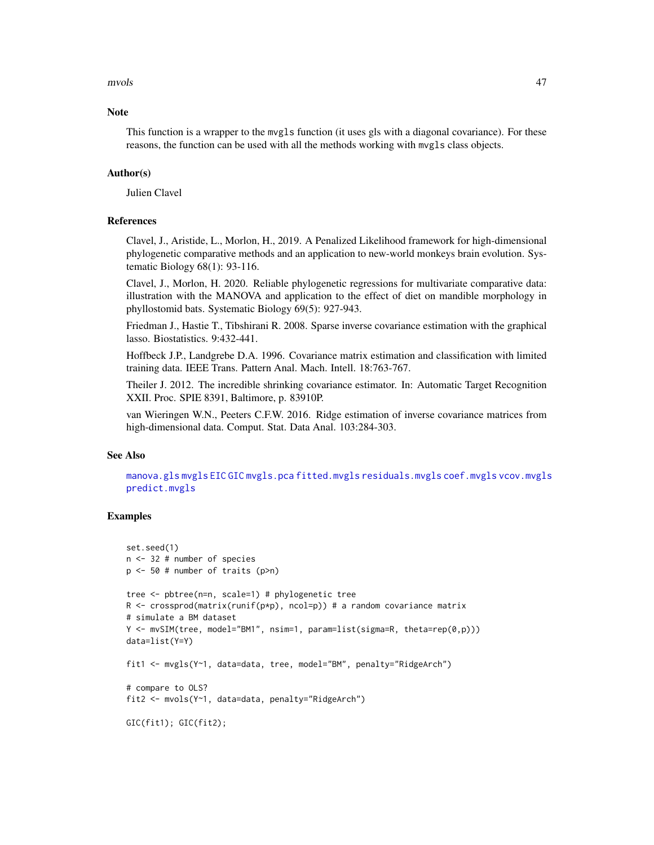#### mvols 47

## **Note**

This function is a wrapper to the mvgls function (it uses gls with a diagonal covariance). For these reasons, the function can be used with all the methods working with mvgls class objects.

## Author(s)

Julien Clavel

## References

Clavel, J., Aristide, L., Morlon, H., 2019. A Penalized Likelihood framework for high-dimensional phylogenetic comparative methods and an application to new-world monkeys brain evolution. Systematic Biology 68(1): 93-116.

Clavel, J., Morlon, H. 2020. Reliable phylogenetic regressions for multivariate comparative data: illustration with the MANOVA and application to the effect of diet on mandible morphology in phyllostomid bats. Systematic Biology 69(5): 927-943.

Friedman J., Hastie T., Tibshirani R. 2008. Sparse inverse covariance estimation with the graphical lasso. Biostatistics. 9:432-441.

Hoffbeck J.P., Landgrebe D.A. 1996. Covariance matrix estimation and classification with limited training data. IEEE Trans. Pattern Anal. Mach. Intell. 18:763-767.

Theiler J. 2012. The incredible shrinking covariance estimator. In: Automatic Target Recognition XXII. Proc. SPIE 8391, Baltimore, p. 83910P.

van Wieringen W.N., Peeters C.F.W. 2016. Ridge estimation of inverse covariance matrices from high-dimensional data. Comput. Stat. Data Anal. 103:284-303.

## See Also

[manova.gls](#page-19-0) [mvgls](#page-32-0) [EIC](#page-9-0) [GIC](#page-14-0) [mvgls.pca](#page-38-0) [fitted.mvgls](#page-13-0) [residuals.mvgls](#page-76-0) [coef.mvgls](#page-7-0) [vcov.mvgls](#page-79-0) [predict.mvgls](#page-72-0)

```
set.seed(1)
n <- 32 # number of species
p <- 50 # number of traits (p>n)
tree <- pbtree(n=n, scale=1) # phylogenetic tree
R \le - crossprod(matrix(runif(p*p), ncol=p)) # a random covariance matrix
# simulate a BM dataset
Y <- mvSIM(tree, model="BM1", nsim=1, param=list(sigma=R, theta=rep(0,p)))
data=list(Y=Y)
fit1 <- mvgls(Y~1, data=data, tree, model="BM", penalty="RidgeArch")
# compare to OLS?
fit2 <- mvols(Y~1, data=data, penalty="RidgeArch")
GIC(fit1); GIC(fit2);
```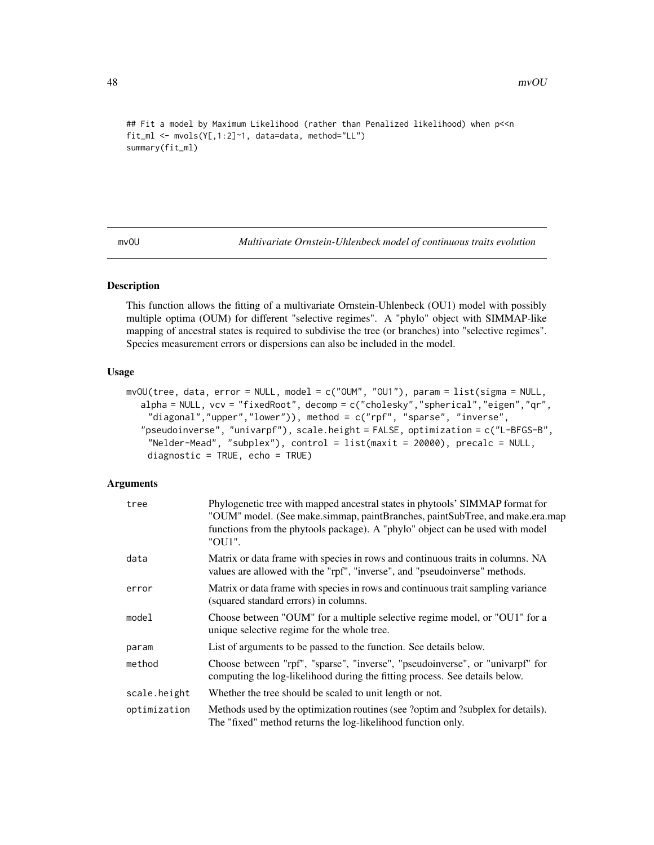```
## Fit a model by Maximum Likelihood (rather than Penalized likelihood) when p<<n
fit_ml <- mvols(Y[,1:2]~1, data=data, method="LL")
summary(fit_ml)
```
<span id="page-47-0"></span>mvOU *Multivariate Ornstein-Uhlenbeck model of continuous traits evolution*

## Description

This function allows the fitting of a multivariate Ornstein-Uhlenbeck (OU1) model with possibly multiple optima (OUM) for different "selective regimes". A "phylo" object with SIMMAP-like mapping of ancestral states is required to subdivise the tree (or branches) into "selective regimes". Species measurement errors or dispersions can also be included in the model.

# Usage

```
mvOU(tree, data, error = NULL, model = c("OUM", "OU1"), param = list(sigma = NULL,
  alpha = NULL, vcv = "fixedRoot", decomp = c("cholesky","spherical","eigen","qr",
    "diagonal","upper","lower")), method = c("rpf", "sparse", "inverse",
   "pseudoinverse", "univarpf"), scale.height = FALSE, optimization = c("L-BFGS-B",
    "Nelder-Mead", "subplex"), control = list(maxit = 20000), precalc = NULL,
    diagnostic = TRUE, echo = TRUE)
```
### **Arguments**

| tree         | Phylogenetic tree with mapped ancestral states in phytools' SIMMAP format for<br>"OUM" model. (See make.simmap, paintBranches, paintSubTree, and make.era.map<br>functions from the phytools package). A "phylo" object can be used with model<br>"OU1". |
|--------------|----------------------------------------------------------------------------------------------------------------------------------------------------------------------------------------------------------------------------------------------------------|
| data         | Matrix or data frame with species in rows and continuous traits in columns. NA<br>values are allowed with the "rpf", "inverse", and "pseudoinverse" methods.                                                                                             |
| error        | Matrix or data frame with species in rows and continuous trait sampling variance<br>(squared standard errors) in columns.                                                                                                                                |
| model        | Choose between "OUM" for a multiple selective regime model, or "OU1" for a<br>unique selective regime for the whole tree.                                                                                                                                |
| param        | List of arguments to be passed to the function. See details below.                                                                                                                                                                                       |
| method       | Choose between "rpf", "sparse", "inverse", "pseudoinverse", or "univarpf" for<br>computing the log-likelihood during the fitting process. See details below.                                                                                             |
| scale.height | Whether the tree should be scaled to unit length or not.                                                                                                                                                                                                 |
| optimization | Methods used by the optimization routines (see ?optim and ?subplex for details).<br>The "fixed" method returns the log-likelihood function only.                                                                                                         |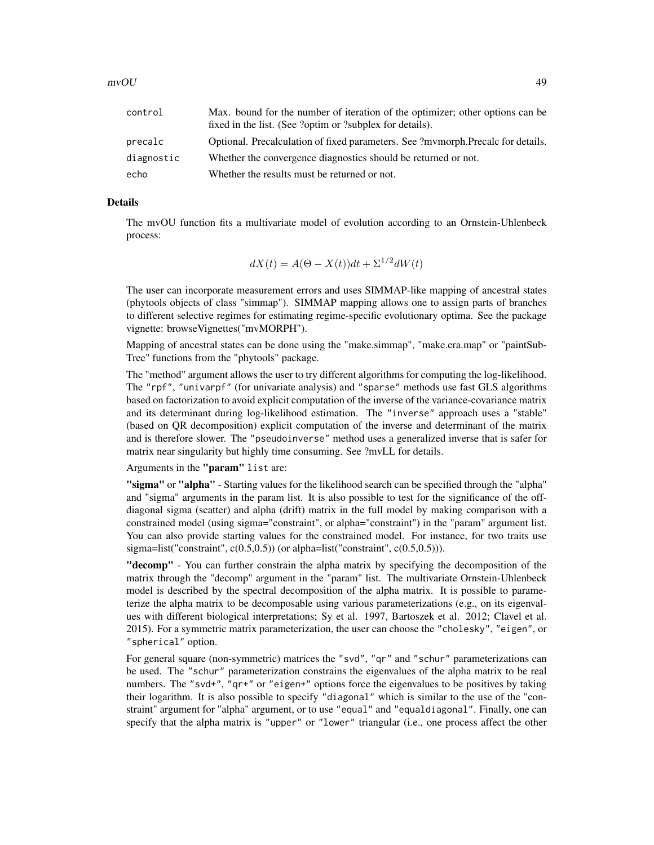| control    | Max. bound for the number of iteration of the optimizer; other options can be<br>fixed in the list. (See ?optim or ?subplex for details). |
|------------|-------------------------------------------------------------------------------------------------------------------------------------------|
| precalc    | Optional. Precalculation of fixed parameters. See ?mymorph.Precalc for details.                                                           |
| diagnostic | Whether the convergence diagnostics should be returned or not.                                                                            |
| echo       | Whether the results must be returned or not.                                                                                              |

# Details

The mvOU function fits a multivariate model of evolution according to an Ornstein-Uhlenbeck process:

$$
dX(t) = A(\Theta - X(t))dt + \Sigma^{1/2}dW(t)
$$

The user can incorporate measurement errors and uses SIMMAP-like mapping of ancestral states (phytools objects of class "simmap"). SIMMAP mapping allows one to assign parts of branches to different selective regimes for estimating regime-specific evolutionary optima. See the package vignette: browseVignettes("mvMORPH").

Mapping of ancestral states can be done using the "make.simmap", "make.era.map" or "paintSub-Tree" functions from the "phytools" package.

The "method" argument allows the user to try different algorithms for computing the log-likelihood. The "rpf", "univarpf" (for univariate analysis) and "sparse" methods use fast GLS algorithms based on factorization to avoid explicit computation of the inverse of the variance-covariance matrix and its determinant during log-likelihood estimation. The "inverse" approach uses a "stable" (based on QR decomposition) explicit computation of the inverse and determinant of the matrix and is therefore slower. The "pseudoinverse" method uses a generalized inverse that is safer for matrix near singularity but highly time consuming. See ?mvLL for details.

Arguments in the "param" list are:

"sigma" or "alpha" - Starting values for the likelihood search can be specified through the "alpha" and "sigma" arguments in the param list. It is also possible to test for the significance of the offdiagonal sigma (scatter) and alpha (drift) matrix in the full model by making comparison with a constrained model (using sigma="constraint", or alpha="constraint") in the "param" argument list. You can also provide starting values for the constrained model. For instance, for two traits use sigma=list("constraint",  $c(0.5,0.5)$ ) (or alpha=list("constraint",  $c(0.5,0.5)$ )).

"decomp" - You can further constrain the alpha matrix by specifying the decomposition of the matrix through the "decomp" argument in the "param" list. The multivariate Ornstein-Uhlenbeck model is described by the spectral decomposition of the alpha matrix. It is possible to parameterize the alpha matrix to be decomposable using various parameterizations (e.g., on its eigenvalues with different biological interpretations; Sy et al. 1997, Bartoszek et al. 2012; Clavel et al. 2015). For a symmetric matrix parameterization, the user can choose the "cholesky", "eigen", or "spherical" option.

For general square (non-symmetric) matrices the "svd", "qr" and "schur" parameterizations can be used. The "schur" parameterization constrains the eigenvalues of the alpha matrix to be real numbers. The "svd+", "qr+" or "eigen+" options force the eigenvalues to be positives by taking their logarithm. It is also possible to specify "diagonal" which is similar to the use of the "constraint" argument for "alpha" argument, or to use "equal" and "equaldiagonal". Finally, one can specify that the alpha matrix is "upper" or "lower" triangular (i.e., one process affect the other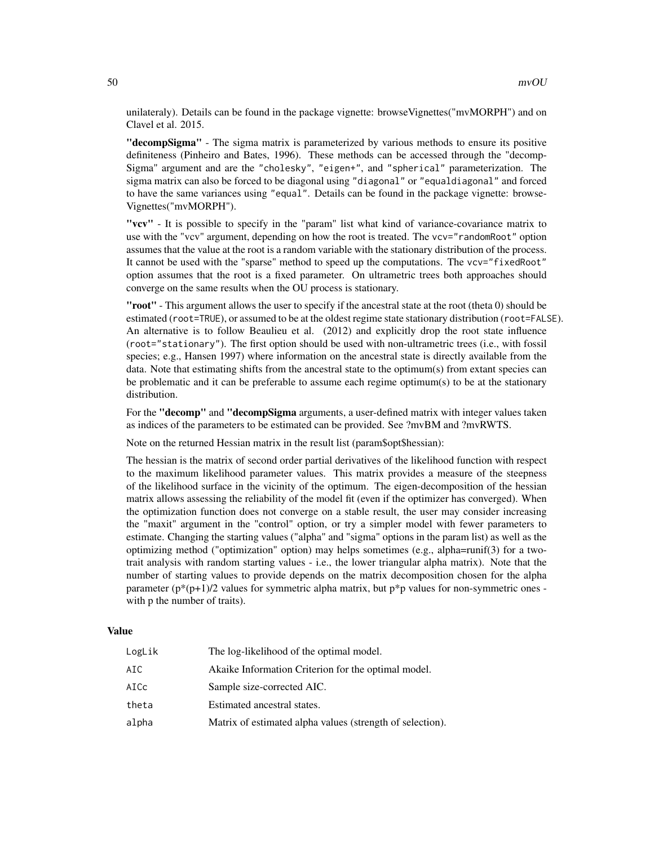unilateraly). Details can be found in the package vignette: browse Vignettes("mvMORPH") and on Clavel et al. 2015.

"decompSigma" - The sigma matrix is parameterized by various methods to ensure its positive definiteness (Pinheiro and Bates, 1996). These methods can be accessed through the "decomp-Sigma" argument and are the "cholesky", "eigen+", and "spherical" parameterization. The sigma matrix can also be forced to be diagonal using "diagonal" or "equaldiagonal" and forced to have the same variances using "equal". Details can be found in the package vignette: browse-Vignettes("mvMORPH").

"vcv" - It is possible to specify in the "param" list what kind of variance-covariance matrix to use with the "vcv" argument, depending on how the root is treated. The vcv="randomRoot" option assumes that the value at the root is a random variable with the stationary distribution of the process. It cannot be used with the "sparse" method to speed up the computations. The vcv="fixedRoot" option assumes that the root is a fixed parameter. On ultrametric trees both approaches should converge on the same results when the OU process is stationary.

"root" - This argument allows the user to specify if the ancestral state at the root (theta 0) should be estimated (root=TRUE), or assumed to be at the oldest regime state stationary distribution (root=FALSE). An alternative is to follow Beaulieu et al. (2012) and explicitly drop the root state influence (root="stationary"). The first option should be used with non-ultrametric trees (i.e., with fossil species; e.g., Hansen 1997) where information on the ancestral state is directly available from the data. Note that estimating shifts from the ancestral state to the optimum(s) from extant species can be problematic and it can be preferable to assume each regime optimum(s) to be at the stationary distribution.

For the "**decomp"** and "**decompSigma** arguments, a user-defined matrix with integer values taken as indices of the parameters to be estimated can be provided. See ?mvBM and ?mvRWTS.

Note on the returned Hessian matrix in the result list (param\$opt\$hessian):

The hessian is the matrix of second order partial derivatives of the likelihood function with respect to the maximum likelihood parameter values. This matrix provides a measure of the steepness of the likelihood surface in the vicinity of the optimum. The eigen-decomposition of the hessian matrix allows assessing the reliability of the model fit (even if the optimizer has converged). When the optimization function does not converge on a stable result, the user may consider increasing the "maxit" argument in the "control" option, or try a simpler model with fewer parameters to estimate. Changing the starting values ("alpha" and "sigma" options in the param list) as well as the optimizing method ("optimization" option) may helps sometimes (e.g., alpha=runif(3) for a twotrait analysis with random starting values - i.e., the lower triangular alpha matrix). Note that the number of starting values to provide depends on the matrix decomposition chosen for the alpha parameter ( $p*(p+1)/2$  values for symmetric alpha matrix, but  $p*p$  values for non-symmetric ones with p the number of traits).

#### Value

| LogLik | The log-likelihood of the optimal model.                  |
|--------|-----------------------------------------------------------|
| AIC.   | Akaike Information Criterion for the optimal model.       |
| AICc   | Sample size-corrected AIC.                                |
| theta  | Estimated ancestral states.                               |
| alpha  | Matrix of estimated alpha values (strength of selection). |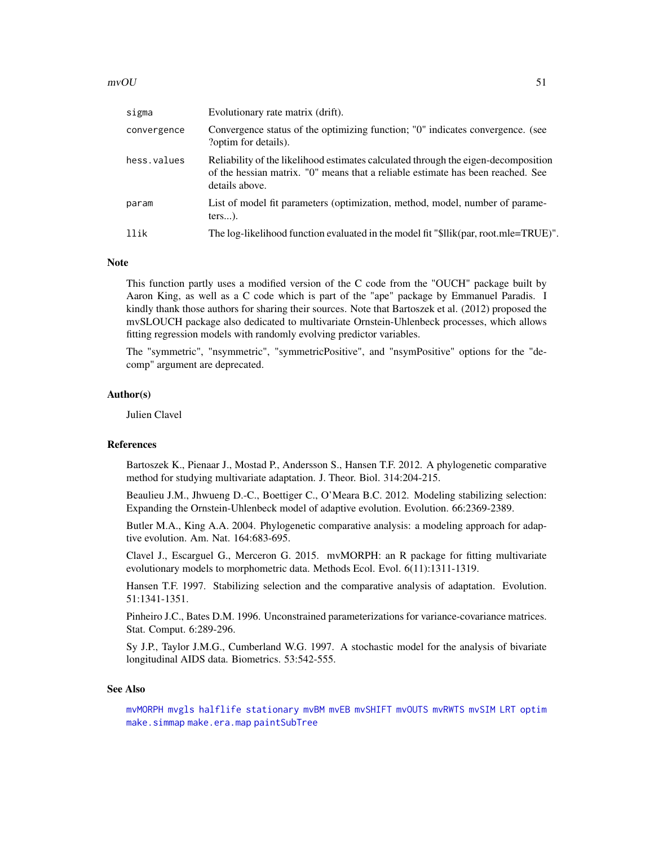## $mvOU$  51

| sigma       | Evolutionary rate matrix (drift).                                                                                                                                                       |
|-------------|-----------------------------------------------------------------------------------------------------------------------------------------------------------------------------------------|
| convergence | Convergence status of the optimizing function; "0" indicates convergence. (see<br>?optim for details).                                                                                  |
| hess.values | Reliability of the likelihood estimates calculated through the eigen-decomposition<br>of the hessian matrix. "O" means that a reliable estimate has been reached. See<br>details above. |
| param       | List of model fit parameters (optimization, method, model, number of parame-<br>$ters$ ).                                                                                               |
| llik        | The log-likelihood function evaluated in the model fit "\$llik(par, root.mle=TRUE)".                                                                                                    |

# Note

This function partly uses a modified version of the C code from the "OUCH" package built by Aaron King, as well as a C code which is part of the "ape" package by Emmanuel Paradis. I kindly thank those authors for sharing their sources. Note that Bartoszek et al. (2012) proposed the mvSLOUCH package also dedicated to multivariate Ornstein-Uhlenbeck processes, which allows fitting regression models with randomly evolving predictor variables.

The "symmetric", "nsymmetric", "symmetricPositive", and "nsymPositive" options for the "decomp" argument are deprecated.

### Author(s)

Julien Clavel

### References

Bartoszek K., Pienaar J., Mostad P., Andersson S., Hansen T.F. 2012. A phylogenetic comparative method for studying multivariate adaptation. J. Theor. Biol. 314:204-215.

Beaulieu J.M., Jhwueng D.-C., Boettiger C., O'Meara B.C. 2012. Modeling stabilizing selection: Expanding the Ornstein-Uhlenbeck model of adaptive evolution. Evolution. 66:2369-2389.

Butler M.A., King A.A. 2004. Phylogenetic comparative analysis: a modeling approach for adaptive evolution. Am. Nat. 164:683-695.

Clavel J., Escarguel G., Merceron G. 2015. mvMORPH: an R package for fitting multivariate evolutionary models to morphometric data. Methods Ecol. Evol. 6(11):1311-1319.

Hansen T.F. 1997. Stabilizing selection and the comparative analysis of adaptation. Evolution. 51:1341-1351.

Pinheiro J.C., Bates D.M. 1996. Unconstrained parameterizations for variance-covariance matrices. Stat. Comput. 6:289-296.

Sy J.P., Taylor J.M.G., Cumberland W.G. 1997. A stochastic model for the analysis of bivariate longitudinal AIDS data. Biometrics. 53:542-555.

#### See Also

[mvMORPH](#page-1-0) [mvgls](#page-32-0) [halflife](#page-15-0) [stationary](#page-77-0) [mvBM](#page-24-0) [mvEB](#page-29-0) [mvSHIFT](#page-61-0) [mvOUTS](#page-52-0) [mvRWTS](#page-58-0) [mvSIM](#page-65-0) [LRT](#page-17-0) [optim](#page-0-0) [make.simmap](#page-0-0) [make.era.map](#page-0-0) [paintSubTree](#page-0-0)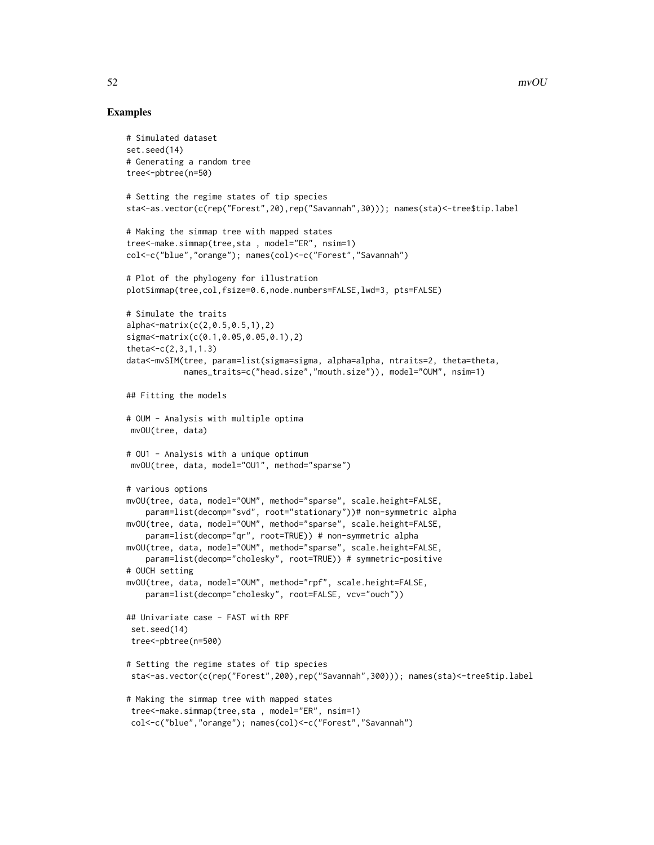```
# Simulated dataset
set.seed(14)
# Generating a random tree
tree<-pbtree(n=50)
# Setting the regime states of tip species
sta<-as.vector(c(rep("Forest",20),rep("Savannah",30))); names(sta)<-tree$tip.label
# Making the simmap tree with mapped states
tree<-make.simmap(tree,sta , model="ER", nsim=1)
col<-c("blue","orange"); names(col)<-c("Forest","Savannah")
# Plot of the phylogeny for illustration
plotSimmap(tree,col,fsize=0.6,node.numbers=FALSE,lwd=3, pts=FALSE)
# Simulate the traits
alpha<-matrix(c(2,0.5,0.5,1),2)
sigma<-matrix(c(0.1,0.05,0.05,0.1),2)
theta<-c(2,3,1,1.3)
data<-mvSIM(tree, param=list(sigma=sigma, alpha=alpha, ntraits=2, theta=theta,
            names_traits=c("head.size","mouth.size")), model="OUM", nsim=1)
## Fitting the models
# OUM - Analysis with multiple optima
mvOU(tree, data)
# OU1 - Analysis with a unique optimum
mvOU(tree, data, model="OU1", method="sparse")
# various options
mvOU(tree, data, model="OUM", method="sparse", scale.height=FALSE,
    param=list(decomp="svd", root="stationary"))# non-symmetric alpha
mvOU(tree, data, model="OUM", method="sparse", scale.height=FALSE,
    param=list(decomp="qr", root=TRUE)) # non-symmetric alpha
mvOU(tree, data, model="OUM", method="sparse", scale.height=FALSE,
    param=list(decomp="cholesky", root=TRUE)) # symmetric-positive
# OUCH setting
mvOU(tree, data, model="OUM", method="rpf", scale.height=FALSE,
    param=list(decomp="cholesky", root=FALSE, vcv="ouch"))
## Univariate case - FAST with RPF
set.seed(14)
 tree<-pbtree(n=500)
# Setting the regime states of tip species
sta<-as.vector(c(rep("Forest",200),rep("Savannah",300))); names(sta)<-tree$tip.label
# Making the simmap tree with mapped states
tree<-make.simmap(tree,sta , model="ER", nsim=1)
col<-c("blue","orange"); names(col)<-c("Forest","Savannah")
```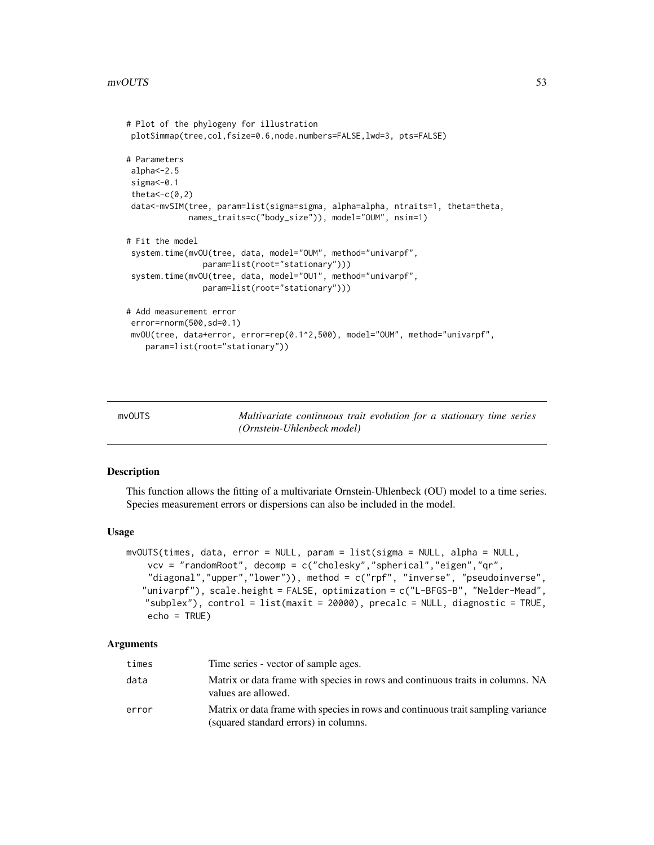```
# Plot of the phylogeny for illustration
plotSimmap(tree,col,fsize=0.6,node.numbers=FALSE,lwd=3, pts=FALSE)
# Parameters
alpha<-2.5
sigma<-0.1
theta\lt-c(0,2)
data<-mvSIM(tree, param=list(sigma=sigma, alpha=alpha, ntraits=1, theta=theta,
            names_traits=c("body_size")), model="OUM", nsim=1)
# Fit the model
system.time(mvOU(tree, data, model="OUM", method="univarpf",
                param=list(root="stationary")))
system.time(mvOU(tree, data, model="OU1", method="univarpf",
                param=list(root="stationary")))
# Add measurement error
error=rnorm(500,sd=0.1)
mvOU(tree, data+error, error=rep(0.1^2,500), model="OUM", method="univarpf",
   param=list(root="stationary"))
```
<span id="page-52-0"></span>

mvOUTS *Multivariate continuous trait evolution for a stationary time series (Ornstein-Uhlenbeck model)*

#### Description

This function allows the fitting of a multivariate Ornstein-Uhlenbeck (OU) model to a time series. Species measurement errors or dispersions can also be included in the model.

#### Usage

```
mvOUTS(times, data, error = NULL, param = list(sigma = NULL, alpha = NULL,
   vcv = "randomRoot", decomp = c("cholesky","spherical","eigen","qr",
    "diagonal","upper","lower")), method = c("rpf", "inverse", "pseudoinverse",
   "univarpf"), scale.height = FALSE, optimization = c("L-BFGS-B", "Nelder-Mead",
   "subplex"), control = list(maxit = 20000), precalc = NULL, diagnostic = TRUE,
   echo = TRUE)
```
### Arguments

| times | Time series - vector of sample ages.                                                                                      |
|-------|---------------------------------------------------------------------------------------------------------------------------|
| data  | Matrix or data frame with species in rows and continuous traits in columns. NA<br>values are allowed.                     |
| error | Matrix or data frame with species in rows and continuous trait sampling variance<br>(squared standard errors) in columns. |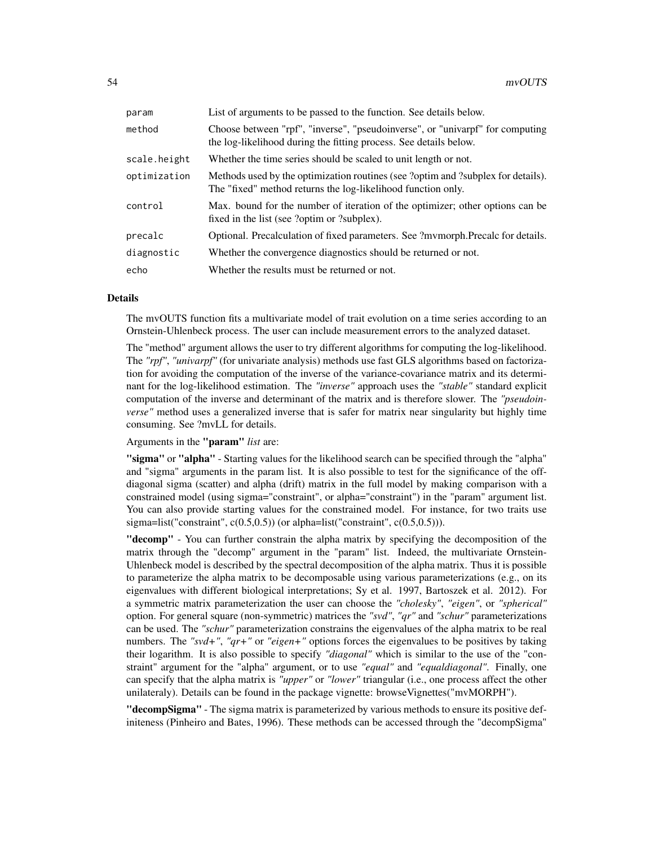| param        | List of arguments to be passed to the function. See details below.                                                                                 |
|--------------|----------------------------------------------------------------------------------------------------------------------------------------------------|
| method       | Choose between "rpf", "inverse", "pseudoinverse", or "univarpf" for computing<br>the log-likelihood during the fitting process. See details below. |
| scale.height | Whether the time series should be scaled to unit length or not.                                                                                    |
| optimization | Methods used by the optimization routines (see ?optim and ?subplex for details).<br>The "fixed" method returns the log-likelihood function only.   |
| control      | Max. bound for the number of iteration of the optimizer; other options can be<br>fixed in the list (see ?optim or ?subplex).                       |
| precalc      | Optional. Precalculation of fixed parameters. See ?mvmorph.Precalc for details.                                                                    |
| diagnostic   | Whether the convergence diagnostics should be returned or not.                                                                                     |
| echo         | Whether the results must be returned or not.                                                                                                       |

#### Details

The mvOUTS function fits a multivariate model of trait evolution on a time series according to an Ornstein-Uhlenbeck process. The user can include measurement errors to the analyzed dataset.

The "method" argument allows the user to try different algorithms for computing the log-likelihood. The *"rpf"*, *"univarpf"* (for univariate analysis) methods use fast GLS algorithms based on factorization for avoiding the computation of the inverse of the variance-covariance matrix and its determinant for the log-likelihood estimation. The *"inverse"* approach uses the *"stable"* standard explicit computation of the inverse and determinant of the matrix and is therefore slower. The *"pseudoinverse"* method uses a generalized inverse that is safer for matrix near singularity but highly time consuming. See ?mvLL for details.

Arguments in the "param" *list* are:

"sigma" or "alpha" - Starting values for the likelihood search can be specified through the "alpha" and "sigma" arguments in the param list. It is also possible to test for the significance of the offdiagonal sigma (scatter) and alpha (drift) matrix in the full model by making comparison with a constrained model (using sigma="constraint", or alpha="constraint") in the "param" argument list. You can also provide starting values for the constrained model. For instance, for two traits use sigma=list("constraint",  $c(0.5,0.5)$ ) (or alpha=list("constraint",  $c(0.5,0.5)$ )).

"decomp" - You can further constrain the alpha matrix by specifying the decomposition of the matrix through the "decomp" argument in the "param" list. Indeed, the multivariate Ornstein-Uhlenbeck model is described by the spectral decomposition of the alpha matrix. Thus it is possible to parameterize the alpha matrix to be decomposable using various parameterizations (e.g., on its eigenvalues with different biological interpretations; Sy et al. 1997, Bartoszek et al. 2012). For a symmetric matrix parameterization the user can choose the *"cholesky"*, *"eigen"*, or *"spherical"* option. For general square (non-symmetric) matrices the *"svd"*, *"qr"* and *"schur"* parameterizations can be used. The *"schur"* parameterization constrains the eigenvalues of the alpha matrix to be real numbers. The *"svd+"*, *"qr+"* or *"eigen+"* options forces the eigenvalues to be positives by taking their logarithm. It is also possible to specify *"diagonal"* which is similar to the use of the "constraint" argument for the "alpha" argument, or to use *"equal"* and *"equaldiagonal"*. Finally, one can specify that the alpha matrix is *"upper"* or *"lower"* triangular (i.e., one process affect the other unilateraly). Details can be found in the package vignette: browseVignettes("mvMORPH").

"decompSigma" - The sigma matrix is parameterized by various methods to ensure its positive definiteness (Pinheiro and Bates, 1996). These methods can be accessed through the "decompSigma"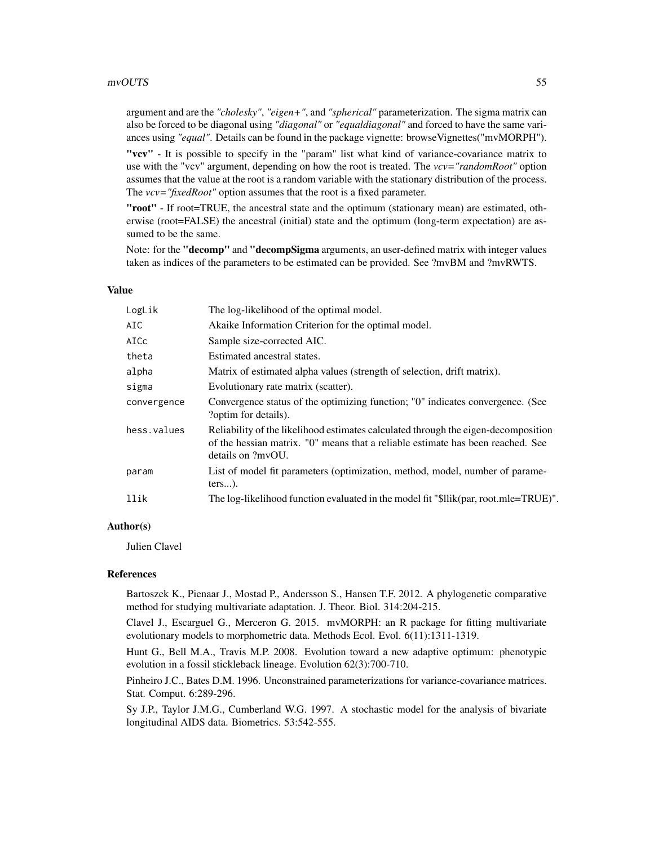#### mvOUTS 55

argument and are the *"cholesky"*, *"eigen+"*, and *"spherical"* parameterization. The sigma matrix can also be forced to be diagonal using *"diagonal"* or *"equaldiagonal"* and forced to have the same variances using *"equal"*. Details can be found in the package vignette: browseVignettes("mvMORPH").

"vcv" - It is possible to specify in the "param" list what kind of variance-covariance matrix to use with the "vcv" argument, depending on how the root is treated. The *vcv="randomRoot"* option assumes that the value at the root is a random variable with the stationary distribution of the process. The *vcv*="fixedRoot" option assumes that the root is a fixed parameter.

"root" - If root=TRUE, the ancestral state and the optimum (stationary mean) are estimated, otherwise (root=FALSE) the ancestral (initial) state and the optimum (long-term expectation) are assumed to be the same.

Note: for the "**decomp"** and "**decompSigma** arguments, an user-defined matrix with integer values taken as indices of the parameters to be estimated can be provided. See ?mvBM and ?mvRWTS.

## Value

| LogLik      | The log-likelihood of the optimal model.                                                                                                                                                   |
|-------------|--------------------------------------------------------------------------------------------------------------------------------------------------------------------------------------------|
| AIC         | Akaike Information Criterion for the optimal model.                                                                                                                                        |
| AICc        | Sample size-corrected AIC.                                                                                                                                                                 |
| theta       | Estimated ancestral states.                                                                                                                                                                |
| alpha       | Matrix of estimated alpha values (strength of selection, drift matrix).                                                                                                                    |
| sigma       | Evolutionary rate matrix (scatter).                                                                                                                                                        |
| convergence | Convergence status of the optimizing function; "0" indicates convergence. (See<br>?optim for details).                                                                                     |
| hess.values | Reliability of the likelihood estimates calculated through the eigen-decomposition<br>of the hessian matrix. "O" means that a reliable estimate has been reached. See<br>details on ?mvOU. |
| param       | List of model fit parameters (optimization, method, model, number of parame-<br>$ters$ ).                                                                                                  |
| llik        | The log-likelihood function evaluated in the model fit "\$llik(par, root.mle=TRUE)".                                                                                                       |

# Author(s)

Julien Clavel

#### References

Bartoszek K., Pienaar J., Mostad P., Andersson S., Hansen T.F. 2012. A phylogenetic comparative method for studying multivariate adaptation. J. Theor. Biol. 314:204-215.

Clavel J., Escarguel G., Merceron G. 2015. mvMORPH: an R package for fitting multivariate evolutionary models to morphometric data. Methods Ecol. Evol. 6(11):1311-1319.

Hunt G., Bell M.A., Travis M.P. 2008. Evolution toward a new adaptive optimum: phenotypic evolution in a fossil stickleback lineage. Evolution 62(3):700-710.

Pinheiro J.C., Bates D.M. 1996. Unconstrained parameterizations for variance-covariance matrices. Stat. Comput. 6:289-296.

Sy J.P., Taylor J.M.G., Cumberland W.G. 1997. A stochastic model for the analysis of bivariate longitudinal AIDS data. Biometrics. 53:542-555.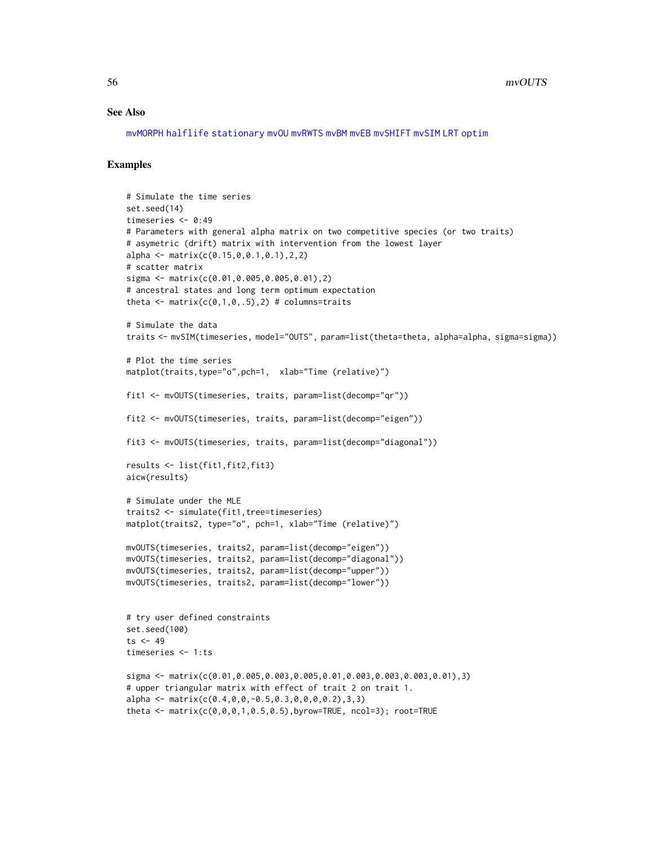### See Also

[mvMORPH](#page-1-0) [halflife](#page-15-0) [stationary](#page-77-0) [mvOU](#page-47-0) [mvRWTS](#page-58-0) [mvBM](#page-24-0) [mvEB](#page-29-0) [mvSHIFT](#page-61-0) [mvSIM](#page-65-0) [LRT](#page-17-0) [optim](#page-0-0)

```
# Simulate the time series
set.seed(14)
timeseries <- 0:49
# Parameters with general alpha matrix on two competitive species (or two traits)
# asymetric (drift) matrix with intervention from the lowest layer
alpha <- matrix(c(0.15,0,0.1,0.1),2,2)
# scatter matrix
sigma <- matrix(c(0.01,0.005,0.005,0.01),2)
# ancestral states and long term optimum expectation
theta \leq matrix(c(0,1,0,.5),2) # columns=traits
# Simulate the data
traits <- mvSIM(timeseries, model="OUTS", param=list(theta=theta, alpha=alpha, sigma=sigma))
# Plot the time series
matplot(traits,type="o",pch=1, xlab="Time (relative)")
fit1 <- mvOUTS(timeseries, traits, param=list(decomp="qr"))
fit2 <- mvOUTS(timeseries, traits, param=list(decomp="eigen"))
fit3 <- mvOUTS(timeseries, traits, param=list(decomp="diagonal"))
results <- list(fit1,fit2,fit3)
aicw(results)
# Simulate under the MLE
traits2 <- simulate(fit1,tree=timeseries)
matplot(traits2, type="o", pch=1, xlab="Time (relative)")
mvOUTS(timeseries, traits2, param=list(decomp="eigen"))
mvOUTS(timeseries, traits2, param=list(decomp="diagonal"))
mvOUTS(timeseries, traits2, param=list(decomp="upper"))
mvOUTS(timeseries, traits2, param=list(decomp="lower"))
# try user defined constraints
set.seed(100)
ts <-49timeseries <- 1:ts
sigma \leq matrix(c(0.01,0.005,0.003,0.005,0.01,0.003,0.003,0.003,0.01),3)
# upper triangular matrix with effect of trait 2 on trait 1.
alpha <- matrix(c(0.4, 0, 0, -0.5, 0.3, 0, 0, 0, 0.2), 3, 3)
theta <- matrix(c(0,0,0,1,0.5,0.5),byrow=TRUE, ncol=3); root=TRUE
```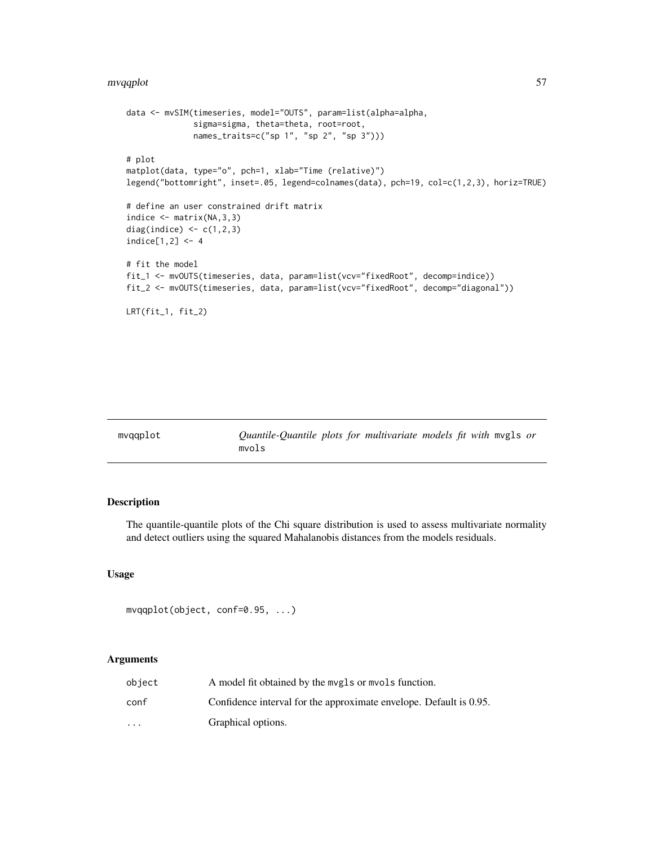#### mvqqplot 57 Solid at 1999 Solid and 1999 Solid at 1999 Solid and 1999 Solid and 1999 Solid and 1999 Solid and 1

```
data <- mvSIM(timeseries, model="OUTS", param=list(alpha=alpha,
              sigma=sigma, theta=theta, root=root,
              names_traits=c("sp 1", "sp 2", "sp 3")))
# plot
matplot(data, type="o", pch=1, xlab="Time (relative)")
legend("bottomright", inset=.05, legend=colnames(data), pch=19, col=c(1,2,3), horiz=TRUE)
# define an user constrained drift matrix
indice \leq matrix(NA, 3, 3)
diag(indice) \leq c(1,2,3)indice[1,2] < -4# fit the model
fit_1 <- mvOUTS(timeseries, data, param=list(vcv="fixedRoot", decomp=indice))
fit_2 <- mvOUTS(timeseries, data, param=list(vcv="fixedRoot", decomp="diagonal"))
LRT(fit_1, fit_2)
```

| Quantile-Quantile plots for multivariate models fit with mygls or<br>mvgaplot<br>mvols |  |  |
|----------------------------------------------------------------------------------------|--|--|
|----------------------------------------------------------------------------------------|--|--|

# Description

The quantile-quantile plots of the Chi square distribution is used to assess multivariate normality and detect outliers using the squared Mahalanobis distances from the models residuals.

# Usage

```
mvqqplot(object, conf=0.95, ...)
```
# Arguments

| object   | A model fit obtained by the mvgls or mvols function.               |
|----------|--------------------------------------------------------------------|
| conf     | Confidence interval for the approximate envelope. Default is 0.95. |
| $\cdots$ | Graphical options.                                                 |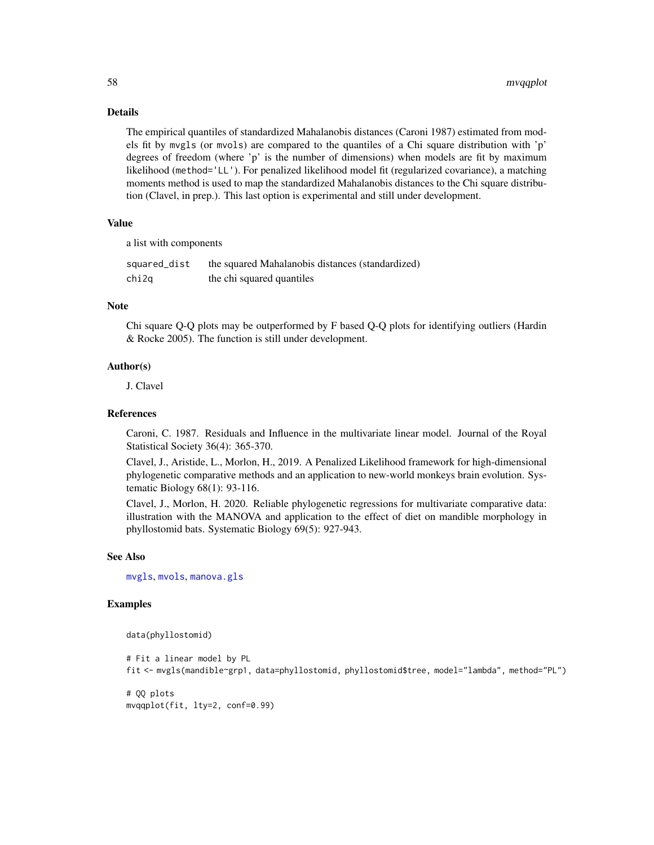## Details

The empirical quantiles of standardized Mahalanobis distances (Caroni 1987) estimated from models fit by mvgls (or mvols) are compared to the quantiles of a Chi square distribution with 'p' degrees of freedom (where 'p' is the number of dimensions) when models are fit by maximum likelihood (method='LL'). For penalized likelihood model fit (regularized covariance), a matching moments method is used to map the standardized Mahalanobis distances to the Chi square distribution (Clavel, in prep.). This last option is experimental and still under development.

# Value

a list with components

| squared_dist | the squared Mahalanobis distances (standardized) |
|--------------|--------------------------------------------------|
| chi2q        | the chi squared quantiles                        |

## Note

Chi square Q-Q plots may be outperformed by F based Q-Q plots for identifying outliers (Hardin & Rocke 2005). The function is still under development.

# Author(s)

J. Clavel

## References

Caroni, C. 1987. Residuals and Influence in the multivariate linear model. Journal of the Royal Statistical Society 36(4): 365-370.

Clavel, J., Aristide, L., Morlon, H., 2019. A Penalized Likelihood framework for high-dimensional phylogenetic comparative methods and an application to new-world monkeys brain evolution. Systematic Biology 68(1): 93-116.

Clavel, J., Morlon, H. 2020. Reliable phylogenetic regressions for multivariate comparative data: illustration with the MANOVA and application to the effect of diet on mandible morphology in phyllostomid bats. Systematic Biology 69(5): 927-943.

# See Also

[mvgls](#page-32-0), [mvols](#page-44-0), [manova.gls](#page-19-0)

# Examples

data(phyllostomid)

```
# Fit a linear model by PL
fit <- mvgls(mandible~grp1, data=phyllostomid, phyllostomid$tree, model="lambda", method="PL")
```
# QQ plots mvqqplot(fit, lty=2, conf=0.99)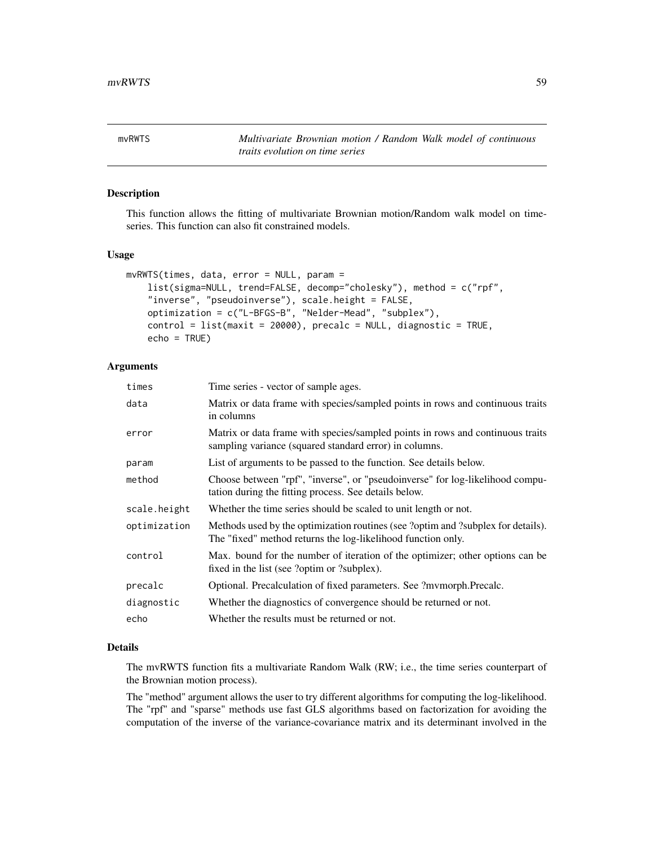<span id="page-58-0"></span>mvRWTS *Multivariate Brownian motion / Random Walk model of continuous traits evolution on time series*

# Description

This function allows the fitting of multivariate Brownian motion/Random walk model on timeseries. This function can also fit constrained models.

#### Usage

```
mvRWTS(times, data, error = NULL, param =
    list(sigma=NULL, trend=FALSE, decomp="cholesky"), method = c("rpf",
    "inverse", "pseudoinverse"), scale.height = FALSE,
   optimization = c("L-BFGS-B", "Nelder-Mead", "subplex"),
    control = list(maxit = 20000), precalc = NULL, diagnostic = TRUE,
   echo = TRUE)
```
## Arguments

| times        | Time series - vector of sample ages.                                                                                                             |
|--------------|--------------------------------------------------------------------------------------------------------------------------------------------------|
| data         | Matrix or data frame with species/sampled points in rows and continuous traits<br>in columns                                                     |
| error        | Matrix or data frame with species/sampled points in rows and continuous traits<br>sampling variance (squared standard error) in columns.         |
| param        | List of arguments to be passed to the function. See details below.                                                                               |
| method       | Choose between "rpf", "inverse", or "pseudoinverse" for log-likelihood compu-<br>tation during the fitting process. See details below.           |
| scale.height | Whether the time series should be scaled to unit length or not.                                                                                  |
| optimization | Methods used by the optimization routines (see ?optim and ?subplex for details).<br>The "fixed" method returns the log-likelihood function only. |
| control      | Max. bound for the number of iteration of the optimizer; other options can be<br>fixed in the list (see ?optim or ?subplex).                     |
| precalc      | Optional. Precalculation of fixed parameters. See ?mvmorph.Precalc.                                                                              |
| diagnostic   | Whether the diagnostics of convergence should be returned or not.                                                                                |
| echo         | Whether the results must be returned or not.                                                                                                     |

#### Details

The mvRWTS function fits a multivariate Random Walk (RW; i.e., the time series counterpart of the Brownian motion process).

The "method" argument allows the user to try different algorithms for computing the log-likelihood. The "rpf" and "sparse" methods use fast GLS algorithms based on factorization for avoiding the computation of the inverse of the variance-covariance matrix and its determinant involved in the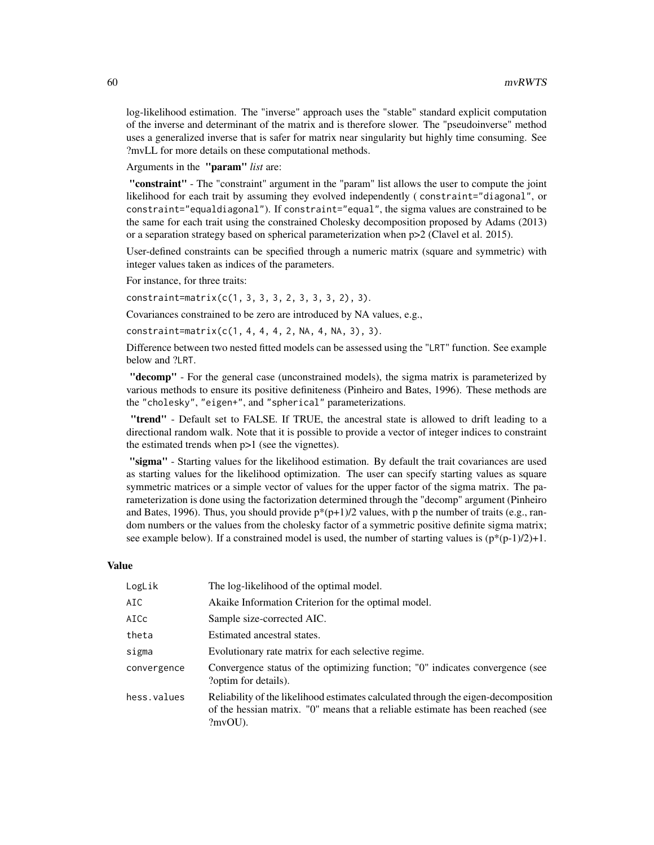log-likelihood estimation. The "inverse" approach uses the "stable" standard explicit computation of the inverse and determinant of the matrix and is therefore slower. The "pseudoinverse" method uses a generalized inverse that is safer for matrix near singularity but highly time consuming. See ?mvLL for more details on these computational methods.

Arguments in the "param" *list* are:

"constraint" - The "constraint" argument in the "param" list allows the user to compute the joint likelihood for each trait by assuming they evolved independently ( constraint="diagonal", or constraint="equaldiagonal"). If constraint="equal", the sigma values are constrained to be the same for each trait using the constrained Cholesky decomposition proposed by Adams (2013) or a separation strategy based on spherical parameterization when p>2 (Clavel et al. 2015).

User-defined constraints can be specified through a numeric matrix (square and symmetric) with integer values taken as indices of the parameters.

For instance, for three traits:

constraint=matrix(c(1, 3, 3, 3, 2, 3, 3, 3, 2), 3).

Covariances constrained to be zero are introduced by NA values, e.g.,

constraint=matrix(c(1, 4, 4, 4, 2, NA, 4, NA, 3), 3).

Difference between two nested fitted models can be assessed using the "LRT" function. See example below and ?LRT.

"decomp" - For the general case (unconstrained models), the sigma matrix is parameterized by various methods to ensure its positive definiteness (Pinheiro and Bates, 1996). These methods are the "cholesky", "eigen+", and "spherical" parameterizations.

"trend" - Default set to FALSE. If TRUE, the ancestral state is allowed to drift leading to a directional random walk. Note that it is possible to provide a vector of integer indices to constraint the estimated trends when p>1 (see the vignettes).

"sigma" - Starting values for the likelihood estimation. By default the trait covariances are used as starting values for the likelihood optimization. The user can specify starting values as square symmetric matrices or a simple vector of values for the upper factor of the sigma matrix. The parameterization is done using the factorization determined through the "decomp" argument (Pinheiro and Bates, 1996). Thus, you should provide  $p^*(p+1)/2$  values, with p the number of traits (e.g., random numbers or the values from the cholesky factor of a symmetric positive definite sigma matrix; see example below). If a constrained model is used, the number of starting values is  $(p^*(p-1)/2)+1$ .

### Value

| LogLik      | The log-likelihood of the optimal model.                                                                                                                                        |
|-------------|---------------------------------------------------------------------------------------------------------------------------------------------------------------------------------|
| AIC         | Akaike Information Criterion for the optimal model.                                                                                                                             |
| AICc        | Sample size-corrected AIC.                                                                                                                                                      |
| theta       | Estimated ancestral states.                                                                                                                                                     |
| sigma       | Evolutionary rate matrix for each selective regime.                                                                                                                             |
| convergence | Convergence status of the optimizing function; "0" indicates convergence (see<br>?optim for details).                                                                           |
| hess.values | Reliability of the likelihood estimates calculated through the eigen-decomposition<br>of the hessian matrix. "O" means that a reliable estimate has been reached (see<br>?mvOU. |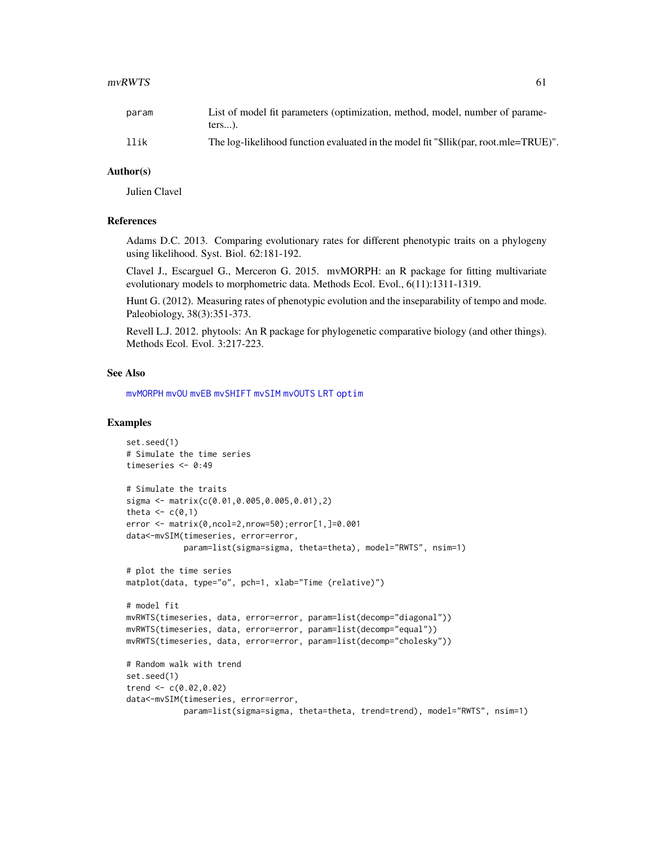#### $mvRWTS$  61

| param | List of model fit parameters (optimization, method, model, number of parame-<br>$ters$ ). |
|-------|-------------------------------------------------------------------------------------------|
| llik  | The log-likelihood function evaluated in the model fit "\$llik(par, root.mle=TRUE)".      |

# Author(s)

Julien Clavel

# References

Adams D.C. 2013. Comparing evolutionary rates for different phenotypic traits on a phylogeny using likelihood. Syst. Biol. 62:181-192.

Clavel J., Escarguel G., Merceron G. 2015. mvMORPH: an R package for fitting multivariate evolutionary models to morphometric data. Methods Ecol. Evol., 6(11):1311-1319.

Hunt G. (2012). Measuring rates of phenotypic evolution and the inseparability of tempo and mode. Paleobiology, 38(3):351-373.

Revell L.J. 2012. phytools: An R package for phylogenetic comparative biology (and other things). Methods Ecol. Evol. 3:217-223.

#### See Also

[mvMORPH](#page-1-0) [mvOU](#page-47-0) [mvEB](#page-29-0) [mvSHIFT](#page-61-0) [mvSIM](#page-65-0) [mvOUTS](#page-52-0) [LRT](#page-17-0) [optim](#page-0-0)

```
set.seed(1)
# Simulate the time series
timeseries <- 0:49
# Simulate the traits
sigma <- matrix(c(0.01,0.005,0.005,0.01),2)
theta \leq c(0,1)error <- matrix(0,ncol=2,nrow=50);error[1,]=0.001
data<-mvSIM(timeseries, error=error,
            param=list(sigma=sigma, theta=theta), model="RWTS", nsim=1)
# plot the time series
matplot(data, type="o", pch=1, xlab="Time (relative)")
# model fit
mvRWTS(timeseries, data, error=error, param=list(decomp="diagonal"))
mvRWTS(timeseries, data, error=error, param=list(decomp="equal"))
mvRWTS(timeseries, data, error=error, param=list(decomp="cholesky"))
# Random walk with trend
set.seed(1)
trend <-c(0.02, 0.02)data<-mvSIM(timeseries, error=error,
            param=list(sigma=sigma, theta=theta, trend=trend), model="RWTS", nsim=1)
```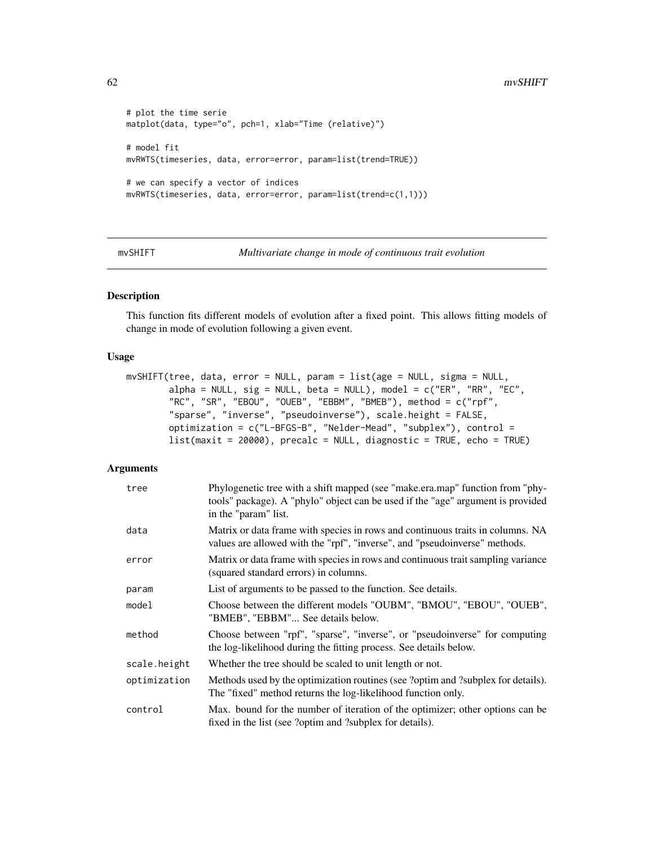```
# plot the time serie
matplot(data, type="o", pch=1, xlab="Time (relative)")
# model fit
mvRWTS(timeseries, data, error=error, param=list(trend=TRUE))
# we can specify a vector of indices
mvRWTS(timeseries, data, error=error, param=list(trend=c(1,1)))
```
<span id="page-61-0"></span>mvSHIFT *Multivariate change in mode of continuous trait evolution*

#### Description

This function fits different models of evolution after a fixed point. This allows fitting models of change in mode of evolution following a given event.

## Usage

```
mvSHIFT(tree, data, error = NULL, param = list(age = NULL, sigma = NULL,
       alpha = NULL, sig = NULL, beta = NULL), model = c("ER", "RR", "EC","RC", "SR", "EBOU", "OUEB", "EBBM", "BMEB"), method = c("rpf",
        "sparse", "inverse", "pseudoinverse"), scale.height = FALSE,
       optimization = c("L-BFGS-B", "Nelder-Mead", "subplex"), control =
       list(maxit = 20000), precalc = NULL, diagnostic = TRUE, echo = TRUE)
```
# Arguments

| tree         | Phylogenetic tree with a shift mapped (see "make.era.map" function from "phy-<br>tools" package). A "phylo" object can be used if the "age" argument is provided<br>in the "param" list. |
|--------------|------------------------------------------------------------------------------------------------------------------------------------------------------------------------------------------|
| data         | Matrix or data frame with species in rows and continuous traits in columns. NA<br>values are allowed with the "rpf", "inverse", and "pseudoinverse" methods.                             |
| error        | Matrix or data frame with species in rows and continuous trait sampling variance<br>(squared standard errors) in columns.                                                                |
| param        | List of arguments to be passed to the function. See details.                                                                                                                             |
| model        | Choose between the different models "OUBM", "BMOU", "EBOU", "OUEB",<br>"BMEB", "EBBM" See details below.                                                                                 |
| method       | Choose between "rpf", "sparse", "inverse", or "pseudoinverse" for computing<br>the log-likelihood during the fitting process. See details below.                                         |
| scale.height | Whether the tree should be scaled to unit length or not.                                                                                                                                 |
| optimization | Methods used by the optimization routines (see ?optim and ?subplex for details).<br>The "fixed" method returns the log-likelihood function only.                                         |
| control      | Max. bound for the number of iteration of the optimizer; other options can be<br>fixed in the list (see ?optim and ?subplex for details).                                                |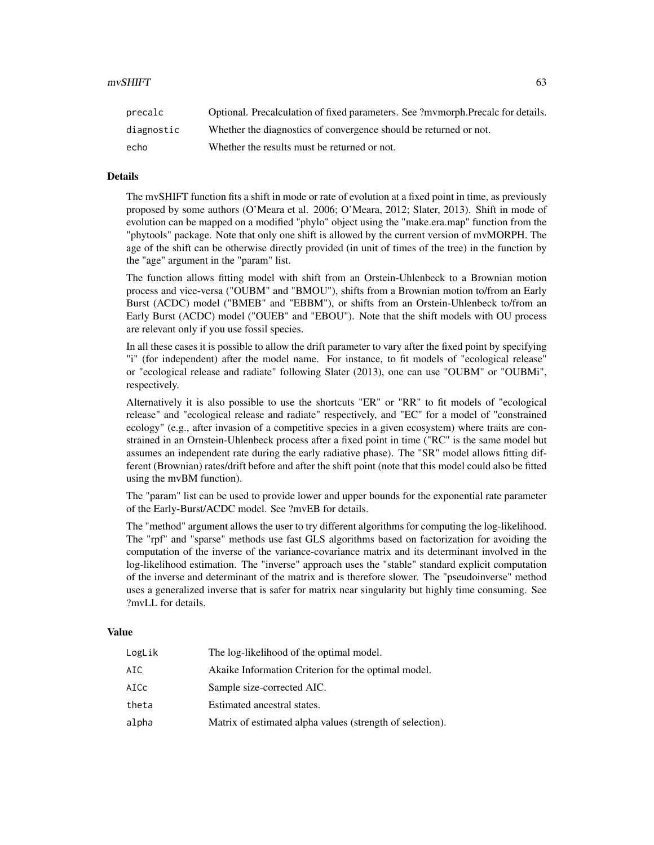| precalc    | Optional. Precalculation of fixed parameters. See ?mymorph.Precalc for details. |
|------------|---------------------------------------------------------------------------------|
| diagnostic | Whether the diagnostics of convergence should be returned or not.               |
| echo       | Whether the results must be returned or not.                                    |

## Details

The mvSHIFT function fits a shift in mode or rate of evolution at a fixed point in time, as previously proposed by some authors (O'Meara et al. 2006; O'Meara, 2012; Slater, 2013). Shift in mode of evolution can be mapped on a modified "phylo" object using the "make.era.map" function from the "phytools" package. Note that only one shift is allowed by the current version of mvMORPH. The age of the shift can be otherwise directly provided (in unit of times of the tree) in the function by the "age" argument in the "param" list.

The function allows fitting model with shift from an Orstein-Uhlenbeck to a Brownian motion process and vice-versa ("OUBM" and "BMOU"), shifts from a Brownian motion to/from an Early Burst (ACDC) model ("BMEB" and "EBBM"), or shifts from an Orstein-Uhlenbeck to/from an Early Burst (ACDC) model ("OUEB" and "EBOU"). Note that the shift models with OU process are relevant only if you use fossil species.

In all these cases it is possible to allow the drift parameter to vary after the fixed point by specifying "i" (for independent) after the model name. For instance, to fit models of "ecological release" or "ecological release and radiate" following Slater (2013), one can use "OUBM" or "OUBMi", respectively.

Alternatively it is also possible to use the shortcuts "ER" or "RR" to fit models of "ecological release" and "ecological release and radiate" respectively, and "EC" for a model of "constrained ecology" (e.g., after invasion of a competitive species in a given ecosystem) where traits are constrained in an Ornstein-Uhlenbeck process after a fixed point in time ("RC" is the same model but assumes an independent rate during the early radiative phase). The "SR" model allows fitting different (Brownian) rates/drift before and after the shift point (note that this model could also be fitted using the mvBM function).

The "param" list can be used to provide lower and upper bounds for the exponential rate parameter of the Early-Burst/ACDC model. See ?mvEB for details.

The "method" argument allows the user to try different algorithms for computing the log-likelihood. The "rpf" and "sparse" methods use fast GLS algorithms based on factorization for avoiding the computation of the inverse of the variance-covariance matrix and its determinant involved in the log-likelihood estimation. The "inverse" approach uses the "stable" standard explicit computation of the inverse and determinant of the matrix and is therefore slower. The "pseudoinverse" method uses a generalized inverse that is safer for matrix near singularity but highly time consuming. See ?mvLL for details.

## Value

| LogLik | The log-likelihood of the optimal model.                  |
|--------|-----------------------------------------------------------|
| AIC    | Akaike Information Criterion for the optimal model.       |
| AICc   | Sample size-corrected AIC.                                |
| theta  | Estimated ancestral states.                               |
| alpha  | Matrix of estimated alpha values (strength of selection). |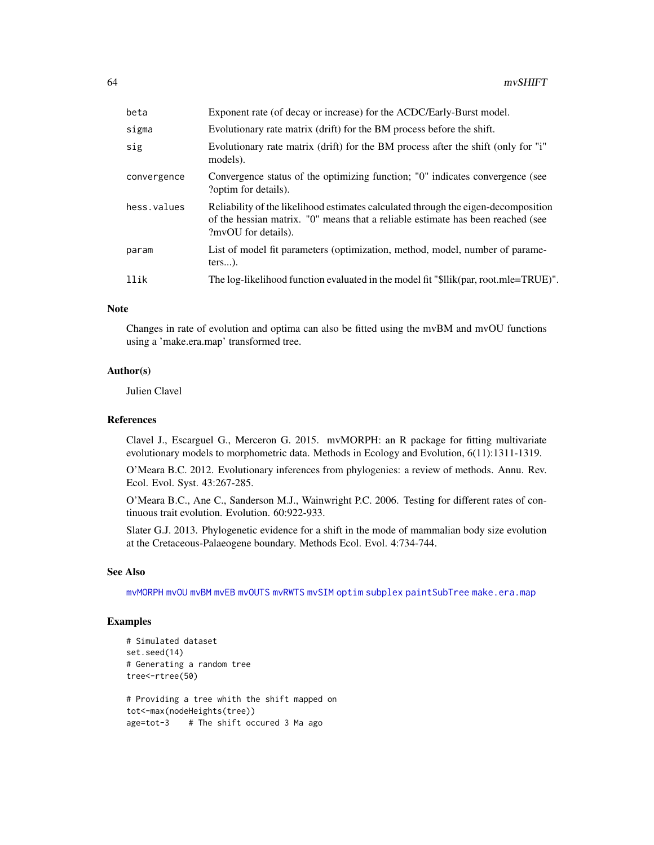| beta        | Exponent rate (of decay or increase) for the ACDC/Early-Burst model.                                                                                                                         |
|-------------|----------------------------------------------------------------------------------------------------------------------------------------------------------------------------------------------|
| sigma       | Evolutionary rate matrix (drift) for the BM process before the shift.                                                                                                                        |
| sig         | Evolutionary rate matrix (drift) for the BM process after the shift (only for "i"<br>models).                                                                                                |
| convergence | Convergence status of the optimizing function; "0" indicates convergence (see<br>?optim for details).                                                                                        |
| hess.values | Reliability of the likelihood estimates calculated through the eigen-decomposition<br>of the hessian matrix. "O" means that a reliable estimate has been reached (see<br>?mvOU for details). |
| param       | List of model fit parameters (optimization, method, model, number of parame-<br>$ters$ ).                                                                                                    |
| llik        | The log-likelihood function evaluated in the model fit "\$llik(par, root.mle=TRUE)".                                                                                                         |
|             |                                                                                                                                                                                              |

## Note

Changes in rate of evolution and optima can also be fitted using the mvBM and mvOU functions using a 'make.era.map' transformed tree.

## Author(s)

Julien Clavel

### References

Clavel J., Escarguel G., Merceron G. 2015. mvMORPH: an R package for fitting multivariate evolutionary models to morphometric data. Methods in Ecology and Evolution, 6(11):1311-1319.

O'Meara B.C. 2012. Evolutionary inferences from phylogenies: a review of methods. Annu. Rev. Ecol. Evol. Syst. 43:267-285.

O'Meara B.C., Ane C., Sanderson M.J., Wainwright P.C. 2006. Testing for different rates of continuous trait evolution. Evolution. 60:922-933.

Slater G.J. 2013. Phylogenetic evidence for a shift in the mode of mammalian body size evolution at the Cretaceous-Palaeogene boundary. Methods Ecol. Evol. 4:734-744.

#### See Also

[mvMORPH](#page-1-0) [mvOU](#page-47-0) [mvBM](#page-24-0) [mvEB](#page-29-0) [mvOUTS](#page-52-0) [mvRWTS](#page-58-0) [mvSIM](#page-65-0) [optim](#page-0-0) [subplex](#page-0-0) [paintSubTree](#page-0-0) [make.era.map](#page-0-0)

```
# Simulated dataset
set.seed(14)
# Generating a random tree
tree<-rtree(50)
# Providing a tree whith the shift mapped on
tot<-max(nodeHeights(tree))
age=tot-3 # The shift occured 3 Ma ago
```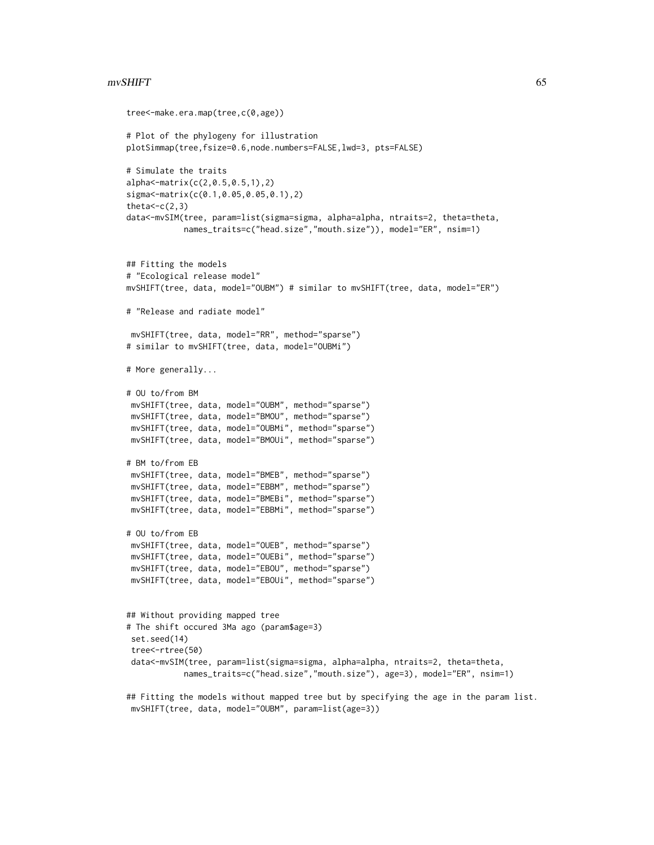#### $\mu$  mvSHIFT 65

```
tree<-make.era.map(tree,c(0,age))
# Plot of the phylogeny for illustration
plotSimmap(tree,fsize=0.6,node.numbers=FALSE,lwd=3, pts=FALSE)
# Simulate the traits
alpha<-matrix(c(2,0.5,0.5,1),2)
sigma<-matrix(c(0.1,0.05,0.05,0.1),2)
theta<-c(2,3)data<-mvSIM(tree, param=list(sigma=sigma, alpha=alpha, ntraits=2, theta=theta,
            names_traits=c("head.size","mouth.size")), model="ER", nsim=1)
## Fitting the models
# "Ecological release model"
mvSHIFT(tree, data, model="OUBM") # similar to mvSHIFT(tree, data, model="ER")
# "Release and radiate model"
 mvSHIFT(tree, data, model="RR", method="sparse")
# similar to mvSHIFT(tree, data, model="OUBMi")
# More generally...
# OU to/from BM
 mvSHIFT(tree, data, model="OUBM", method="sparse")
 mvSHIFT(tree, data, model="BMOU", method="sparse")
 mvSHIFT(tree, data, model="OUBMi", method="sparse")
 mvSHIFT(tree, data, model="BMOUi", method="sparse")
# BM to/from EB
 mvSHIFT(tree, data, model="BMEB", method="sparse")
 mvSHIFT(tree, data, model="EBBM", method="sparse")
 mvSHIFT(tree, data, model="BMEBi", method="sparse")
 mvSHIFT(tree, data, model="EBBMi", method="sparse")
# OU to/from EB
 mvSHIFT(tree, data, model="OUEB", method="sparse")
 mvSHIFT(tree, data, model="OUEBi", method="sparse")
 mvSHIFT(tree, data, model="EBOU", method="sparse")
 mvSHIFT(tree, data, model="EBOUi", method="sparse")
## Without providing mapped tree
# The shift occured 3Ma ago (param$age=3)
 set.seed(14)
 tree<-rtree(50)
 data<-mvSIM(tree, param=list(sigma=sigma, alpha=alpha, ntraits=2, theta=theta,
            names_traits=c("head.size","mouth.size"), age=3), model="ER", nsim=1)
## Fitting the models without mapped tree but by specifying the age in the param list.
 mvSHIFT(tree, data, model="OUBM", param=list(age=3))
```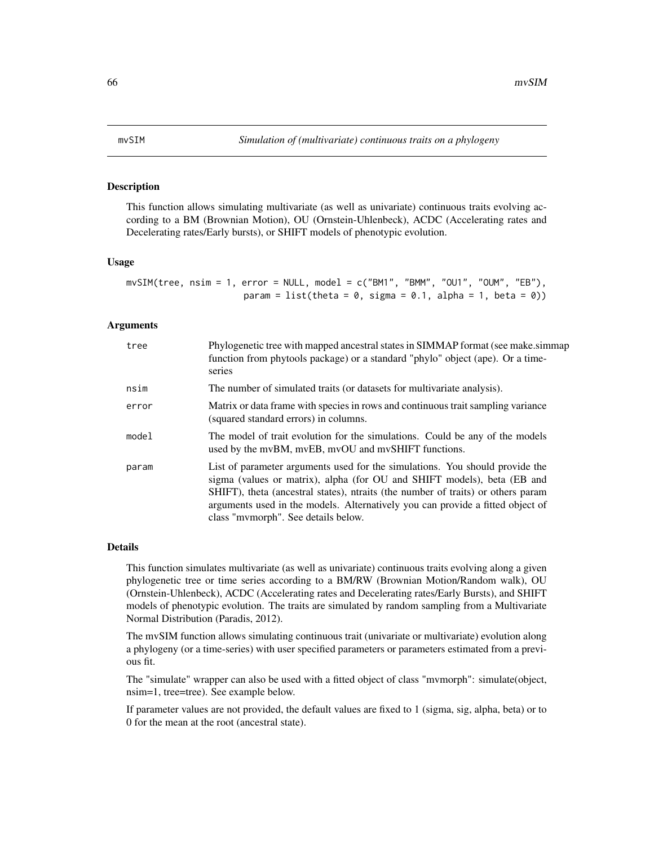#### <span id="page-65-0"></span>Description

This function allows simulating multivariate (as well as univariate) continuous traits evolving according to a BM (Brownian Motion), OU (Ornstein-Uhlenbeck), ACDC (Accelerating rates and Decelerating rates/Early bursts), or SHIFT models of phenotypic evolution.

### Usage

 $mvSIM(tree, nsim = 1, error = NULL, model = c("BMI", "BMM", "OUI", "OUM", "EB"),$ param = list(theta =  $0$ , sigma =  $0.1$ , alpha =  $1$ , beta =  $0$ ))

# Arguments

| tree  | Phylogenetic tree with mapped ancestral states in SIMMAP format (see make simmap<br>function from phytools package) or a standard "phylo" object (ape). Or a time-<br>series                                                                                                                                                                                         |  |
|-------|----------------------------------------------------------------------------------------------------------------------------------------------------------------------------------------------------------------------------------------------------------------------------------------------------------------------------------------------------------------------|--|
| nsim  | The number of simulated traits (or datasets for multivariate analysis).                                                                                                                                                                                                                                                                                              |  |
| error | Matrix or data frame with species in rows and continuous trait sampling variance<br>(squared standard errors) in columns.                                                                                                                                                                                                                                            |  |
| model | The model of trait evolution for the simulations. Could be any of the models<br>used by the mvBM, mvEB, mvOU and mvSHIFT functions.                                                                                                                                                                                                                                  |  |
| param | List of parameter arguments used for the simulations. You should provide the<br>sigma (values or matrix), alpha (for OU and SHIFT models), beta (EB and<br>SHIFT), theta (ancestral states), ntraits (the number of traits) or others param<br>arguments used in the models. Alternatively you can provide a fitted object of<br>class "mymorph". See details below. |  |

## Details

This function simulates multivariate (as well as univariate) continuous traits evolving along a given phylogenetic tree or time series according to a BM/RW (Brownian Motion/Random walk), OU (Ornstein-Uhlenbeck), ACDC (Accelerating rates and Decelerating rates/Early Bursts), and SHIFT models of phenotypic evolution. The traits are simulated by random sampling from a Multivariate Normal Distribution (Paradis, 2012).

The mvSIM function allows simulating continuous trait (univariate or multivariate) evolution along a phylogeny (or a time-series) with user specified parameters or parameters estimated from a previous fit.

The "simulate" wrapper can also be used with a fitted object of class "mvmorph": simulate(object, nsim=1, tree=tree). See example below.

If parameter values are not provided, the default values are fixed to 1 (sigma, sig, alpha, beta) or to 0 for the mean at the root (ancestral state).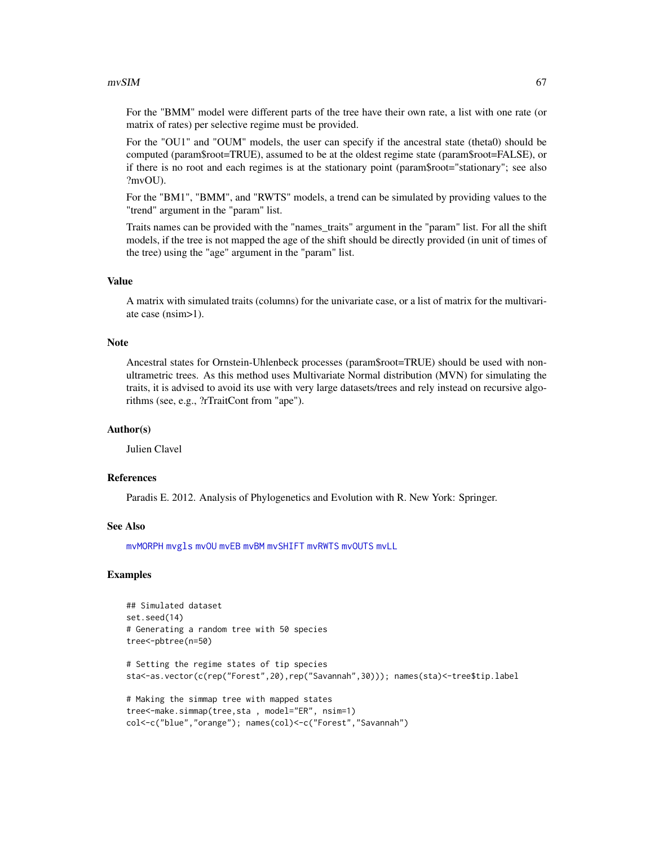### $mvSIM$  67

For the "BMM" model were different parts of the tree have their own rate, a list with one rate (or matrix of rates) per selective regime must be provided.

For the "OU1" and "OUM" models, the user can specify if the ancestral state (theta0) should be computed (param\$root=TRUE), assumed to be at the oldest regime state (param\$root=FALSE), or if there is no root and each regimes is at the stationary point (param\$root="stationary"; see also ?mvOU).

For the "BM1", "BMM", and "RWTS" models, a trend can be simulated by providing values to the "trend" argument in the "param" list.

Traits names can be provided with the "names\_traits" argument in the "param" list. For all the shift models, if the tree is not mapped the age of the shift should be directly provided (in unit of times of the tree) using the "age" argument in the "param" list.

# Value

A matrix with simulated traits (columns) for the univariate case, or a list of matrix for the multivariate case (nsim>1).

#### **Note**

Ancestral states for Ornstein-Uhlenbeck processes (param\$root=TRUE) should be used with nonultrametric trees. As this method uses Multivariate Normal distribution (MVN) for simulating the traits, it is advised to avoid its use with very large datasets/trees and rely instead on recursive algorithms (see, e.g., ?rTraitCont from "ape").

## Author(s)

Julien Clavel

## References

Paradis E. 2012. Analysis of Phylogenetics and Evolution with R. New York: Springer.

### See Also

[mvMORPH](#page-1-0) [mvgls](#page-32-0) [mvOU](#page-47-0) [mvEB](#page-29-0) [mvBM](#page-24-0) [mvSHIFT](#page-61-0) [mvRWTS](#page-58-0) [mvOUTS](#page-52-0) [mvLL](#page-40-0)

col<-c("blue","orange"); names(col)<-c("Forest","Savannah")

```
## Simulated dataset
set.seed(14)
# Generating a random tree with 50 species
tree<-pbtree(n=50)
# Setting the regime states of tip species
sta<-as.vector(c(rep("Forest",20),rep("Savannah",30))); names(sta)<-tree$tip.label
# Making the simmap tree with mapped states
tree<-make.simmap(tree,sta , model="ER", nsim=1)
```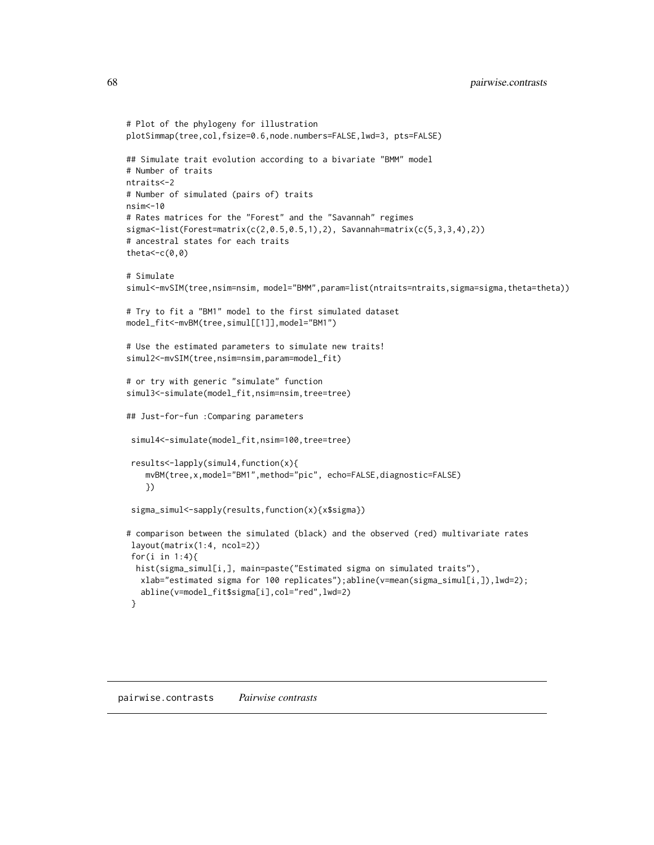```
# Plot of the phylogeny for illustration
plotSimmap(tree,col,fsize=0.6,node.numbers=FALSE,lwd=3, pts=FALSE)
## Simulate trait evolution according to a bivariate "BMM" model
# Number of traits
ntraits<-2
# Number of simulated (pairs of) traits
nsim<-10
# Rates matrices for the "Forest" and the "Savannah" regimes
signa < -list(Forest=matrix(c(2, 0.5, 0.5, 1), 2), Savannah=matrix(c(5, 3, 3, 4), 2))# ancestral states for each traits
theta\lt-c(0,0)
# Simulate
simul<-mvSIM(tree,nsim=nsim, model="BMM",param=list(ntraits=ntraits,sigma=sigma,theta=theta))
# Try to fit a "BM1" model to the first simulated dataset
model_fit<-mvBM(tree,simul[[1]],model="BM1")
# Use the estimated parameters to simulate new traits!
simul2<-mvSIM(tree,nsim=nsim,param=model_fit)
# or try with generic "simulate" function
simul3<-simulate(model_fit,nsim=nsim,tree=tree)
## Just-for-fun :Comparing parameters
simul4<-simulate(model_fit,nsim=100,tree=tree)
 results<-lapply(simul4,function(x){
   mvBM(tree,x,model="BM1",method="pic", echo=FALSE,diagnostic=FALSE)
    })
 sigma_simul<-sapply(results,function(x){x$sigma})
# comparison between the simulated (black) and the observed (red) multivariate rates
layout(matrix(1:4, ncol=2))
 for(i in 1:4){
 hist(sigma_simul[i,], main=paste("Estimated sigma on simulated traits"),
  xlab="estimated sigma for 100 replicates");abline(v=mean(sigma_simul[i,]),lwd=2);
  abline(v=model_fit$sigma[i],col="red",lwd=2)
 }
```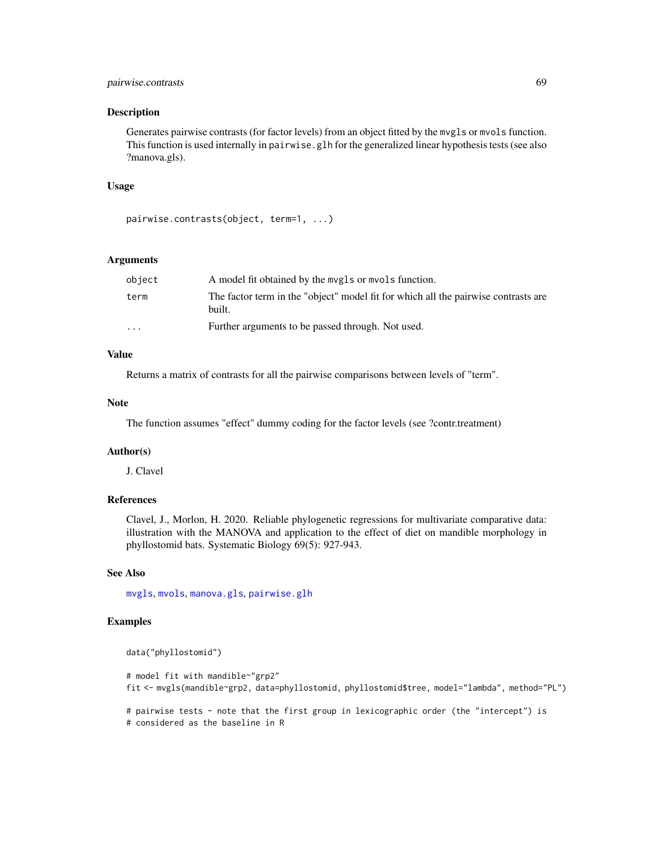# pairwise.contrasts 69

#### Description

Generates pairwise contrasts (for factor levels) from an object fitted by the mvgls or mvols function. This function is used internally in pairwise.glh for the generalized linear hypothesis tests (see also ?manova.gls).

## Usage

pairwise.contrasts(object, term=1, ...)

# Arguments

| object                  | A model fit obtained by the mygls or myols function.                                         |  |
|-------------------------|----------------------------------------------------------------------------------------------|--|
| term                    | The factor term in the "object" model fit for which all the pairwise contrasts are<br>built. |  |
| $\cdot$ $\cdot$ $\cdot$ | Further arguments to be passed through. Not used.                                            |  |

# Value

Returns a matrix of contrasts for all the pairwise comparisons between levels of "term".

## Note

The function assumes "effect" dummy coding for the factor levels (see ?contr.treatment)

# Author(s)

J. Clavel

# References

Clavel, J., Morlon, H. 2020. Reliable phylogenetic regressions for multivariate comparative data: illustration with the MANOVA and application to the effect of diet on mandible morphology in phyllostomid bats. Systematic Biology 69(5): 927-943.

#### See Also

[mvgls](#page-32-0), [mvols](#page-44-0), [manova.gls](#page-19-0), [pairwise.glh](#page-69-0)

# Examples

```
data("phyllostomid")
```
# model fit with mandible~"grp2" fit <- mvgls(mandible~grp2, data=phyllostomid, phyllostomid\$tree, model="lambda", method="PL") # pairwise tests - note that the first group in lexicographic order (the "intercept") is

```
# considered as the baseline in R
```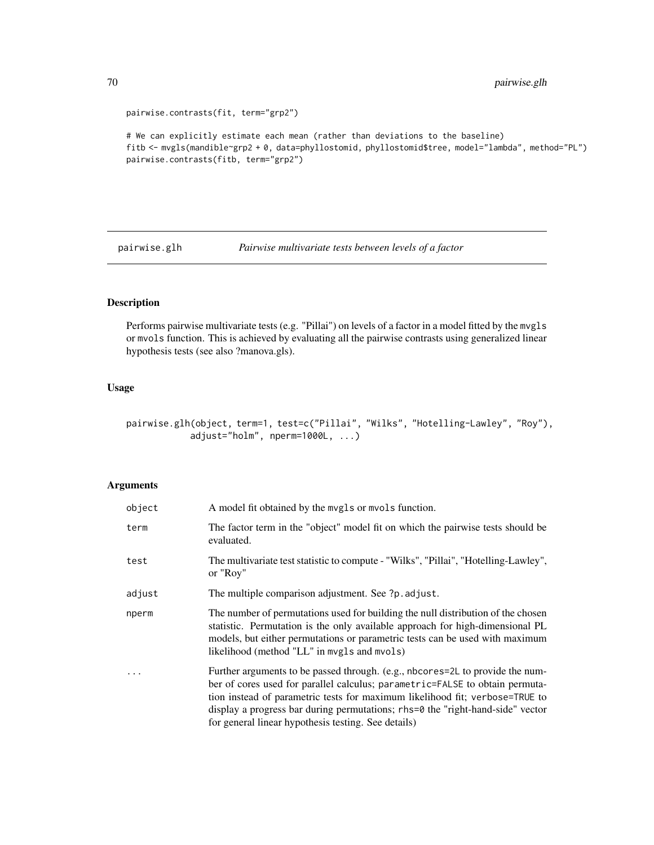```
pairwise.contrasts(fit, term="grp2")
# We can explicitly estimate each mean (rather than deviations to the baseline)
fitb <- mvgls(mandible~grp2 + 0, data=phyllostomid, phyllostomid$tree, model="lambda", method="PL")
pairwise.contrasts(fitb, term="grp2")
```
<span id="page-69-0"></span>pairwise.glh *Pairwise multivariate tests between levels of a factor*

# Description

Performs pairwise multivariate tests (e.g. "Pillai") on levels of a factor in a model fitted by the mvgls or mvols function. This is achieved by evaluating all the pairwise contrasts using generalized linear hypothesis tests (see also ?manova.gls).

# Usage

pairwise.glh(object, term=1, test=c("Pillai", "Wilks", "Hotelling-Lawley", "Roy"), adjust="holm", nperm=1000L, ...)

# Arguments

| object | A model fit obtained by the mvgls or mvols function.                                                                                                                                                                                                                                                                                                                                   |  |
|--------|----------------------------------------------------------------------------------------------------------------------------------------------------------------------------------------------------------------------------------------------------------------------------------------------------------------------------------------------------------------------------------------|--|
| term   | The factor term in the "object" model fit on which the pairwise tests should be<br>evaluated.                                                                                                                                                                                                                                                                                          |  |
| test   | The multivariate test statistic to compute - "Wilks", "Pillai", "Hotelling-Lawley",<br>or "Roy"                                                                                                                                                                                                                                                                                        |  |
| adjust | The multiple comparison adjustment. See ?p. adjust.                                                                                                                                                                                                                                                                                                                                    |  |
| nperm  | The number of permutations used for building the null distribution of the chosen<br>statistic. Permutation is the only available approach for high-dimensional PL<br>models, but either permutations or parametric tests can be used with maximum<br>likelihood (method "LL" in mvgls and mvols)                                                                                       |  |
| .      | Further arguments to be passed through. (e.g., nbcores=2L to provide the num-<br>ber of cores used for parallel calculus; parametric=FALSE to obtain permuta-<br>tion instead of parametric tests for maximum likelihood fit; verbose=TRUE to<br>display a progress bar during permutations; rhs=0 the "right-hand-side" vector<br>for general linear hypothesis testing. See details) |  |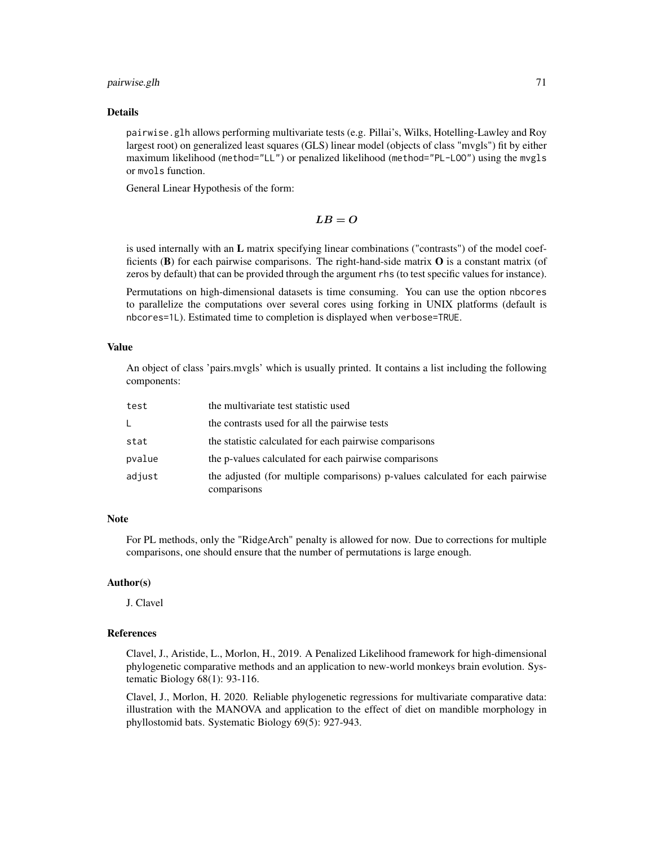### pairwise.glh 71

#### Details

pairwise.glh allows performing multivariate tests (e.g. Pillai's, Wilks, Hotelling-Lawley and Roy largest root) on generalized least squares (GLS) linear model (objects of class "mvgls") fit by either maximum likelihood (method="LL") or penalized likelihood (method="PL-LOO") using the mvgls or mvols function.

General Linear Hypothesis of the form:

$$
LB=O
$$

is used internally with an L matrix specifying linear combinations ("contrasts") of the model coefficients  $(B)$  for each pairwise comparisons. The right-hand-side matrix  $O$  is a constant matrix (of zeros by default) that can be provided through the argument rhs (to test specific values for instance).

Permutations on high-dimensional datasets is time consuming. You can use the option nbcores to parallelize the computations over several cores using forking in UNIX platforms (default is nbcores=1L). Estimated time to completion is displayed when verbose=TRUE.

# Value

An object of class 'pairs.mvgls' which is usually printed. It contains a list including the following components:

| test   | the multivariate test statistic used                                                         |  |
|--------|----------------------------------------------------------------------------------------------|--|
| L.     | the contrasts used for all the pairwise tests                                                |  |
| stat   | the statistic calculated for each pairwise comparisons                                       |  |
| pvalue | the p-values calculated for each pairwise comparisons                                        |  |
| adjust | the adjusted (for multiple comparisons) p-values calculated for each pairwise<br>comparisons |  |

## **Note**

For PL methods, only the "RidgeArch" penalty is allowed for now. Due to corrections for multiple comparisons, one should ensure that the number of permutations is large enough.

## Author(s)

J. Clavel

# References

Clavel, J., Aristide, L., Morlon, H., 2019. A Penalized Likelihood framework for high-dimensional phylogenetic comparative methods and an application to new-world monkeys brain evolution. Systematic Biology 68(1): 93-116.

Clavel, J., Morlon, H. 2020. Reliable phylogenetic regressions for multivariate comparative data: illustration with the MANOVA and application to the effect of diet on mandible morphology in phyllostomid bats. Systematic Biology 69(5): 927-943.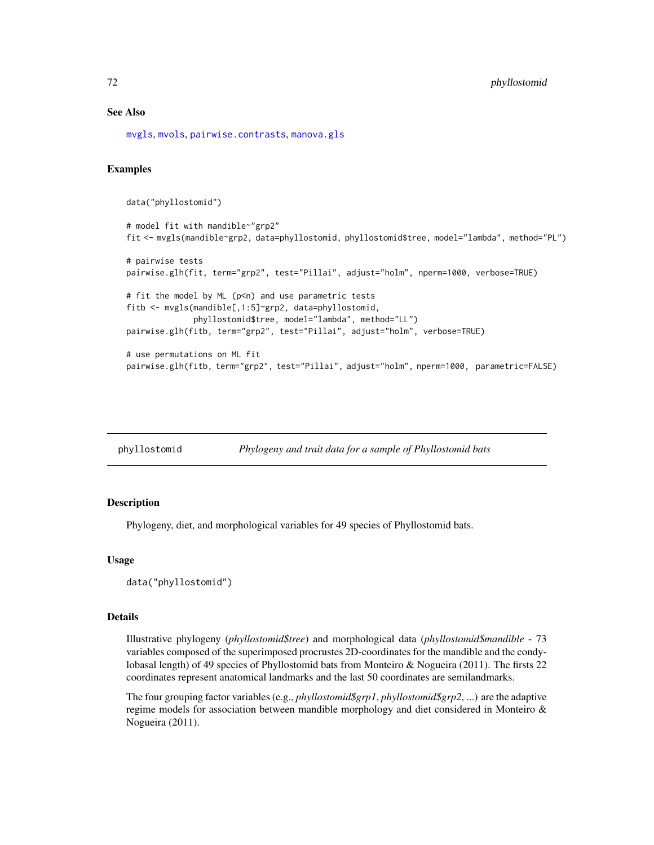# See Also

[mvgls](#page-32-0), [mvols](#page-44-0), [pairwise.contrasts](#page-67-0), [manova.gls](#page-19-0)

# Examples

data("phyllostomid")

```
# model fit with mandible~"grp2"
fit <- mvgls(mandible~grp2, data=phyllostomid, phyllostomid$tree, model="lambda", method="PL")
# pairwise tests
pairwise.glh(fit, term="grp2", test="Pillai", adjust="holm", nperm=1000, verbose=TRUE)
# fit the model by ML (p<n) and use parametric tests
fitb <- mvgls(mandible[,1:5]~grp2, data=phyllostomid,
              phyllostomid$tree, model="lambda", method="LL")
pairwise.glh(fitb, term="grp2", test="Pillai", adjust="holm", verbose=TRUE)
# use permutations on ML fit
pairwise.glh(fitb, term="grp2", test="Pillai", adjust="holm", nperm=1000, parametric=FALSE)
```

| phyllostomid | Phylogeny and trait data for a sample of Phyllostomid bats |
|--------------|------------------------------------------------------------|
|              |                                                            |

## Description

Phylogeny, diet, and morphological variables for 49 species of Phyllostomid bats.

#### Usage

data("phyllostomid")

# Details

Illustrative phylogeny (*phyllostomid\$tree*) and morphological data (*phyllostomid\$mandible* - 73 variables composed of the superimposed procrustes 2D-coordinates for the mandible and the condylobasal length) of 49 species of Phyllostomid bats from Monteiro & Nogueira (2011). The firsts 22 coordinates represent anatomical landmarks and the last 50 coordinates are semilandmarks.

The four grouping factor variables (e.g., *phyllostomid\$grp1*, *phyllostomid\$grp2*, ...) are the adaptive regime models for association between mandible morphology and diet considered in Monteiro & Nogueira (2011).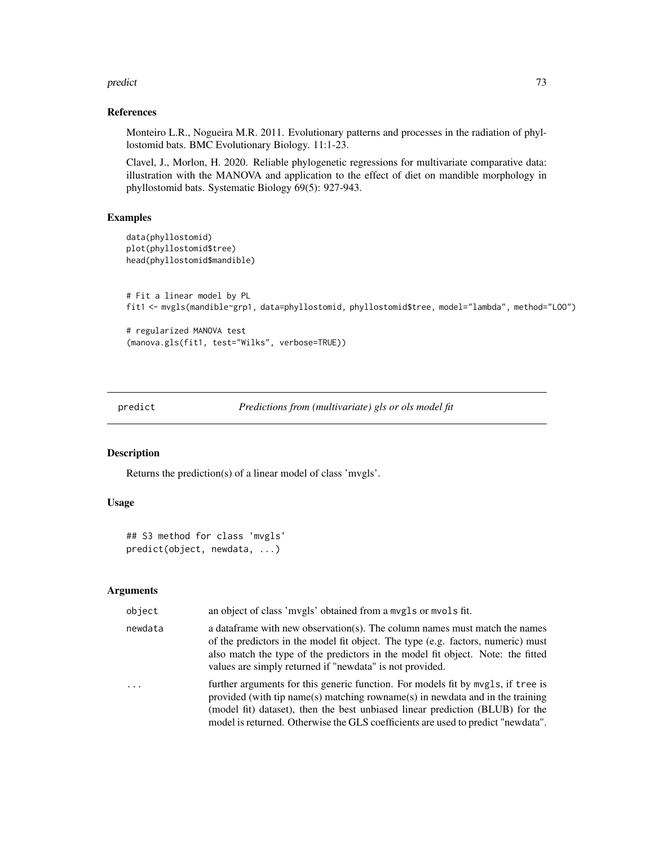#### <span id="page-72-1"></span>predict the contract of the contract of the contract of the contract of the contract of the contract of the contract of the contract of the contract of the contract of the contract of the contract of the contract of the co

## References

Monteiro L.R., Nogueira M.R. 2011. Evolutionary patterns and processes in the radiation of phyllostomid bats. BMC Evolutionary Biology. 11:1-23.

Clavel, J., Morlon, H. 2020. Reliable phylogenetic regressions for multivariate comparative data: illustration with the MANOVA and application to the effect of diet on mandible morphology in phyllostomid bats. Systematic Biology 69(5): 927-943.

# Examples

```
data(phyllostomid)
plot(phyllostomid$tree)
head(phyllostomid$mandible)
# Fit a linear model by PL
fit1 <- mvgls(mandible~grp1, data=phyllostomid, phyllostomid$tree, model="lambda", method="LOO")
# regularized MANOVA test
(manova.gls(fit1, test="Wilks", verbose=TRUE))
```
predict *Predictions from (multivariate) gls or ols model fit*

## <span id="page-72-0"></span>Description

Returns the prediction(s) of a linear model of class 'mvgls'.

## Usage

```
## S3 method for class 'mvgls'
predict(object, newdata, ...)
```
## Arguments

| object   | an object of class 'mvgls' obtained from a mvgls or mvols fit.                                                                                                                                                                                                                                                                         |
|----------|----------------------------------------------------------------------------------------------------------------------------------------------------------------------------------------------------------------------------------------------------------------------------------------------------------------------------------------|
| newdata  | a data frame with new observation(s). The column names must match the names<br>of the predictors in the model fit object. The type (e.g. factors, numeric) must<br>also match the type of the predictors in the model fit object. Note: the fitted<br>values are simply returned if "newdata" is not provided.                         |
| $\ddots$ | further arguments for this generic function. For models fit by mygls, if tree is<br>provided (with tip name(s) matching rowname(s) in newdata and in the training<br>(model fit) dataset), then the best unbiased linear prediction (BLUB) for the<br>model is returned. Otherwise the GLS coefficients are used to predict "newdata". |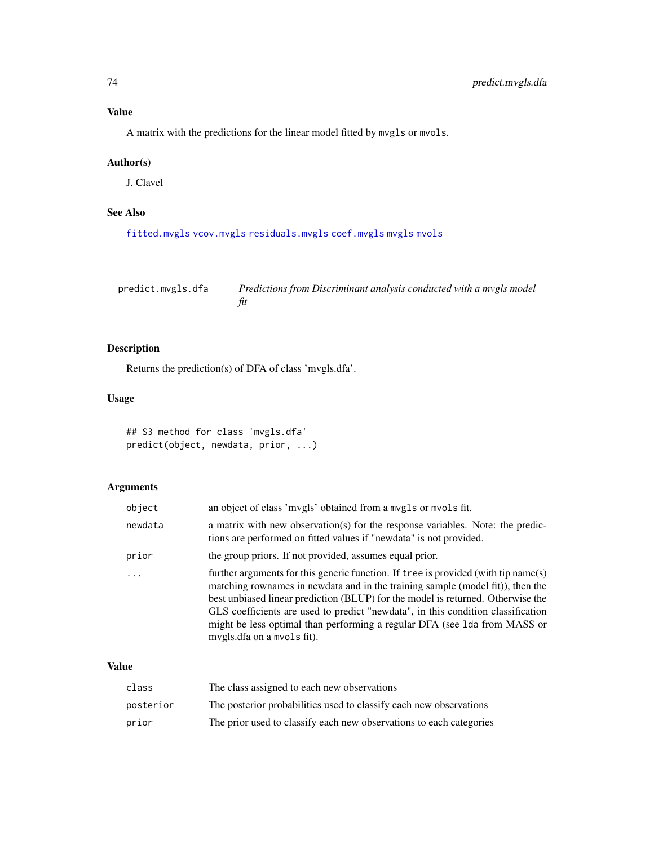<span id="page-73-0"></span>A matrix with the predictions for the linear model fitted by mvgls or mvols.

# Author(s)

J. Clavel

# See Also

[fitted.mvgls](#page-13-0) [vcov.mvgls](#page-79-0) [residuals.mvgls](#page-76-0) [coef.mvgls](#page-7-0) [mvgls](#page-32-0) [mvols](#page-44-0)

predict.mvgls.dfa *Predictions from Discriminant analysis conducted with a mvgls model fit*

# Description

Returns the prediction(s) of DFA of class 'mvgls.dfa'.

# Usage

```
## S3 method for class 'mvgls.dfa'
predict(object, newdata, prior, ...)
```
# Arguments

| object  | an object of class 'mvgls' obtained from a mvgls or mvols fit.                                                                                                                                                                                                                                                                                                                                                                                         |
|---------|--------------------------------------------------------------------------------------------------------------------------------------------------------------------------------------------------------------------------------------------------------------------------------------------------------------------------------------------------------------------------------------------------------------------------------------------------------|
| newdata | a matrix with new observation(s) for the response variables. Note: the predic-<br>tions are performed on fitted values if "newdata" is not provided.                                                                                                                                                                                                                                                                                                   |
| prior   | the group priors. If not provided, assumes equal prior.                                                                                                                                                                                                                                                                                                                                                                                                |
|         | further arguments for this generic function. If tree is provided (with tip name(s)<br>matching rownames in newdata and in the training sample (model fit)), then the<br>best unbiased linear prediction (BLUP) for the model is returned. Otherwise the<br>GLS coefficients are used to predict "newdata", in this condition classification<br>might be less optimal than performing a regular DFA (see 1da from MASS or<br>mvgls.dfa on a mvols fit). |

## Value

| class     | The class assigned to each new observations                         |
|-----------|---------------------------------------------------------------------|
| posterior | The posterior probabilities used to classify each new observations  |
| prior     | The prior used to classify each new observations to each categories |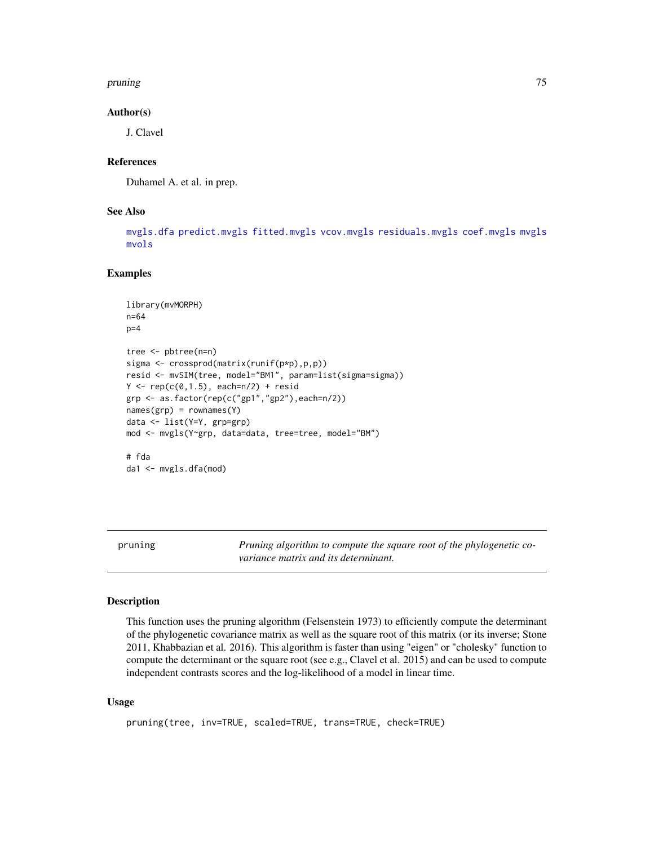## <span id="page-74-0"></span>pruning the contract of the contract of the contract of the contract of the contract of the contract of the contract of the contract of the contract of the contract of the contract of the contract of the contract of the co

## Author(s)

J. Clavel

## **References**

Duhamel A. et al. in prep.

# See Also

[mvgls.dfa](#page-36-0) [predict.mvgls](#page-72-0) [fitted.mvgls](#page-13-0) [vcov.mvgls](#page-79-0) [residuals.mvgls](#page-76-0) [coef.mvgls](#page-7-0) [mvgls](#page-32-0) [mvols](#page-44-0)

# Examples

```
library(mvMORPH)
n=64
p=4tree <- pbtree(n=n)
sigma <- crossprod(matrix(runif(p*p),p,p))
resid <- mvSIM(tree, model="BM1", param=list(sigma=sigma))
Y \leftarrow \text{rep}(c(0, 1.5), each=n/2) + \text{resid}grp <- as.factor(rep(c("gp1","gp2"),each=n/2))
names(grp) = rownames(Y)
data <- list(Y=Y, grp=grp)
mod <- mvgls(Y~grp, data=data, tree=tree, model="BM")
# fda
```

```
da1 <- mvgls.dfa(mod)
```
pruning *Pruning algorithm to compute the square root of the phylogenetic covariance matrix and its determinant.*

## Description

This function uses the pruning algorithm (Felsenstein 1973) to efficiently compute the determinant of the phylogenetic covariance matrix as well as the square root of this matrix (or its inverse; Stone 2011, Khabbazian et al. 2016). This algorithm is faster than using "eigen" or "cholesky" function to compute the determinant or the square root (see e.g., Clavel et al. 2015) and can be used to compute independent contrasts scores and the log-likelihood of a model in linear time.

## Usage

```
pruning(tree, inv=TRUE, scaled=TRUE, trans=TRUE, check=TRUE)
```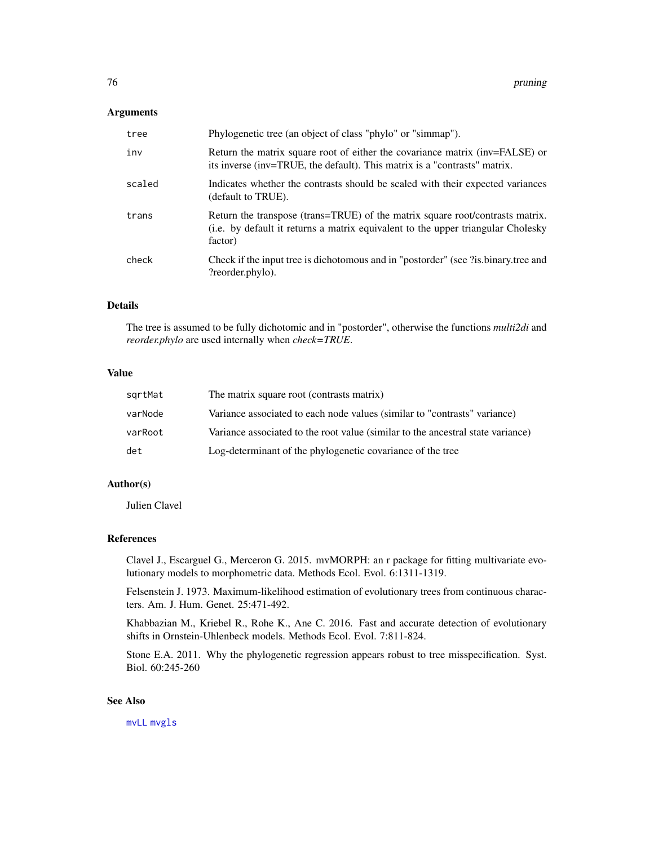# <span id="page-75-0"></span>Arguments

| tree   | Phylogenetic tree (an object of class "phylo" or "simmap").                                                                                                                  |
|--------|------------------------------------------------------------------------------------------------------------------------------------------------------------------------------|
| inv    | Return the matrix square root of either the covariance matrix (inv=FALSE) or<br>its inverse (inv=TRUE, the default). This matrix is a "contrasts" matrix.                    |
| scaled | Indicates whether the contrasts should be scaled with their expected variances<br>(default to TRUE).                                                                         |
| trans  | Return the transpose (trans=TRUE) of the matrix square root/contrasts matrix.<br>(i.e. by default it returns a matrix equivalent to the upper triangular Cholesky<br>factor) |
| check  | Check if the input tree is dichotomous and in "postorder" (see ?is.binary.tree and<br>?reorder.phylo).                                                                       |

# Details

The tree is assumed to be fully dichotomic and in "postorder", otherwise the functions *multi2di* and *reorder.phylo* are used internally when *check=TRUE*.

# Value

| sqrtMat | The matrix square root (contrasts matrix)                                       |
|---------|---------------------------------------------------------------------------------|
| varNode | Variance associated to each node values (similar to "contrasts" variance)       |
| varRoot | Variance associated to the root value (similar to the ancestral state variance) |
| det     | Log-determinant of the phylogenetic covariance of the tree                      |

# Author(s)

Julien Clavel

# References

Clavel J., Escarguel G., Merceron G. 2015. mvMORPH: an r package for fitting multivariate evolutionary models to morphometric data. Methods Ecol. Evol. 6:1311-1319.

Felsenstein J. 1973. Maximum-likelihood estimation of evolutionary trees from continuous characters. Am. J. Hum. Genet. 25:471-492.

Khabbazian M., Kriebel R., Rohe K., Ane C. 2016. Fast and accurate detection of evolutionary shifts in Ornstein-Uhlenbeck models. Methods Ecol. Evol. 7:811-824.

Stone E.A. 2011. Why the phylogenetic regression appears robust to tree misspecification. Syst. Biol. 60:245-260

# See Also

[mvLL](#page-40-0) [mvgls](#page-32-0)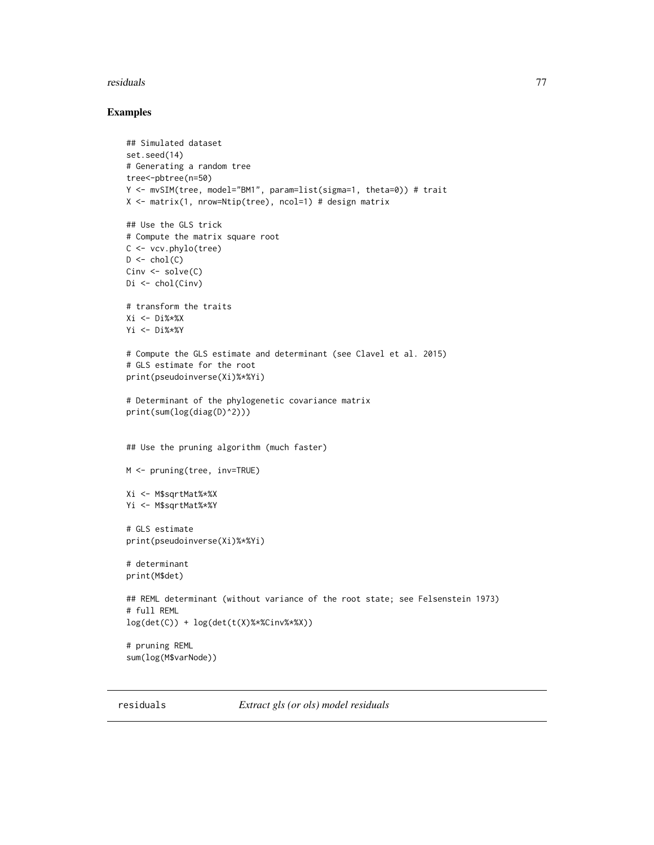## <span id="page-76-1"></span>residuals **77**

## Examples

```
## Simulated dataset
set.seed(14)
# Generating a random tree
tree<-pbtree(n=50)
Y <- mvSIM(tree, model="BM1", param=list(sigma=1, theta=0)) # trait
X <- matrix(1, nrow=Ntip(tree), ncol=1) # design matrix
## Use the GLS trick
# Compute the matrix square root
C <- vcv.phylo(tree)
D \leftarrow \text{chol}(C)Cinv <- solve(C)
Di <- chol(Cinv)
# transform the traits
Xi <- Di%*%X
Yi <- Di%*%Y
# Compute the GLS estimate and determinant (see Clavel et al. 2015)
# GLS estimate for the root
print(pseudoinverse(Xi)%*%Yi)
# Determinant of the phylogenetic covariance matrix
print(sum(log(diag(D)^2)))
## Use the pruning algorithm (much faster)
M <- pruning(tree, inv=TRUE)
Xi <- M$sqrtMat%*%X
Yi <- M$sqrtMat%*%Y
# GLS estimate
print(pseudoinverse(Xi)%*%Yi)
# determinant
print(M$det)
## REML determinant (without variance of the root state; see Felsenstein 1973)
# full REML
log(det(C)) + log(det(t(X)%*%Cinv%*%X))
# pruning REML
sum(log(M$varNode))
```
<span id="page-76-0"></span>

residuals *Extract gls (or ols) model residuals*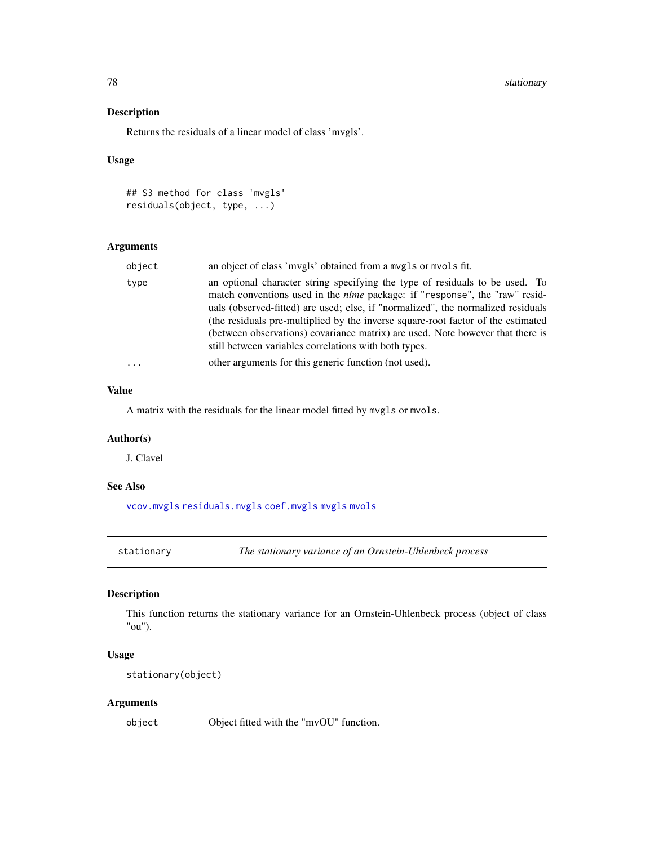78 stationary

# Description

Returns the residuals of a linear model of class 'mvgls'.

# Usage

```
## S3 method for class 'mvgls'
residuals(object, type, ...)
```
# Arguments

| object   | an object of class 'mvgls' obtained from a mvgls or mvols fit.                                                                                                                                                                                                                                                                                                                                                                                                                        |
|----------|---------------------------------------------------------------------------------------------------------------------------------------------------------------------------------------------------------------------------------------------------------------------------------------------------------------------------------------------------------------------------------------------------------------------------------------------------------------------------------------|
| type     | an optional character string specifying the type of residuals to be used. To<br>match conventions used in the <i>nlme</i> package: if "response", the "raw" resid-<br>uals (observed-fitted) are used; else, if "normalized", the normalized residuals<br>(the residuals pre-multiplied by the inverse square-root factor of the estimated<br>(between observations) covariance matrix) are used. Note however that there is<br>still between variables correlations with both types. |
| $\cdots$ | other arguments for this generic function (not used).                                                                                                                                                                                                                                                                                                                                                                                                                                 |

# Value

A matrix with the residuals for the linear model fitted by mvgls or mvols.

# Author(s)

J. Clavel

# See Also

[vcov.mvgls](#page-79-0) [residuals.mvgls](#page-76-0) [coef.mvgls](#page-7-0) [mvgls](#page-32-0) [mvols](#page-44-0)

stationary *The stationary variance of an Ornstein-Uhlenbeck process*

# Description

This function returns the stationary variance for an Ornstein-Uhlenbeck process (object of class "ou").

# Usage

```
stationary(object)
```
# Arguments

object Object fitted with the "mvOU" function.

<span id="page-77-0"></span>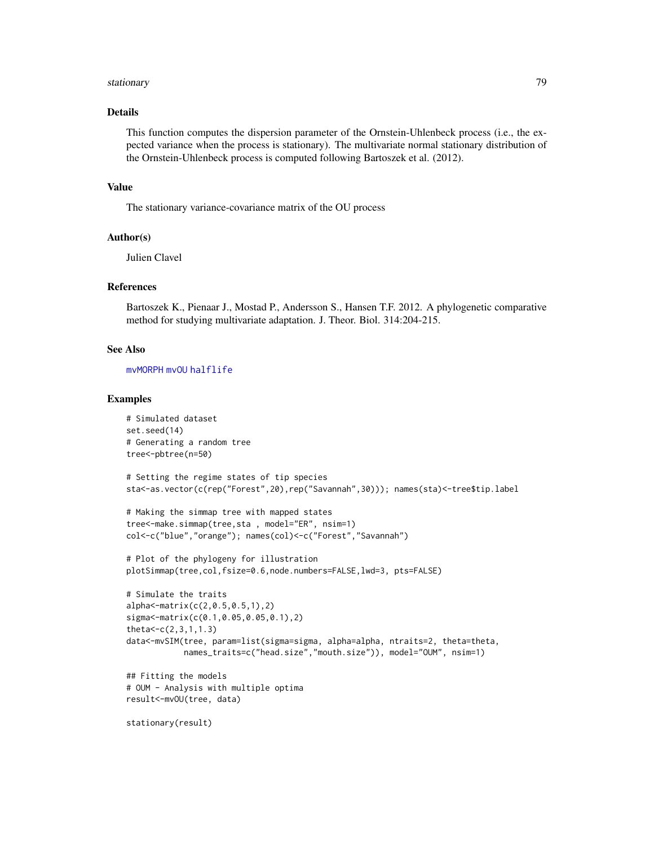#### <span id="page-78-0"></span>stationary 2012 - 2013 - 2023 - 2023 - 2023 - 2023 - 2023 - 2023 - 2023 - 2024 - 2023 - 2023 - 2024 - 2023 - 20

## Details

This function computes the dispersion parameter of the Ornstein-Uhlenbeck process (i.e., the expected variance when the process is stationary). The multivariate normal stationary distribution of the Ornstein-Uhlenbeck process is computed following Bartoszek et al. (2012).

# Value

The stationary variance-covariance matrix of the OU process

#### Author(s)

Julien Clavel

## References

Bartoszek K., Pienaar J., Mostad P., Andersson S., Hansen T.F. 2012. A phylogenetic comparative method for studying multivariate adaptation. J. Theor. Biol. 314:204-215.

## See Also

[mvMORPH](#page-1-0) [mvOU](#page-47-0) [halflife](#page-15-0)

## Examples

```
# Simulated dataset
set.seed(14)
# Generating a random tree
tree<-pbtree(n=50)
# Setting the regime states of tip species
sta<-as.vector(c(rep("Forest",20),rep("Savannah",30))); names(sta)<-tree$tip.label
# Making the simmap tree with mapped states
tree<-make.simmap(tree,sta , model="ER", nsim=1)
col<-c("blue","orange"); names(col)<-c("Forest","Savannah")
# Plot of the phylogeny for illustration
plotSimmap(tree,col,fsize=0.6,node.numbers=FALSE,lwd=3, pts=FALSE)
# Simulate the traits
alpha<-matrix(c(2,0.5,0.5,1),2)
sigma<-matrix(c(0.1,0.05,0.05,0.1),2)
theta < -c(2,3,1,1.3)data<-mvSIM(tree, param=list(sigma=sigma, alpha=alpha, ntraits=2, theta=theta,
            names_traits=c("head.size","mouth.size")), model="OUM", nsim=1)
## Fitting the models
# OUM - Analysis with multiple optima
result<-mvOU(tree, data)
stationary(result)
```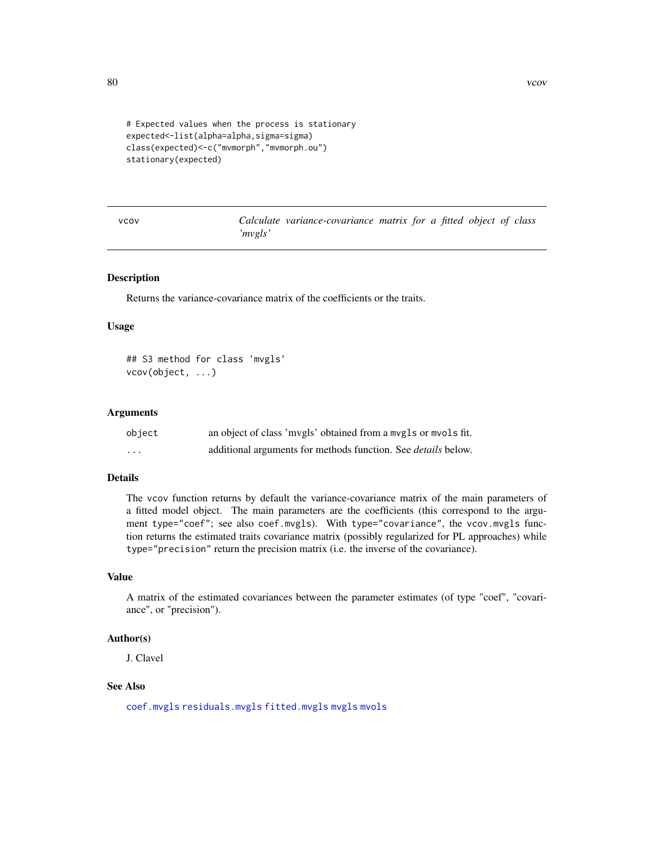```
# Expected values when the process is stationary
expected<-list(alpha=alpha,sigma=sigma)
class(expected)<-c("mvmorph","mvmorph.ou")
stationary(expected)
```
vcov *Calculate variance-covariance matrix for a fitted object of class 'mvgls'*

## <span id="page-79-0"></span>Description

Returns the variance-covariance matrix of the coefficients or the traits.

## Usage

## S3 method for class 'mvgls' vcov(object, ...)

## Arguments

| object   | an object of class 'mvgls' obtained from a mvgls or mvols fit.       |
|----------|----------------------------------------------------------------------|
| $\cdots$ | additional arguments for methods function. See <i>details</i> below. |

## Details

The vcov function returns by default the variance-covariance matrix of the main parameters of a fitted model object. The main parameters are the coefficients (this correspond to the argument type="coef"; see also coef.mvgls). With type="covariance", the vcov.mvgls function returns the estimated traits covariance matrix (possibly regularized for PL approaches) while type="precision" return the precision matrix (i.e. the inverse of the covariance).

## Value

A matrix of the estimated covariances between the parameter estimates (of type "coef", "covariance", or "precision").

# Author(s)

J. Clavel

# See Also

[coef.mvgls](#page-7-0) [residuals.mvgls](#page-76-0) [fitted.mvgls](#page-13-0) [mvgls](#page-32-0) [mvols](#page-44-0)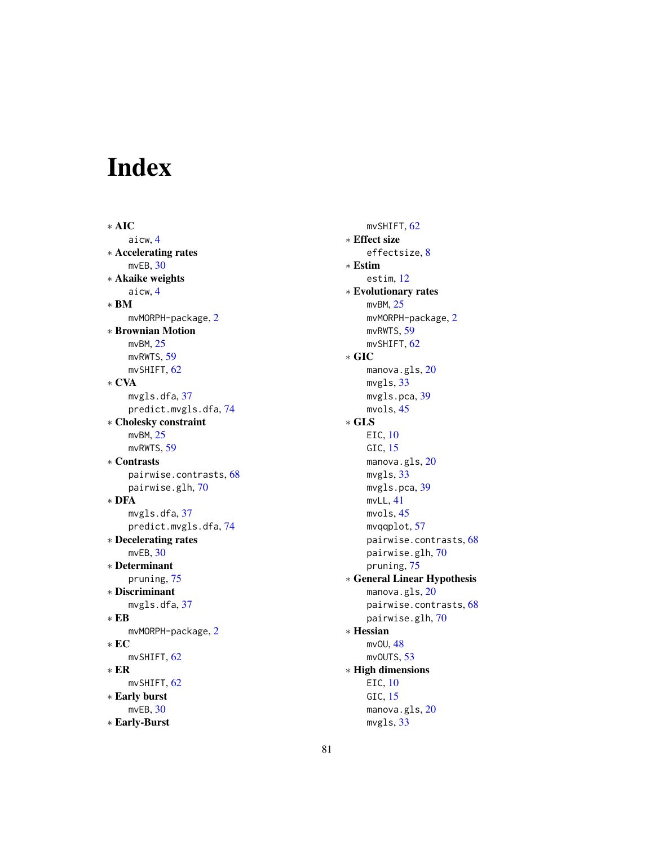# Index

∗ AIC aicw, [4](#page-3-0) ∗ Accelerating rates mvEB, [30](#page-29-0) ∗ Akaike weights aicw, [4](#page-3-0) ∗ BM mvMORPH-package, [2](#page-1-1) ∗ Brownian Motion mvBM, [25](#page-24-0) mvRWTS, [59](#page-58-0) mvSHIFT, [62](#page-61-0) ∗ CVA mvgls.dfa, [37](#page-36-1) predict.mvgls.dfa, [74](#page-73-0) ∗ Cholesky constraint mvBM, [25](#page-24-0) mvRWTS, [59](#page-58-0) ∗ Contrasts pairwise.contrasts, [68](#page-67-0) pairwise.glh, [70](#page-69-0) ∗ DFA mvgls.dfa, [37](#page-36-1) predict.mvgls.dfa, [74](#page-73-0) ∗ Decelerating rates mvEB, [30](#page-29-0) ∗ Determinant pruning, [75](#page-74-0) ∗ Discriminant mvgls.dfa, [37](#page-36-1) ∗ EB mvMORPH-package, [2](#page-1-1) ∗ EC mvSHIFT, [62](#page-61-0) ∗ ER mvSHIFT, [62](#page-61-0) ∗ Early burst mvEB, [30](#page-29-0) ∗ Early-Burst

mvSHIFT, [62](#page-61-0) ∗ Effect size effectsize, [8](#page-7-1) ∗ Estim estim, [12](#page-11-0) ∗ Evolutionary rates mvBM, [25](#page-24-0) mvMORPH-package, [2](#page-1-1) mvRWTS, [59](#page-58-0) mvSHIFT, [62](#page-61-0) ∗ GIC manova.gls, [20](#page-19-0) mvgls, [33](#page-32-1) mvgls.pca, [39](#page-38-0) mvols, [45](#page-44-1) ∗ GLS EIC, [10](#page-9-0) GIC, [15](#page-14-0) manova.gls, [20](#page-19-0) mvgls, [33](#page-32-1) mvgls.pca, [39](#page-38-0) mvLL, [41](#page-40-1) mvols, [45](#page-44-1) mvqqplot, [57](#page-56-0) pairwise.contrasts, [68](#page-67-0) pairwise.glh, [70](#page-69-0) pruning, [75](#page-74-0) ∗ General Linear Hypothesis manova.gls, [20](#page-19-0) pairwise.contrasts, [68](#page-67-0) pairwise.glh, [70](#page-69-0) ∗ Hessian mvOU, [48](#page-47-1) mvOUTS, [53](#page-52-0) ∗ High dimensions EIC, [10](#page-9-0) GIC, [15](#page-14-0) manova.gls, [20](#page-19-0) mvgls, [33](#page-32-1)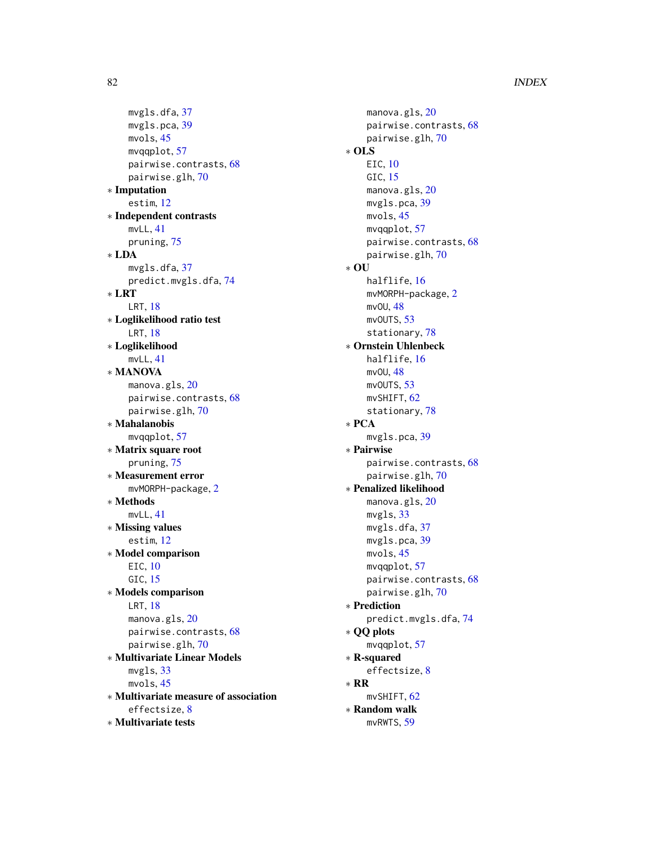# 82 INDEX

mvgls.dfa, [37](#page-36-1) mvgls.pca, [39](#page-38-0) mvols, [45](#page-44-1) mvqqplot, [57](#page-56-0) pairwise.contrasts, [68](#page-67-0) pairwise.glh, [70](#page-69-0) ∗ Imputation estim, [12](#page-11-0) ∗ Independent contrasts mvLL, [41](#page-40-1) pruning, [75](#page-74-0) ∗ LDA mvgls.dfa, [37](#page-36-1) predict.mvgls.dfa, [74](#page-73-0) ∗ LRT LRT, [18](#page-17-0) ∗ Loglikelihood ratio test LRT, [18](#page-17-0) ∗ Loglikelihood mvLL, [41](#page-40-1) ∗ MANOVA manova.gls, [20](#page-19-0) pairwise.contrasts, [68](#page-67-0) pairwise.glh, [70](#page-69-0) ∗ Mahalanobis  $mu$ gaplot,  $57$ ∗ Matrix square root pruning, [75](#page-74-0) ∗ Measurement error mvMORPH-package, [2](#page-1-1) ∗ Methods mvLL, [41](#page-40-1) ∗ Missing values estim, [12](#page-11-0) ∗ Model comparison EIC, [10](#page-9-0) GIC, [15](#page-14-0) ∗ Models comparison LRT, [18](#page-17-0) manova.gls, [20](#page-19-0) pairwise.contrasts, [68](#page-67-0) pairwise.glh, [70](#page-69-0) ∗ Multivariate Linear Models mvgls, [33](#page-32-1) mvols, [45](#page-44-1) ∗ Multivariate measure of association effectsize, [8](#page-7-1) ∗ Multivariate tests

manova.gls, [20](#page-19-0) pairwise.contrasts, [68](#page-67-0) pairwise.glh, [70](#page-69-0) ∗ OLS EIC, [10](#page-9-0) GIC, [15](#page-14-0) manova.gls, [20](#page-19-0) mvgls.pca, [39](#page-38-0) mvols, [45](#page-44-1) mvqqplot, [57](#page-56-0) pairwise.contrasts, [68](#page-67-0) pairwise.glh, [70](#page-69-0) ∗ OU halflife, [16](#page-15-1) mvMORPH-package, [2](#page-1-1) mvOU, [48](#page-47-1) mvOUTS, [53](#page-52-0) stationary, [78](#page-77-0) ∗ Ornstein Uhlenbeck halflife, [16](#page-15-1) mvOU, [48](#page-47-1) mvOUTS, [53](#page-52-0) mvSHIFT, [62](#page-61-0) stationary, [78](#page-77-0) ∗ PCA mvgls.pca, [39](#page-38-0) ∗ Pairwise pairwise.contrasts, [68](#page-67-0) pairwise.glh, [70](#page-69-0) ∗ Penalized likelihood manova.gls, [20](#page-19-0) mvgls, [33](#page-32-1) mvgls.dfa, [37](#page-36-1) mvgls.pca, [39](#page-38-0) mvols, [45](#page-44-1) mvqqplot, [57](#page-56-0) pairwise.contrasts, [68](#page-67-0) pairwise.glh, [70](#page-69-0) ∗ Prediction predict.mvgls.dfa, [74](#page-73-0) ∗ QQ plots mvqqplot, [57](#page-56-0) ∗ R-squared effectsize, [8](#page-7-1) ∗ RR mvSHIFT, [62](#page-61-0) ∗ Random walk mvRWTS, [59](#page-58-0)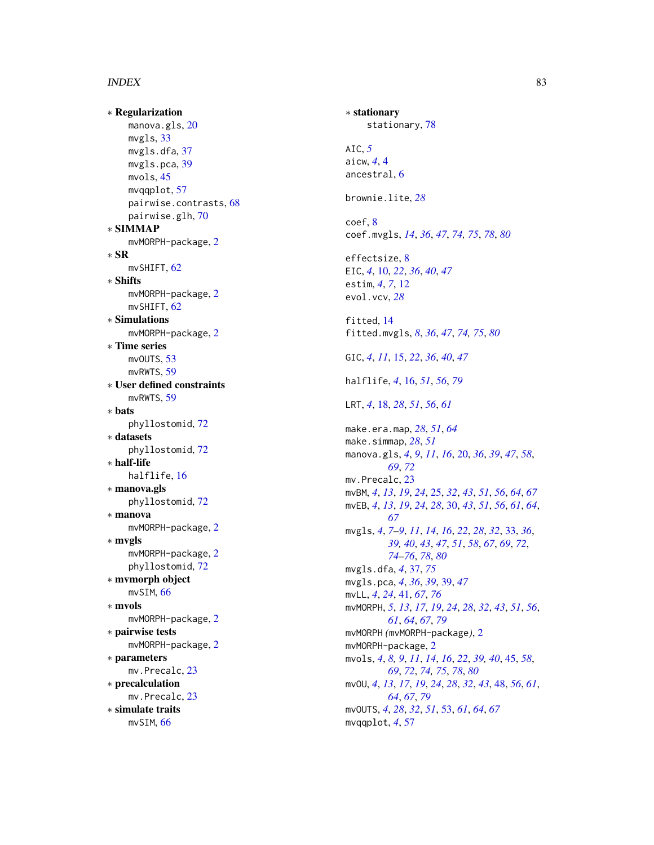## INDEX  $83$

∗ Regularization manova.g $\sf l\hspace{-1pt}$ s, $\sf 20$  $\sf 20$ mvgls, [33](#page-32-1) mvgls.dfa , [37](#page-36-1) mvgls.pca, [39](#page-38-0) mvols , [45](#page-44-1) mvqqplot, [57](#page-56-0) pairwise.contrasts , [68](#page-67-0) pairwise.glh, $70\,$  $70\,$ ∗ SIMMAP mvMORPH-package , [2](#page-1-1) ∗ SR mvSHIFT, [62](#page-61-0) ∗ Shifts mvMORPH-package , [2](#page-1-1) mvSHIFT, [62](#page-61-0) ∗ Simulations mvMORPH-package, [2](#page-1-1) ∗ Time series mvOUTS, [53](#page-52-0) mvRWTS , [59](#page-58-0) ∗ User defined constraints mvRWTS, [59](#page-58-0) ∗ bats phyllostomid , [72](#page-71-0) ∗ datasets phyllostomid , [72](#page-71-0) ∗ half-life halflife , [16](#page-15-1) ∗ manova.gls phyllostomid , [72](#page-71-0) ∗ manova mvMORPH-package , [2](#page-1-1) ∗ mvgls mvMORPH-package , [2](#page-1-1) phyllostomid , [72](#page-71-0) ∗ mvmorph object mvSIM, [66](#page-65-0) ∗ mvols mvMORPH-package, [2](#page-1-1) ∗ pairwise tests mvMORPH-package , [2](#page-1-1) ∗ parameters mv.Precalc, [23](#page-22-0) ∗ precalculation mv.Precalc, [23](#page-22-0) ∗ simulate traits mvSIM, [66](#page-65-0)

∗ stationary stationary, [78](#page-77-0) AIC , *[5](#page-4-0)* aicw , *[4](#page-3-0)* , [4](#page-3-0) ancestral,  $6$ brownie.lite , *[28](#page-27-0)* coef , [8](#page-7-1) coef.mvgls , *[14](#page-13-1)* , *[36](#page-35-0)* , *[47](#page-46-0)* , *[74](#page-73-0) , [75](#page-74-0)* , *[78](#page-77-0)* , *[80](#page-79-1)* effectsize, <mark>[8](#page-7-1)</mark> EIC , *[4](#page-3-0)* , [10](#page-9-0) , *[22](#page-21-0)* , *[36](#page-35-0)* , *[40](#page-39-0)* , *[47](#page-46-0)* estim , *[4](#page-3-0)* , *[7](#page-6-0)* , [12](#page-11-0) evol.vcv , *[28](#page-27-0)* fitted , [14](#page-13-1) fitted.mvgls , *[8](#page-7-1)* , *[36](#page-35-0)* , *[47](#page-46-0)* , *[74](#page-73-0) , [75](#page-74-0)* , *[80](#page-79-1)* GIC , *[4](#page-3-0)* , *[11](#page-10-0)* , [15](#page-14-0) , *[22](#page-21-0)* , *[36](#page-35-0)* , *[40](#page-39-0)* , *[47](#page-46-0)* halflife , *[4](#page-3-0)* , [16](#page-15-1) , *[51](#page-50-0)* , *[56](#page-55-0)* , *[79](#page-78-0)* LRT , *[4](#page-3-0)* , [18](#page-17-0) , *[28](#page-27-0)* , *[51](#page-50-0)* , *[56](#page-55-0)* , *[61](#page-60-0)* make.era.map , *[28](#page-27-0)* , *[51](#page-50-0)* , *[64](#page-63-0)* make.simmap , *[28](#page-27-0)* , *[51](#page-50-0)* manova.gls , *[4](#page-3-0)* , *[9](#page-8-0)* , *[11](#page-10-0)* , *[16](#page-15-1)* , [20](#page-19-0) , *[36](#page-35-0)* , *[39](#page-38-0)* , *[47](#page-46-0)* , *[58](#page-57-0)* , *[69](#page-68-0)* , *[72](#page-71-0)* mv.Precalc, [23](#page-22-0) mvBM , *[4](#page-3-0)* , *[13](#page-12-0)* , *[19](#page-18-0)* , *[24](#page-23-0)* , [25](#page-24-0) , *[32](#page-31-0)* , *[43](#page-42-0)* , *[51](#page-50-0)* , *[56](#page-55-0)* , *[64](#page-63-0)* , *[67](#page-66-0)* mvEB , *[4](#page-3-0)* , *[13](#page-12-0)* , *[19](#page-18-0)* , *[24](#page-23-0)* , *[28](#page-27-0)* , [30](#page-29-0) , *[43](#page-42-0)* , *[51](#page-50-0)* , *[56](#page-55-0)* , *[61](#page-60-0)* , *[64](#page-63-0)* , *[67](#page-66-0)* mvgls , *[4](#page-3-0)* , *[7–](#page-6-0) [9](#page-8-0)* , *[11](#page-10-0)* , *[14](#page-13-1)* , *[16](#page-15-1)* , *[22](#page-21-0)* , *[28](#page-27-0)* , *[32](#page-31-0)* , [33](#page-32-1) , *[36](#page-35-0)* , *[39](#page-38-0) , [40](#page-39-0)* , *[43](#page-42-0)* , *[47](#page-46-0)* , *[51](#page-50-0)* , *[58](#page-57-0)* , *[67](#page-66-0)* , *[69](#page-68-0)* , *[72](#page-71-0)* , *[74](#page-73-0) [–76](#page-75-0)* , *[78](#page-77-0)* , *[80](#page-79-1)* mvgls.dfa , *[4](#page-3-0)* , [37](#page-36-1) , *[75](#page-74-0)* mvgls.pca , *[4](#page-3-0)* , *[36](#page-35-0)* , *[39](#page-38-0)* , [39](#page-38-0) , *[47](#page-46-0)* mvLL , *[4](#page-3-0)* , *[24](#page-23-0)* , [41](#page-40-1) , *[67](#page-66-0)* , *[76](#page-75-0)* mvMORPH , *[5](#page-4-0)* , *[13](#page-12-0)* , *[17](#page-16-0)* , *[19](#page-18-0)* , *[24](#page-23-0)* , *[28](#page-27-0)* , *[32](#page-31-0)* , *[43](#page-42-0)* , *[51](#page-50-0)* , *[56](#page-55-0)* , *[61](#page-60-0)* , *[64](#page-63-0)* , *[67](#page-66-0)* , *[79](#page-78-0)* mvMORPH *(*mvMORPH-package *)* , [2](#page-1-1) mvMORPH-package, [2](#page-1-1) mvols, [4](#page-3-0), [8](#page-7-1), [9](#page-8-0), [11](#page-10-0), [14](#page-13-1), [16](#page-15-1), [22](#page-21-0), [39](#page-38-0), [40](#page-39-0), [45](#page-44-1), [58](#page-57-0), *[69](#page-68-0)* , *[72](#page-71-0)* , *[74](#page-73-0) , [75](#page-74-0)* , *[78](#page-77-0)* , *[80](#page-79-1)* mvOU , *[4](#page-3-0)* , *[13](#page-12-0)* , *[17](#page-16-0)* , *[19](#page-18-0)* , *[24](#page-23-0)* , *[28](#page-27-0)* , *[32](#page-31-0)* , *[43](#page-42-0)* , [48](#page-47-1) , *[56](#page-55-0)* , *[61](#page-60-0)* , *[64](#page-63-0)* , *[67](#page-66-0)* , *[79](#page-78-0)* mvOUTS , *[4](#page-3-0)* , *[28](#page-27-0)* , *[32](#page-31-0)* , *[51](#page-50-0)* , [53](#page-52-0) , *[61](#page-60-0)* , *[64](#page-63-0)* , *[67](#page-66-0)* mvqqplot , *[4](#page-3-0)* , [57](#page-56-0)